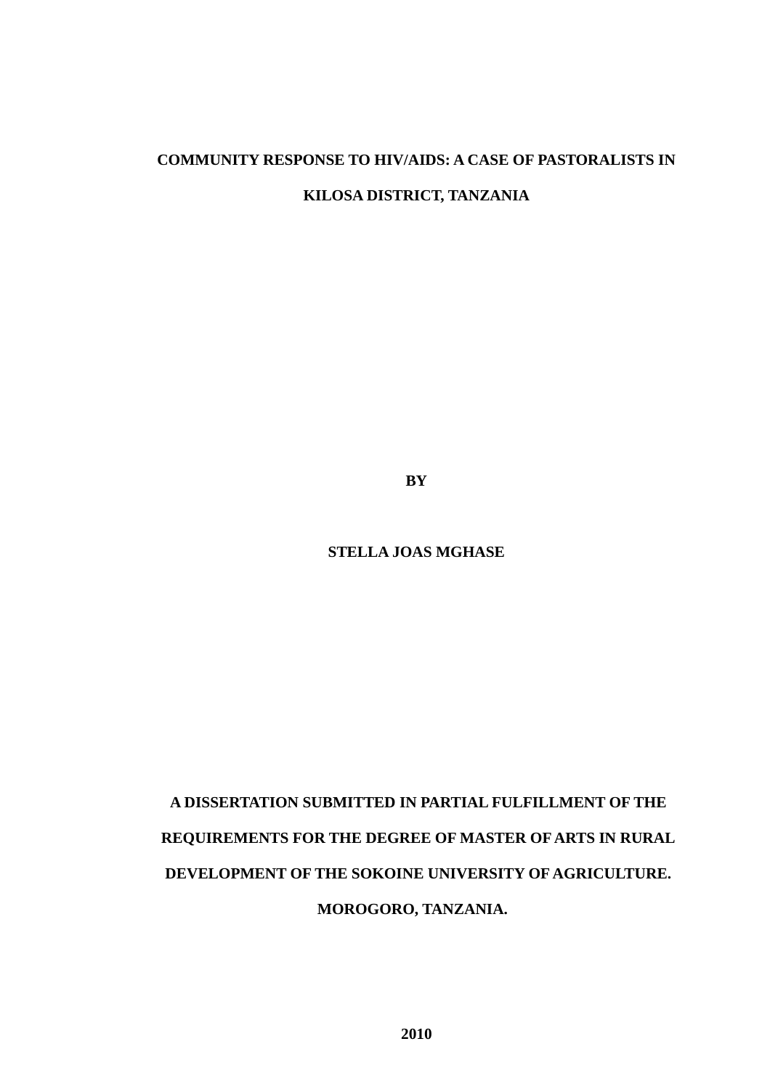# **COMMUNITY RESPONSE TO HIV/AIDS: A CASE OF PASTORALISTS IN KILOSA DISTRICT, TANZANIA**

**BY**

**STELLA JOAS MGHASE**

# **A DISSERTATION SUBMITTED IN PARTIAL FULFILLMENT OF THE REQUIREMENTS FOR THE DEGREE OF MASTER OF ARTS IN RURAL DEVELOPMENT OF THE SOKOINE UNIVERSITY OF AGRICULTURE. MOROGORO, TANZANIA.**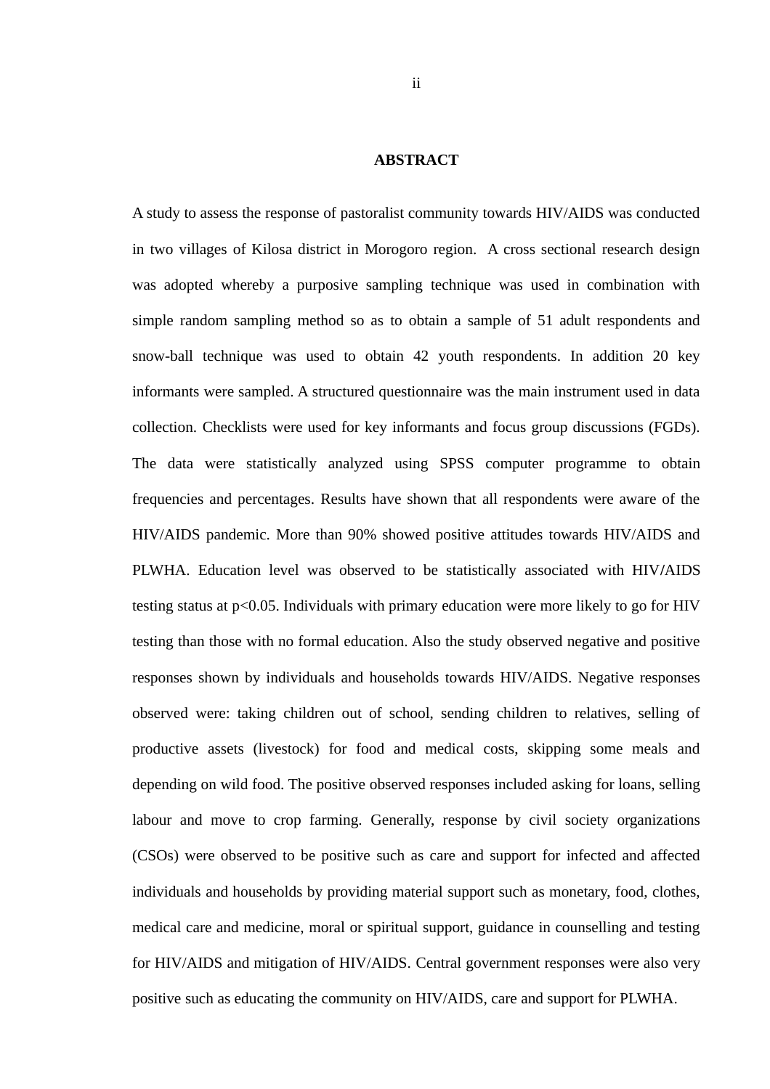#### <span id="page-1-0"></span>**ABSTRACT**

A study to assess the response of pastoralist community towards HIV/AIDS was conducted in two villages of Kilosa district in Morogoro region. A cross sectional research design was adopted whereby a purposive sampling technique was used in combination with simple random sampling method so as to obtain a sample of 51 adult respondents and snow-ball technique was used to obtain 42 youth respondents. In addition 20 key informants were sampled. A structured questionnaire was the main instrument used in data collection. Checklists were used for key informants and focus group discussions (FGDs). The data were statistically analyzed using SPSS computer programme to obtain frequencies and percentages. Results have shown that all respondents were aware of the HIV/AIDS pandemic. More than 90% showed positive attitudes towards HIV/AIDS and PLWHA. Education level was observed to be statistically associated with HIV**/**AIDS testing status at p<0.05. Individuals with primary education were more likely to go for HIV testing than those with no formal education. Also the study observed negative and positive responses shown by individuals and households towards HIV/AIDS. Negative responses observed were: taking children out of school, sending children to relatives, selling of productive assets (livestock) for food and medical costs, skipping some meals and depending on wild food. The positive observed responses included asking for loans, selling labour and move to crop farming. Generally, response by civil society organizations (CSOs) were observed to be positive such as care and support for infected and affected individuals and households by providing material support such as monetary, food, clothes, medical care and medicine, moral or spiritual support, guidance in counselling and testing for HIV/AIDS and mitigation of HIV/AIDS. Central government responses were also very positive such as educating the community on HIV/AIDS, care and support for PLWHA.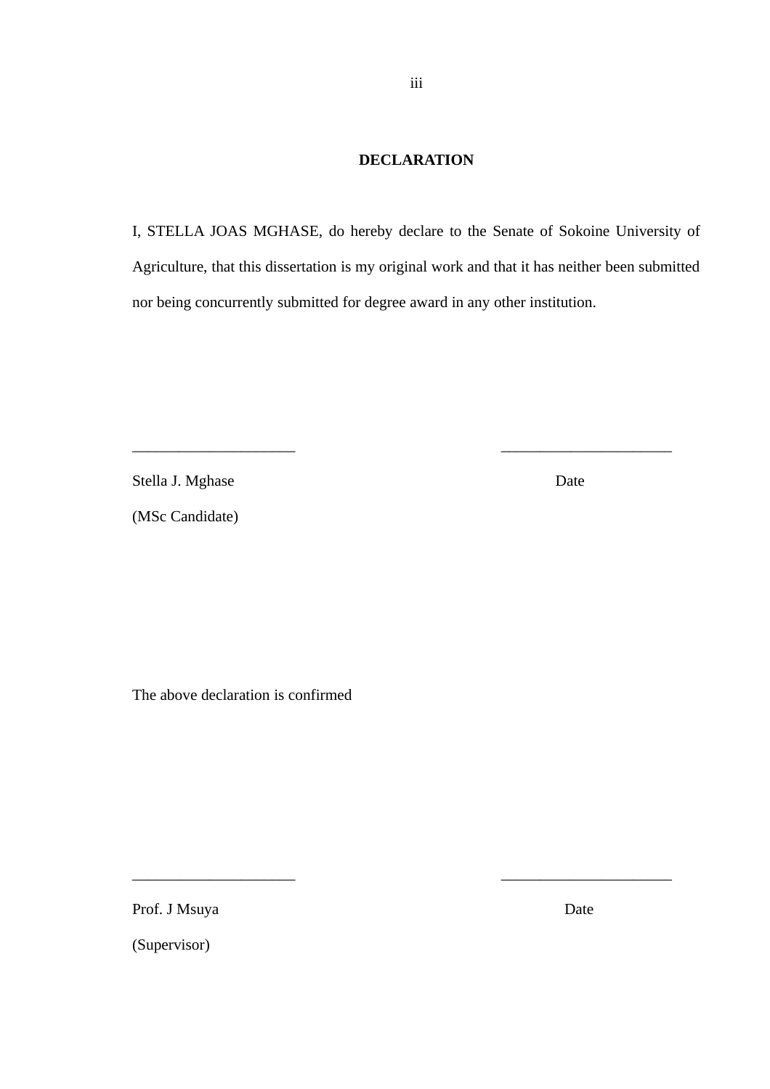# <span id="page-2-0"></span>**DECLARATION**

I, STELLA JOAS MGHASE, do hereby declare to the Senate of Sokoine University of Agriculture, that this dissertation is my original work and that it has neither been submitted nor being concurrently submitted for degree award in any other institution.

\_\_\_\_\_\_\_\_\_\_\_\_\_\_\_\_\_\_\_\_\_ \_\_\_\_\_\_\_\_\_\_\_\_\_\_\_\_\_\_\_\_\_\_

\_\_\_\_\_\_\_\_\_\_\_\_\_\_\_\_\_\_\_\_\_ \_\_\_\_\_\_\_\_\_\_\_\_\_\_\_\_\_\_\_\_\_\_

Stella J. Mghase Date

(MSc Candidate)

The above declaration is confirmed

Prof. J Msuya Date

(Supervisor)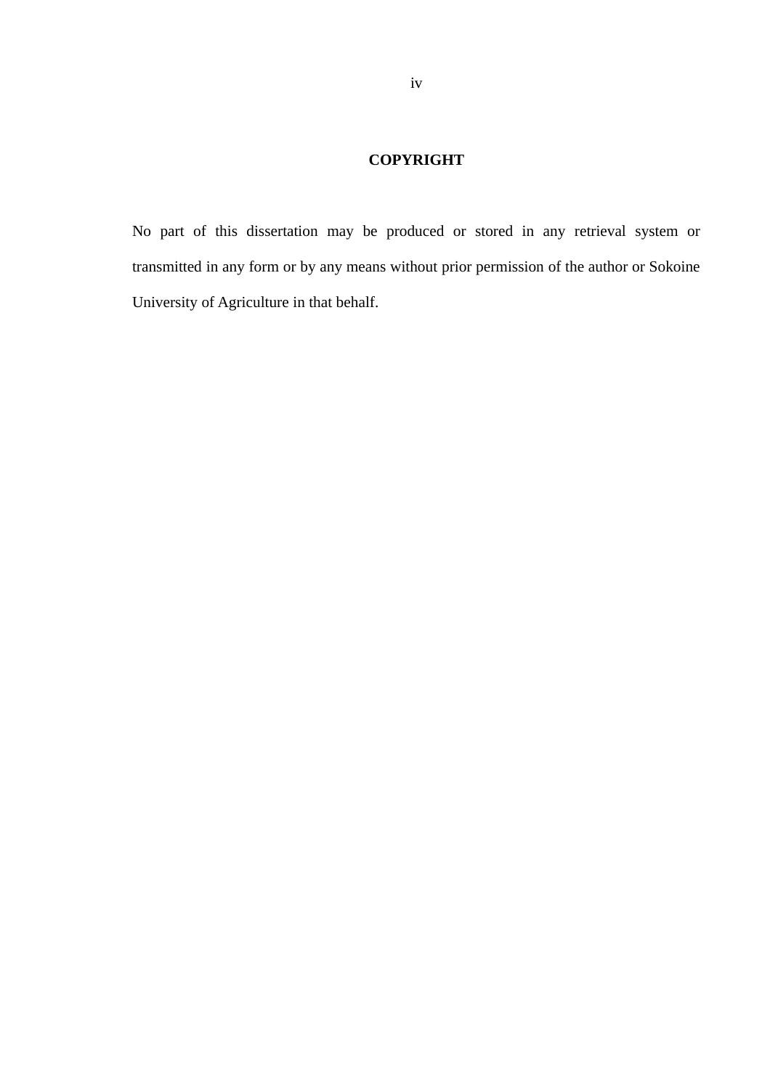# <span id="page-3-0"></span>**COPYRIGHT**

No part of this dissertation may be produced or stored in any retrieval system or transmitted in any form or by any means without prior permission of the author or Sokoine University of Agriculture in that behalf.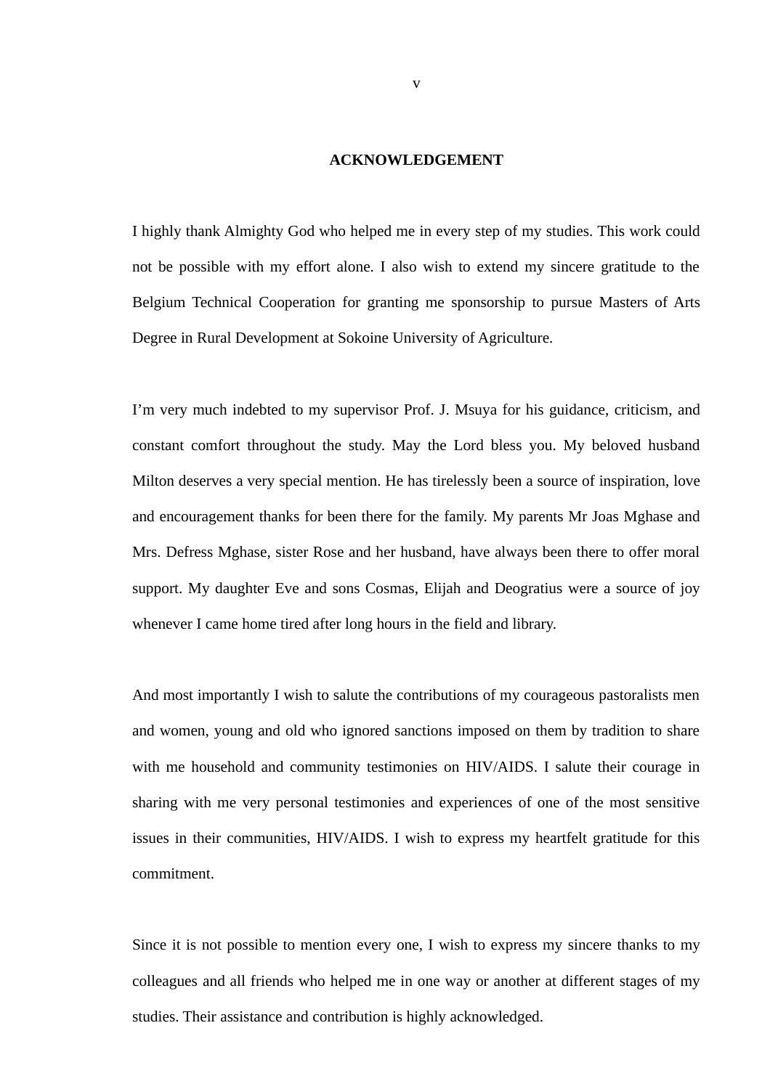#### <span id="page-4-0"></span>**ACKNOWLEDGEMENT**

I highly thank Almighty God who helped me in every step of my studies. This work could not be possible with my effort alone. I also wish to extend my sincere gratitude to the Belgium Technical Cooperation for granting me sponsorship to pursue Masters of Arts Degree in Rural Development at Sokoine University of Agriculture.

I'm very much indebted to my supervisor Prof. J. Msuya for his guidance, criticism, and constant comfort throughout the study. May the Lord bless you. My beloved husband Milton deserves a very special mention. He has tirelessly been a source of inspiration, love and encouragement thanks for been there for the family. My parents Mr Joas Mghase and Mrs. Defress Mghase, sister Rose and her husband, have always been there to offer moral support. My daughter Eve and sons Cosmas, Elijah and Deogratius were a source of joy whenever I came home tired after long hours in the field and library.

And most importantly I wish to salute the contributions of my courageous pastoralists men and women, young and old who ignored sanctions imposed on them by tradition to share with me household and community testimonies on HIV/AIDS. I salute their courage in sharing with me very personal testimonies and experiences of one of the most sensitive issues in their communities, HIV/AIDS. I wish to express my heartfelt gratitude for this commitment.

Since it is not possible to mention every one, I wish to express my sincere thanks to my colleagues and all friends who helped me in one way or another at different stages of my studies. Their assistance and contribution is highly acknowledged.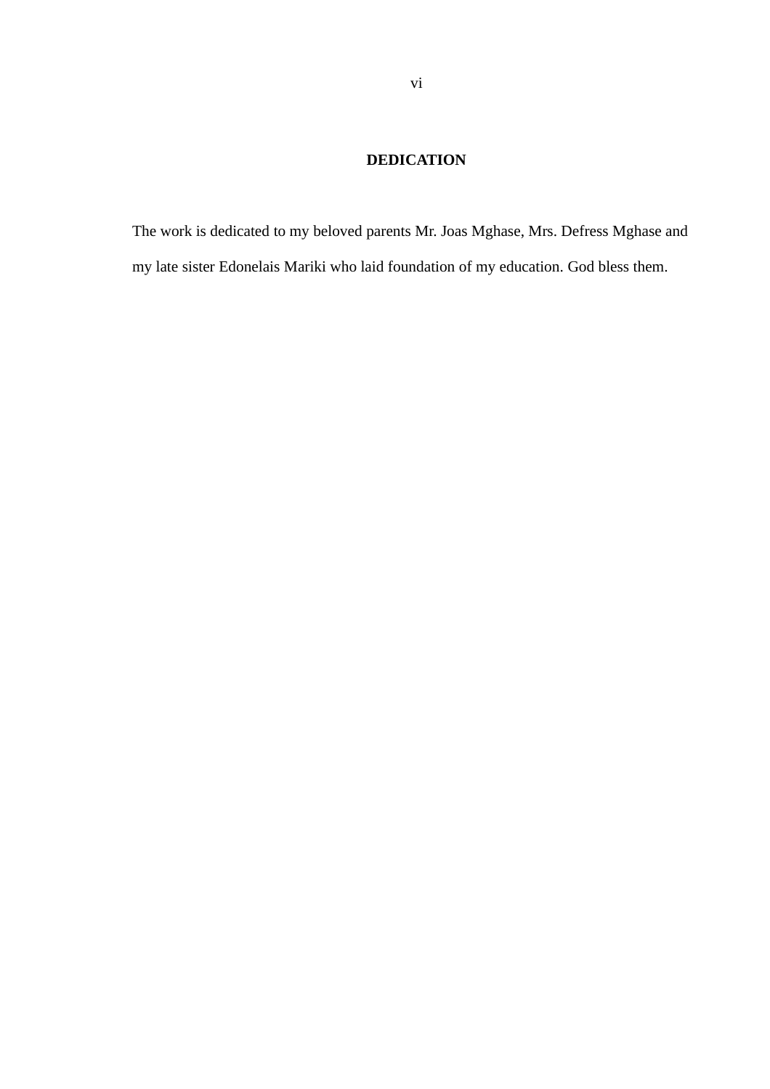# <span id="page-5-0"></span>**DEDICATION**

The work is dedicated to my beloved parents Mr. Joas Mghase, Mrs. Defress Mghase and my late sister Edonelais Mariki who laid foundation of my education. God bless them.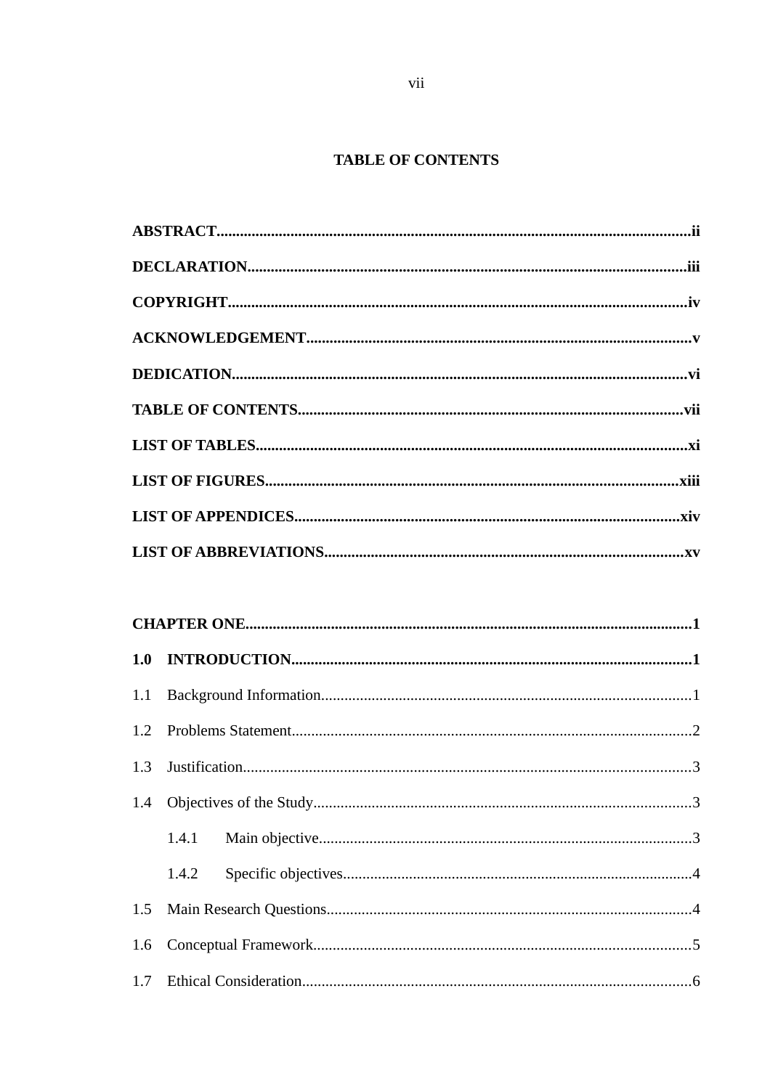# <span id="page-6-0"></span>**TABLE OF CONTENTS**

| 1.0 |       |  |
|-----|-------|--|
| 1.1 |       |  |
| 1.2 |       |  |
| 1.3 |       |  |
|     |       |  |
|     | 1.4.1 |  |
|     | 1.4.2 |  |
| 1.5 |       |  |
| 1.6 |       |  |
|     |       |  |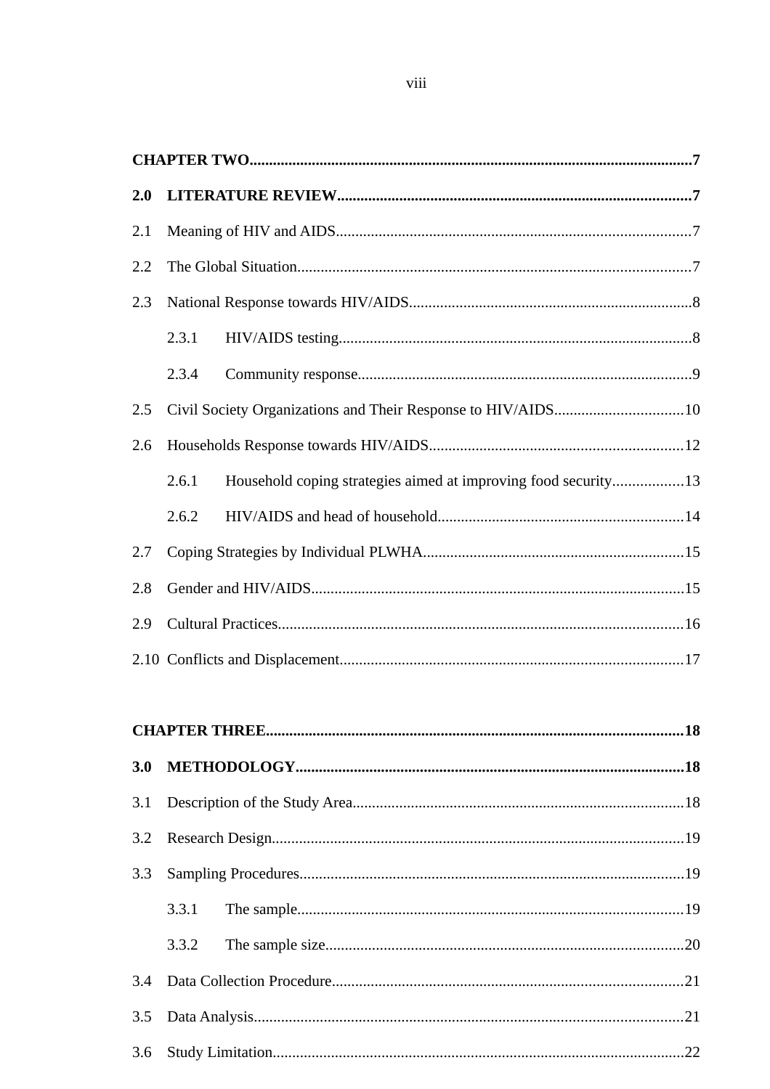| 2.0 |       |                                                                |  |
|-----|-------|----------------------------------------------------------------|--|
| 2.1 |       |                                                                |  |
| 2.2 |       |                                                                |  |
| 2.3 |       |                                                                |  |
|     | 2.3.1 |                                                                |  |
|     | 2.3.4 |                                                                |  |
| 2.5 |       | Civil Society Organizations and Their Response to HIV/AIDS10   |  |
| 2.6 |       |                                                                |  |
|     | 2.6.1 | Household coping strategies aimed at improving food security13 |  |
|     | 2.6.2 |                                                                |  |
| 2.7 |       |                                                                |  |
| 2.8 |       |                                                                |  |
| 2.9 |       |                                                                |  |
|     |       |                                                                |  |

| 3.3 |  |  |  |
|-----|--|--|--|
|     |  |  |  |
|     |  |  |  |
|     |  |  |  |
|     |  |  |  |
| 3.6 |  |  |  |
|     |  |  |  |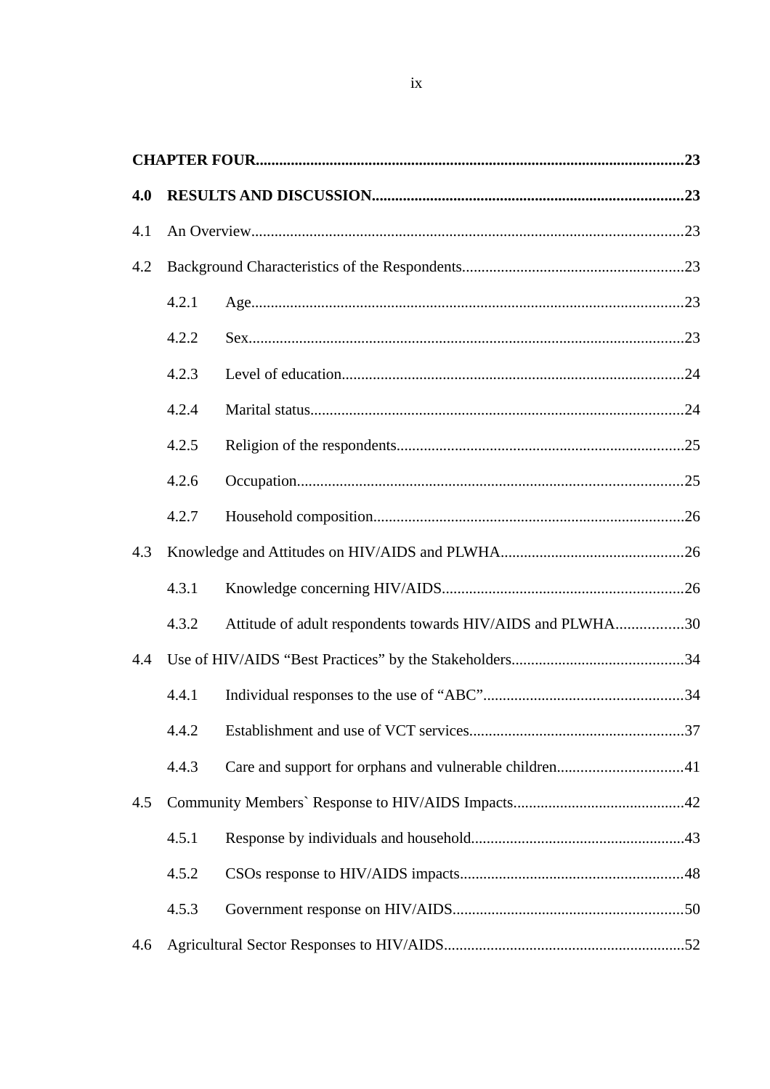| 4.0 |       |                                                            |
|-----|-------|------------------------------------------------------------|
| 4.1 |       |                                                            |
| 4.2 |       |                                                            |
|     | 4.2.1 |                                                            |
|     | 4.2.2 |                                                            |
|     | 4.2.3 |                                                            |
|     | 4.2.4 |                                                            |
|     | 4.2.5 |                                                            |
|     | 4.2.6 |                                                            |
|     | 4.2.7 |                                                            |
| 4.3 |       |                                                            |
|     | 4.3.1 |                                                            |
|     | 4.3.2 | Attitude of adult respondents towards HIV/AIDS and PLWHA30 |
| 4.4 |       |                                                            |
|     | 4.4.1 |                                                            |
|     | 4.4.2 |                                                            |
|     | 4.4.3 | Care and support for orphans and vulnerable children41     |
| 4.5 |       |                                                            |
|     | 4.5.1 |                                                            |
|     | 4.5.2 |                                                            |
|     | 4.5.3 |                                                            |
| 4.6 |       |                                                            |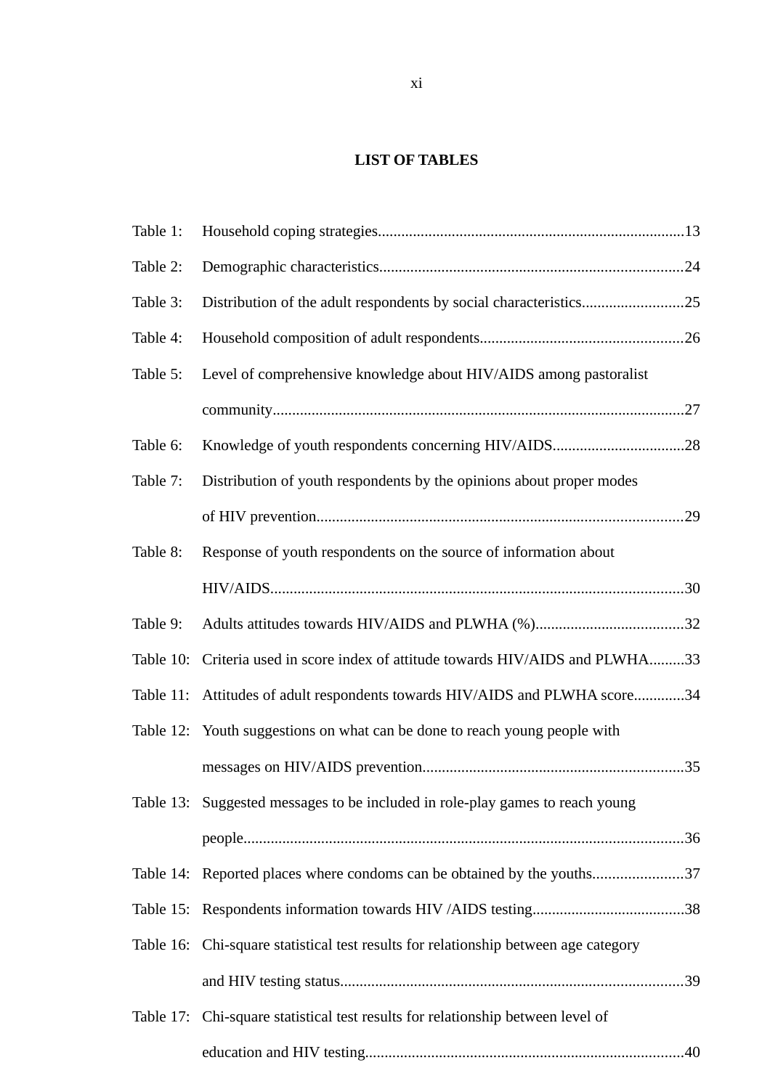# <span id="page-10-0"></span>**LIST OF TABLES**

| Table 1: |                                                                                     |  |
|----------|-------------------------------------------------------------------------------------|--|
| Table 2: |                                                                                     |  |
| Table 3: | Distribution of the adult respondents by social characteristics25                   |  |
| Table 4: |                                                                                     |  |
| Table 5: | Level of comprehensive knowledge about HIV/AIDS among pastoralist                   |  |
|          |                                                                                     |  |
| Table 6: | Knowledge of youth respondents concerning HIV/AIDS28                                |  |
| Table 7: | Distribution of youth respondents by the opinions about proper modes                |  |
|          |                                                                                     |  |
| Table 8: | Response of youth respondents on the source of information about                    |  |
|          |                                                                                     |  |
| Table 9: |                                                                                     |  |
|          | Table 10: Criteria used in score index of attitude towards HIV/AIDS and PLWHA33     |  |
|          | Table 11: Attitudes of adult respondents towards HIV/AIDS and PLWHA score34         |  |
|          | Table 12: Youth suggestions on what can be done to reach young people with          |  |
|          |                                                                                     |  |
|          | Table 13: Suggested messages to be included in role-play games to reach young       |  |
|          |                                                                                     |  |
|          | Table 14: Reported places where condoms can be obtained by the youths37             |  |
|          |                                                                                     |  |
|          | Table 16: Chi-square statistical test results for relationship between age category |  |
|          |                                                                                     |  |
|          | Table 17: Chi-square statistical test results for relationship between level of     |  |
|          |                                                                                     |  |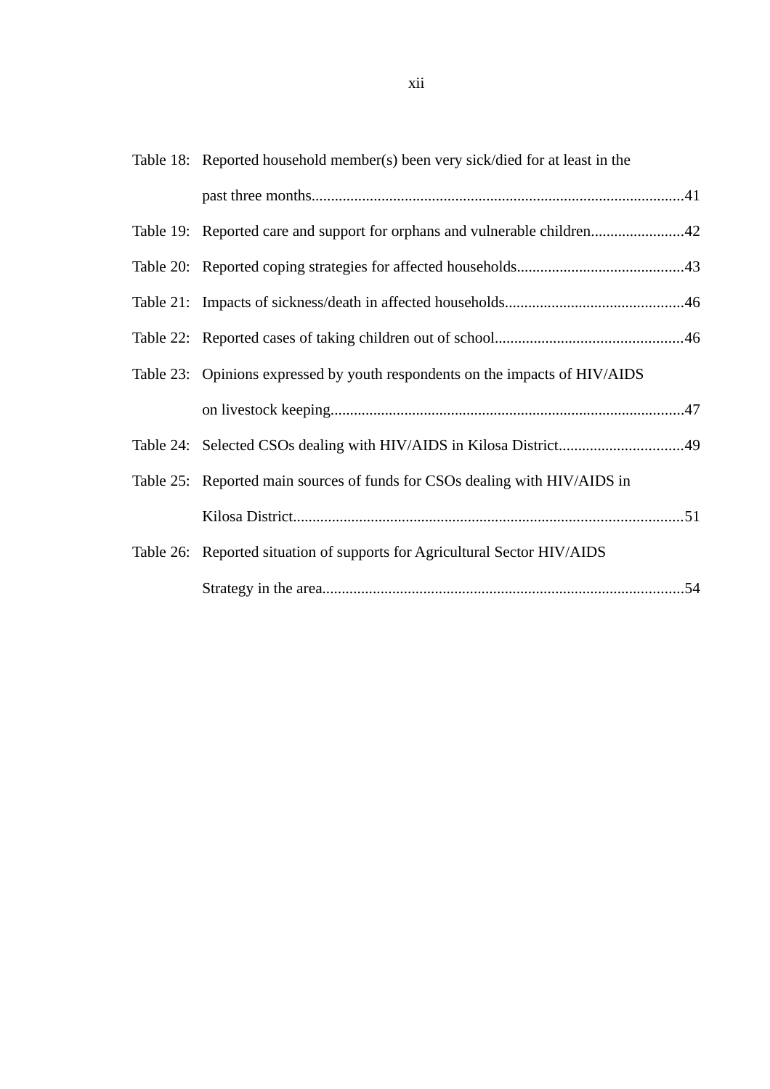| Table 18: Reported household member(s) been very sick/died for at least in the |  |
|--------------------------------------------------------------------------------|--|
|                                                                                |  |
| Table 19: Reported care and support for orphans and vulnerable children42      |  |
|                                                                                |  |
|                                                                                |  |
|                                                                                |  |
| Table 23: Opinions expressed by youth respondents on the impacts of HIV/AIDS   |  |
|                                                                                |  |
| Table 24: Selected CSOs dealing with HIV/AIDS in Kilosa District49             |  |
| Table 25: Reported main sources of funds for CSOs dealing with HIV/AIDS in     |  |
|                                                                                |  |
| Table 26: Reported situation of supports for Agricultural Sector HIV/AIDS      |  |
|                                                                                |  |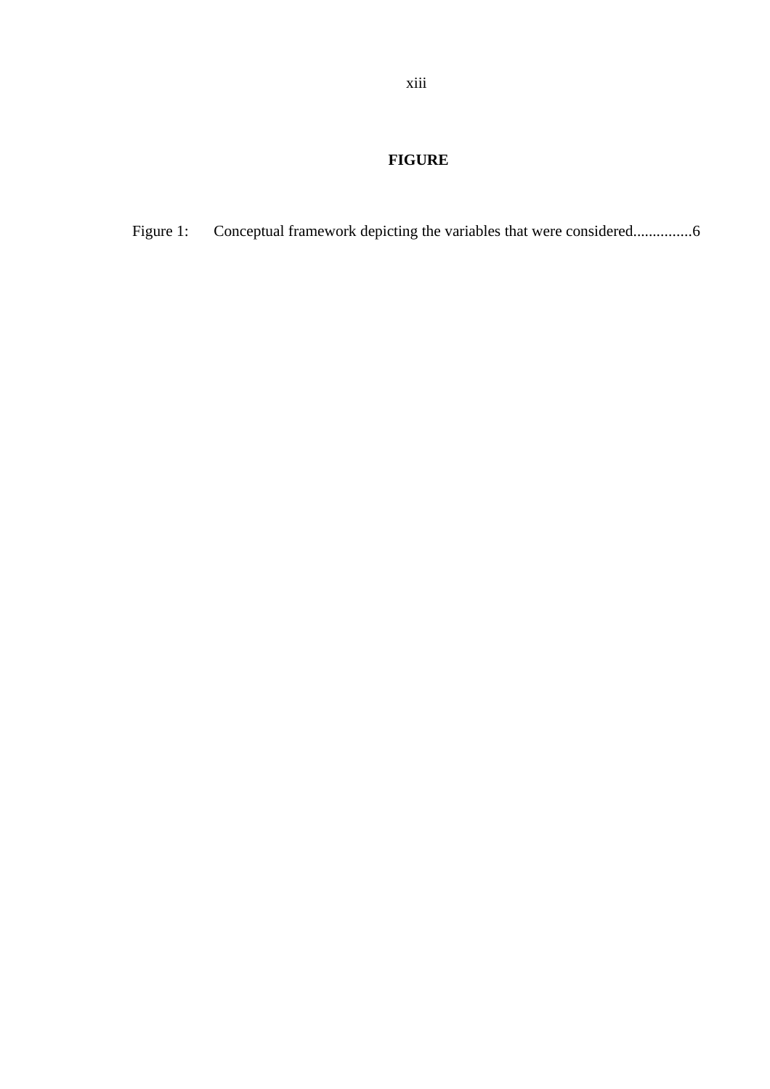# <span id="page-12-0"></span> **FIGURE**

Figure 1: Conceptual framework depicting the variables that were considered................6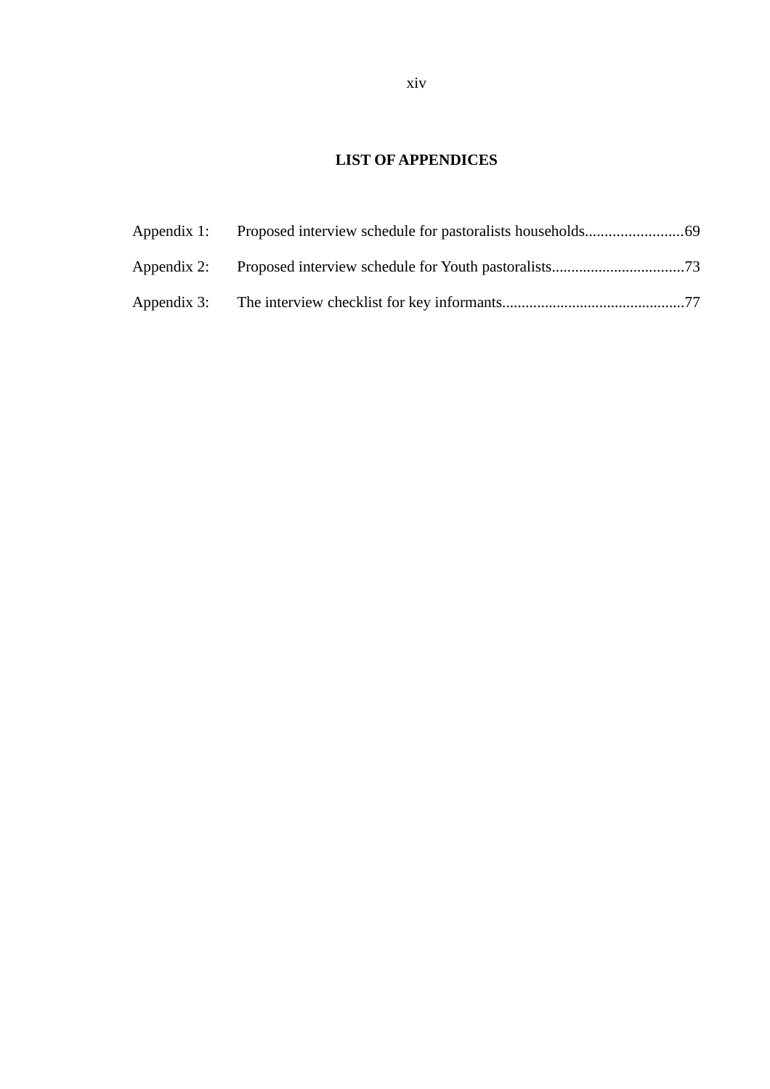# <span id="page-13-0"></span>**LIST OF APPENDICES**

| Appendix 1: |  |
|-------------|--|
|             |  |
| Appendix 3: |  |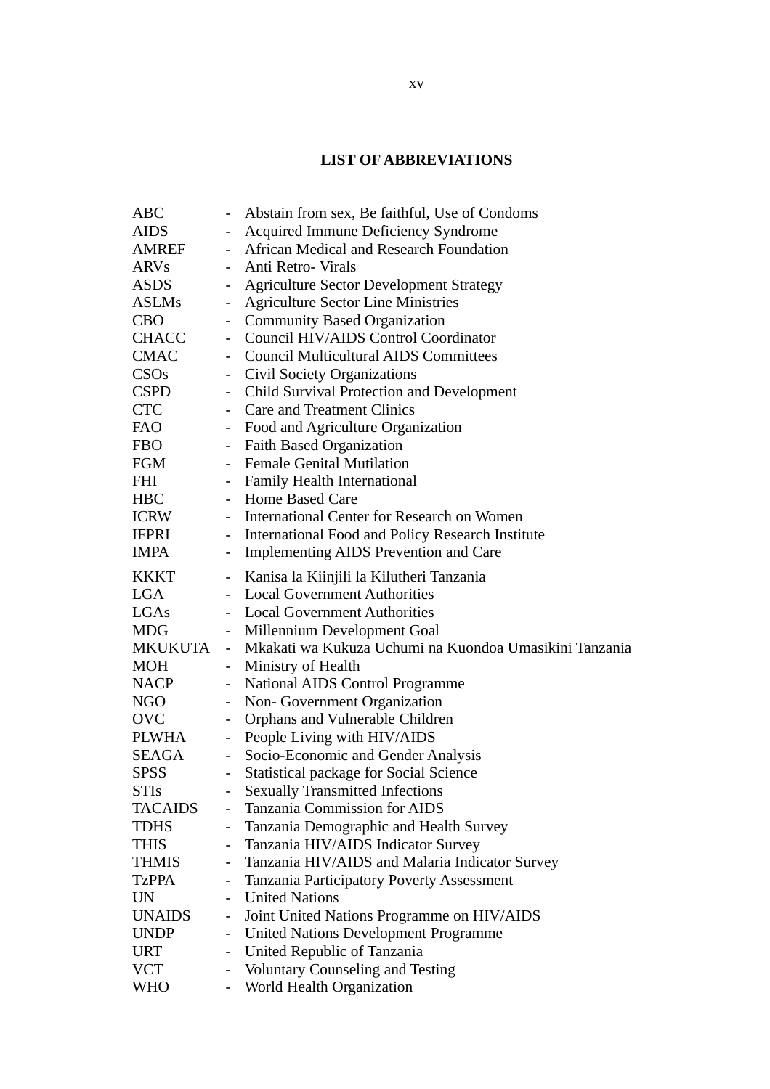# <span id="page-14-0"></span>**LIST OF ABBREVIATIONS**

| Abstain from sex, Be faithful, Use of Condoms<br>ABC<br>Acquired Immune Deficiency Syndrome<br><b>AIDS</b><br>$\overline{\phantom{0}}$<br>African Medical and Research Foundation<br>AMREF<br>$\sim$<br>Anti Retro- Virals<br><b>ARVs</b><br>$\mathbf{L}^{\mathcal{A}}$<br><b>ASDS</b><br><b>Agriculture Sector Development Strategy</b><br><b>Agriculture Sector Line Ministries</b><br><b>ASLMs</b><br>$\sim$ |  |
|-----------------------------------------------------------------------------------------------------------------------------------------------------------------------------------------------------------------------------------------------------------------------------------------------------------------------------------------------------------------------------------------------------------------|--|
|                                                                                                                                                                                                                                                                                                                                                                                                                 |  |
|                                                                                                                                                                                                                                                                                                                                                                                                                 |  |
|                                                                                                                                                                                                                                                                                                                                                                                                                 |  |
|                                                                                                                                                                                                                                                                                                                                                                                                                 |  |
|                                                                                                                                                                                                                                                                                                                                                                                                                 |  |
|                                                                                                                                                                                                                                                                                                                                                                                                                 |  |
| <b>Community Based Organization</b><br><b>CBO</b>                                                                                                                                                                                                                                                                                                                                                               |  |
| Council HIV/AIDS Control Coordinator<br><b>CHACC</b><br>$\blacksquare$                                                                                                                                                                                                                                                                                                                                          |  |
| <b>CMAC</b><br>- Council Multicultural AIDS Committees                                                                                                                                                                                                                                                                                                                                                          |  |
| CSOs<br><b>Civil Society Organizations</b><br>$\sim$                                                                                                                                                                                                                                                                                                                                                            |  |
| - Child Survival Protection and Development<br><b>CSPD</b>                                                                                                                                                                                                                                                                                                                                                      |  |
| <b>CTC</b><br>- Care and Treatment Clinics                                                                                                                                                                                                                                                                                                                                                                      |  |
| FAO<br>Food and Agriculture Organization<br>$\blacksquare$                                                                                                                                                                                                                                                                                                                                                      |  |
| - Faith Based Organization<br><b>FBO</b>                                                                                                                                                                                                                                                                                                                                                                        |  |
| - Female Genital Mutilation<br>FGM                                                                                                                                                                                                                                                                                                                                                                              |  |
| - Family Health International<br>FHI                                                                                                                                                                                                                                                                                                                                                                            |  |
| - Home Based Care<br><b>HBC</b>                                                                                                                                                                                                                                                                                                                                                                                 |  |
| - International Center for Research on Women<br>ICRW                                                                                                                                                                                                                                                                                                                                                            |  |
| <b>IFPRI</b><br>International Food and Policy Research Institute<br>$\sim$                                                                                                                                                                                                                                                                                                                                      |  |
| IMPA<br><b>Implementing AIDS Prevention and Care</b><br>$\qquad \qquad \blacksquare$                                                                                                                                                                                                                                                                                                                            |  |
| Kanisa la Kiinjili la Kilutheri Tanzania<br>KKKT<br>$\overline{\phantom{0}}$                                                                                                                                                                                                                                                                                                                                    |  |
| <b>Local Government Authorities</b><br>LGA                                                                                                                                                                                                                                                                                                                                                                      |  |
| LGAs<br>- Local Government Authorities                                                                                                                                                                                                                                                                                                                                                                          |  |
| Millennium Development Goal<br>MDG<br>$\sim$                                                                                                                                                                                                                                                                                                                                                                    |  |
| - Mkakati wa Kukuza Uchumi na Kuondoa Umasikini Tanzania<br>MKUKUTA                                                                                                                                                                                                                                                                                                                                             |  |
| Ministry of Health<br>MOH<br>$\sim$                                                                                                                                                                                                                                                                                                                                                                             |  |
| NACP<br>National AIDS Control Programme<br>$\blacksquare$                                                                                                                                                                                                                                                                                                                                                       |  |
| Non- Government Organization<br>NGO<br>$\overline{\phantom{0}}$                                                                                                                                                                                                                                                                                                                                                 |  |
| Orphans and Vulnerable Children<br><b>OVC</b><br>$\qquad \qquad \blacksquare$                                                                                                                                                                                                                                                                                                                                   |  |
| People Living with HIV/AIDS<br>PLWHA<br>$\blacksquare$                                                                                                                                                                                                                                                                                                                                                          |  |
| Socio-Economic and Gender Analysis<br>SEAGA<br>$\frac{1}{2}$                                                                                                                                                                                                                                                                                                                                                    |  |
| <b>Statistical package for Social Science</b><br><b>SPSS</b>                                                                                                                                                                                                                                                                                                                                                    |  |
| <b>Sexually Transmitted Infections</b><br><b>STIs</b>                                                                                                                                                                                                                                                                                                                                                           |  |
| Tanzania Commission for AIDS<br><b>TACAIDS</b><br>-                                                                                                                                                                                                                                                                                                                                                             |  |
| Tanzania Demographic and Health Survey<br>TDHS<br>$\overline{\phantom{0}}$                                                                                                                                                                                                                                                                                                                                      |  |
| Tanzania HIV/AIDS Indicator Survey<br><b>THIS</b><br>-                                                                                                                                                                                                                                                                                                                                                          |  |
| <b>THMIS</b><br>Tanzania HIV/AIDS and Malaria Indicator Survey<br>-                                                                                                                                                                                                                                                                                                                                             |  |
| Tanzania Participatory Poverty Assessment<br><b>TzPPA</b><br>-                                                                                                                                                                                                                                                                                                                                                  |  |
| <b>United Nations</b><br>UN                                                                                                                                                                                                                                                                                                                                                                                     |  |
| <b>UNAIDS</b><br>Joint United Nations Programme on HIV/AIDS<br>$\overline{\phantom{0}}$                                                                                                                                                                                                                                                                                                                         |  |
| <b>United Nations Development Programme</b><br><b>UNDP</b>                                                                                                                                                                                                                                                                                                                                                      |  |
| United Republic of Tanzania<br><b>URT</b><br>$\overline{\phantom{0}}$                                                                                                                                                                                                                                                                                                                                           |  |
| <b>VCT</b><br><b>Voluntary Counseling and Testing</b><br>$\qquad \qquad \blacksquare$                                                                                                                                                                                                                                                                                                                           |  |
| World Health Organization<br>WHO<br>$\qquad \qquad \blacksquare$                                                                                                                                                                                                                                                                                                                                                |  |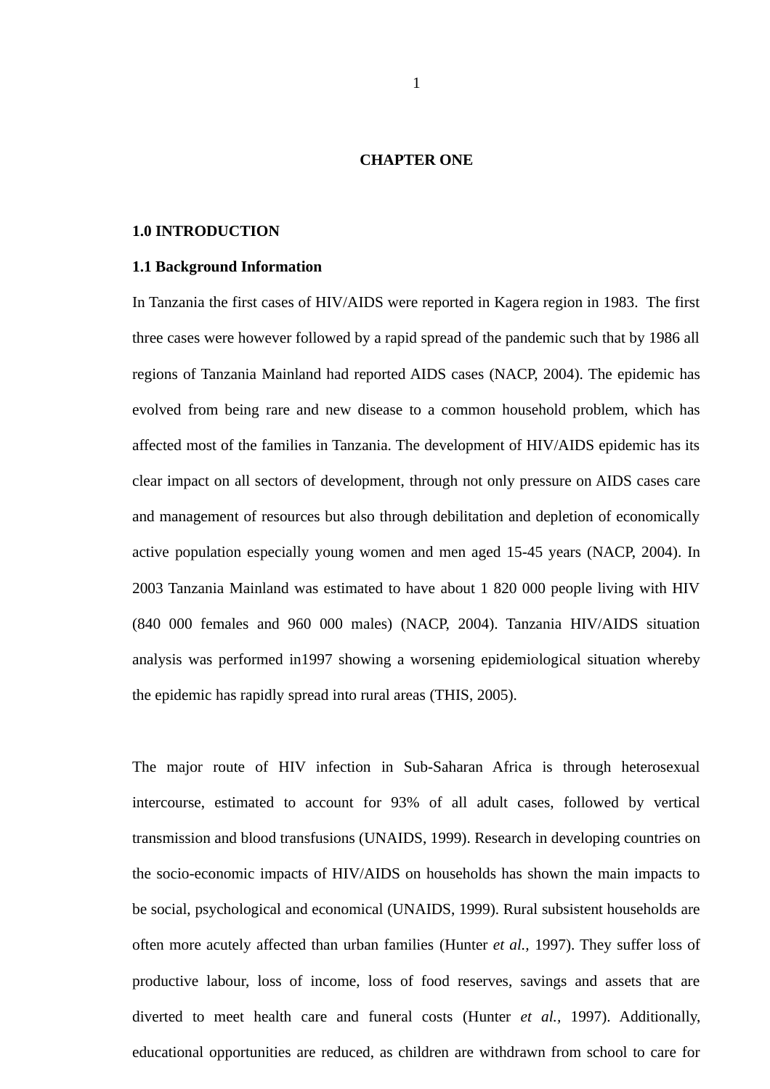#### <span id="page-15-2"></span>**CHAPTER ONE**

#### <span id="page-15-1"></span>**1.0 INTRODUCTION**

#### <span id="page-15-0"></span>**1.1 Background Information**

In Tanzania the first cases of HIV/AIDS were reported in Kagera region in 1983. The first three cases were however followed by a rapid spread of the pandemic such that by 1986 all regions of Tanzania Mainland had reported AIDS cases (NACP, 2004). The epidemic has evolved from being rare and new disease to a common household problem, which has affected most of the families in Tanzania. The development of HIV/AIDS epidemic has its clear impact on all sectors of development, through not only pressure on AIDS cases care and management of resources but also through debilitation and depletion of economically active population especially young women and men aged 15-45 years (NACP, 2004). In 2003 Tanzania Mainland was estimated to have about 1 820 000 people living with HIV (840 000 females and 960 000 males) (NACP, 2004). Tanzania HIV/AIDS situation analysis was performed in1997 showing a worsening epidemiological situation whereby the epidemic has rapidly spread into rural areas (THIS, 2005).

The major route of HIV infection in Sub-Saharan Africa is through heterosexual intercourse, estimated to account for 93% of all adult cases, followed by vertical transmission and blood transfusions (UNAIDS, 1999). Research in developing countries on the socio-economic impacts of HIV/AIDS on households has shown the main impacts to be social, psychological and economical (UNAIDS, 1999). Rural subsistent households are often more acutely affected than urban families (Hunter *et al.,* 1997). They suffer loss of productive labour, loss of income, loss of food reserves, savings and assets that are diverted to meet health care and funeral costs (Hunter *et al.,* 1997). Additionally, educational opportunities are reduced, as children are withdrawn from school to care for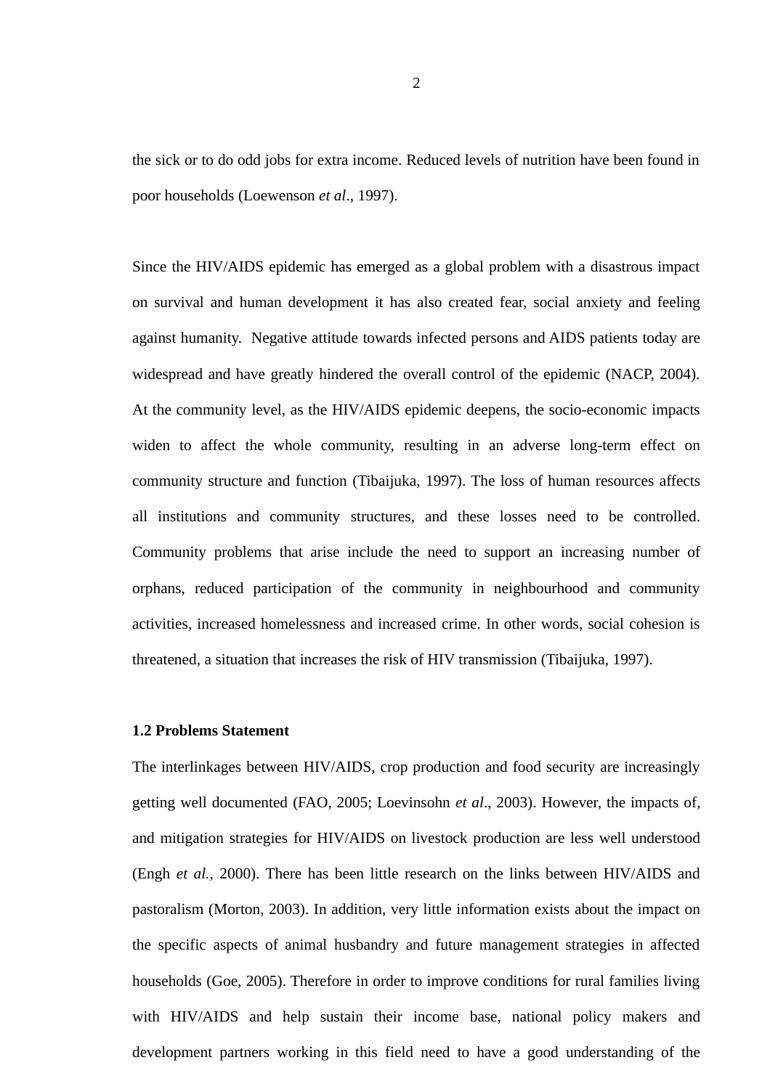the sick or to do odd jobs for extra income. Reduced levels of nutrition have been found in poor households (Loewenson *et al*., 1997).

Since the HIV/AIDS epidemic has emerged as a global problem with a disastrous impact on survival and human development it has also created fear, social anxiety and feeling against humanity. Negative attitude towards infected persons and AIDS patients today are widespread and have greatly hindered the overall control of the epidemic (NACP, 2004). At the community level, as the HIV/AIDS epidemic deepens, the socio-economic impacts widen to affect the whole community, resulting in an adverse long-term effect on community structure and function (Tibaijuka, 1997). The loss of human resources affects all institutions and community structures, and these losses need to be controlled. Community problems that arise include the need to support an increasing number of orphans, reduced participation of the community in neighbourhood and community activities, increased homelessness and increased crime. In other words, social cohesion is threatened, a situation that increases the risk of HIV transmission (Tibaijuka, 1997).

# <span id="page-16-0"></span>**1.2 Problems Statement**

The interlinkages between HIV/AIDS, crop production and food security are increasingly getting well documented (FAO, 2005; Loevinsohn *et al*., 2003). However, the impacts of, and mitigation strategies for HIV/AIDS on livestock production are less well understood (Engh *et al.,* 2000). There has been little research on the links between HIV/AIDS and pastoralism (Morton, 2003). In addition, very little information exists about the impact on the specific aspects of animal husbandry and future management strategies in affected households (Goe, 2005). Therefore in order to improve conditions for rural families living with HIV/AIDS and help sustain their income base, national policy makers and development partners working in this field need to have a good understanding of the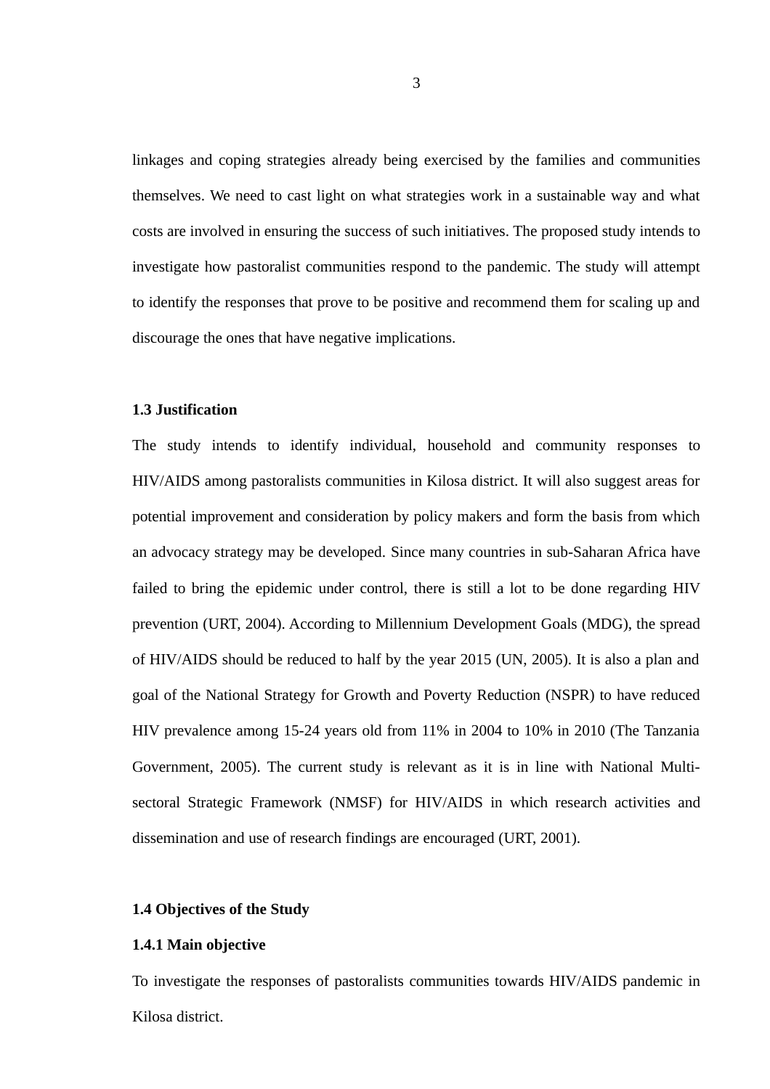linkages and coping strategies already being exercised by the families and communities themselves. We need to cast light on what strategies work in a sustainable way and what costs are involved in ensuring the success of such initiatives. The proposed study intends to investigate how pastoralist communities respond to the pandemic. The study will attempt to identify the responses that prove to be positive and recommend them for scaling up and discourage the ones that have negative implications.

## <span id="page-17-2"></span>**1.3 Justification**

The study intends to identify individual, household and community responses to HIV/AIDS among pastoralists communities in Kilosa district. It will also suggest areas for potential improvement and consideration by policy makers and form the basis from which an advocacy strategy may be developed. Since many countries in sub-Saharan Africa have failed to bring the epidemic under control, there is still a lot to be done regarding HIV prevention (URT, 2004). According to Millennium Development Goals (MDG), the spread of HIV/AIDS should be reduced to half by the year 2015 (UN, 2005). It is also a plan and goal of the National Strategy for Growth and Poverty Reduction (NSPR) to have reduced HIV prevalence among 15-24 years old from 11% in 2004 to 10% in 2010 (The Tanzania Government, 2005). The current study is relevant as it is in line with National Multisectoral Strategic Framework (NMSF) for HIV/AIDS in which research activities and dissemination and use of research findings are encouraged (URT, 2001).

# <span id="page-17-1"></span>**1.4 Objectives of the Study**

## <span id="page-17-0"></span>**1.4.1 Main objective**

To investigate the responses of pastoralists communities towards HIV/AIDS pandemic in Kilosa district.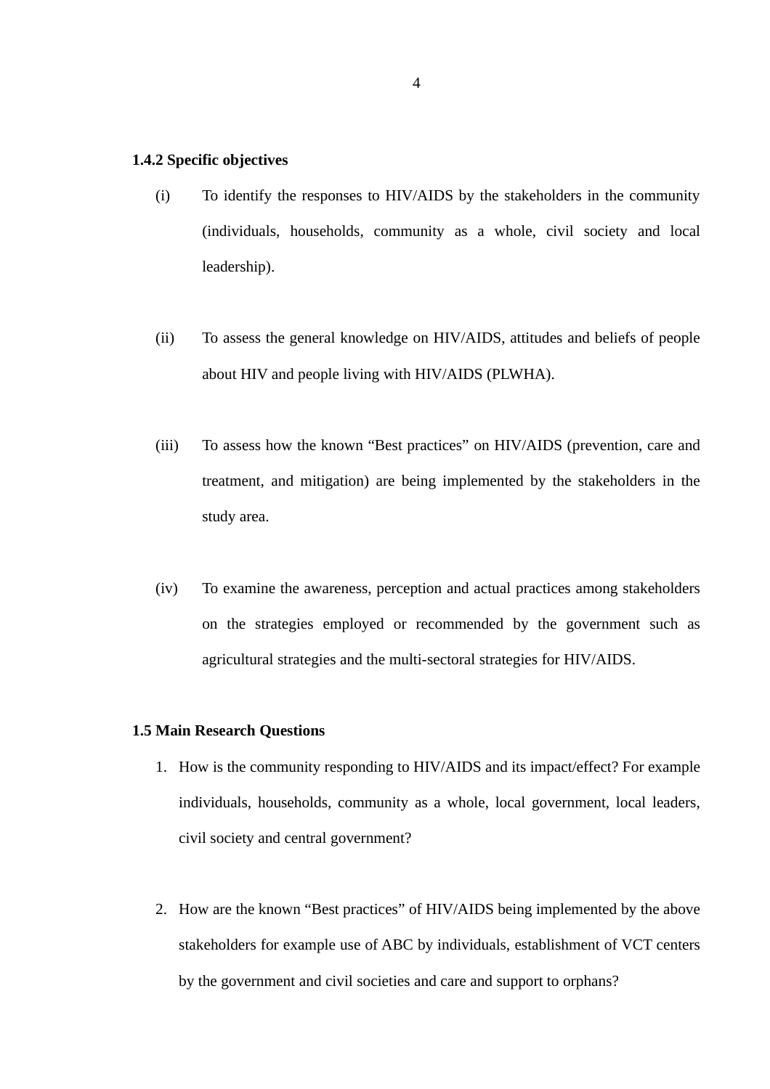#### <span id="page-18-1"></span>**1.4.2 Specific objectives**

- (i) To identify the responses to HIV/AIDS by the stakeholders in the community (individuals, households, community as a whole, civil society and local leadership).
- (ii) To assess the general knowledge on HIV/AIDS, attitudes and beliefs of people about HIV and people living with HIV/AIDS (PLWHA).
- (iii) To assess how the known "Best practices" on HIV/AIDS (prevention, care and treatment, and mitigation) are being implemented by the stakeholders in the study area.
- (iv) To examine the awareness, perception and actual practices among stakeholders on the strategies employed or recommended by the government such as agricultural strategies and the multi-sectoral strategies for HIV/AIDS.

#### <span id="page-18-0"></span>**1.5 Main Research Questions**

- 1. How is the community responding to HIV/AIDS and its impact/effect? For example individuals, households, community as a whole, local government, local leaders, civil society and central government?
- 2. How are the known "Best practices" of HIV/AIDS being implemented by the above stakeholders for example use of ABC by individuals, establishment of VCT centers by the government and civil societies and care and support to orphans?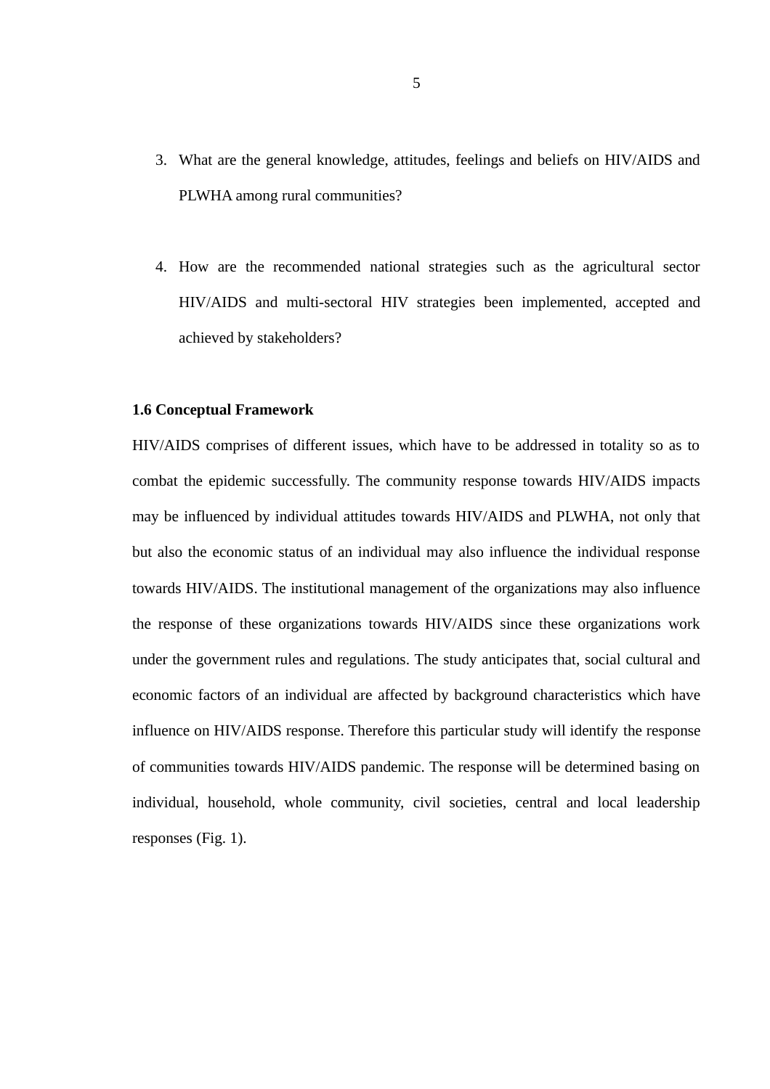- 3. What are the general knowledge, attitudes, feelings and beliefs on HIV/AIDS and PLWHA among rural communities?
- 4. How are the recommended national strategies such as the agricultural sector HIV/AIDS and multi-sectoral HIV strategies been implemented, accepted and achieved by stakeholders?

# <span id="page-19-0"></span>**1.6 Conceptual Framework**

HIV/AIDS comprises of different issues, which have to be addressed in totality so as to combat the epidemic successfully. The community response towards HIV/AIDS impacts may be influenced by individual attitudes towards HIV/AIDS and PLWHA, not only that but also the economic status of an individual may also influence the individual response towards HIV/AIDS. The institutional management of the organizations may also influence the response of these organizations towards HIV/AIDS since these organizations work under the government rules and regulations. The study anticipates that, social cultural and economic factors of an individual are affected by background characteristics which have influence on HIV/AIDS response. Therefore this particular study will identify the response of communities towards HIV/AIDS pandemic. The response will be determined basing on individual, household, whole community, civil societies, central and local leadership responses (Fig. 1).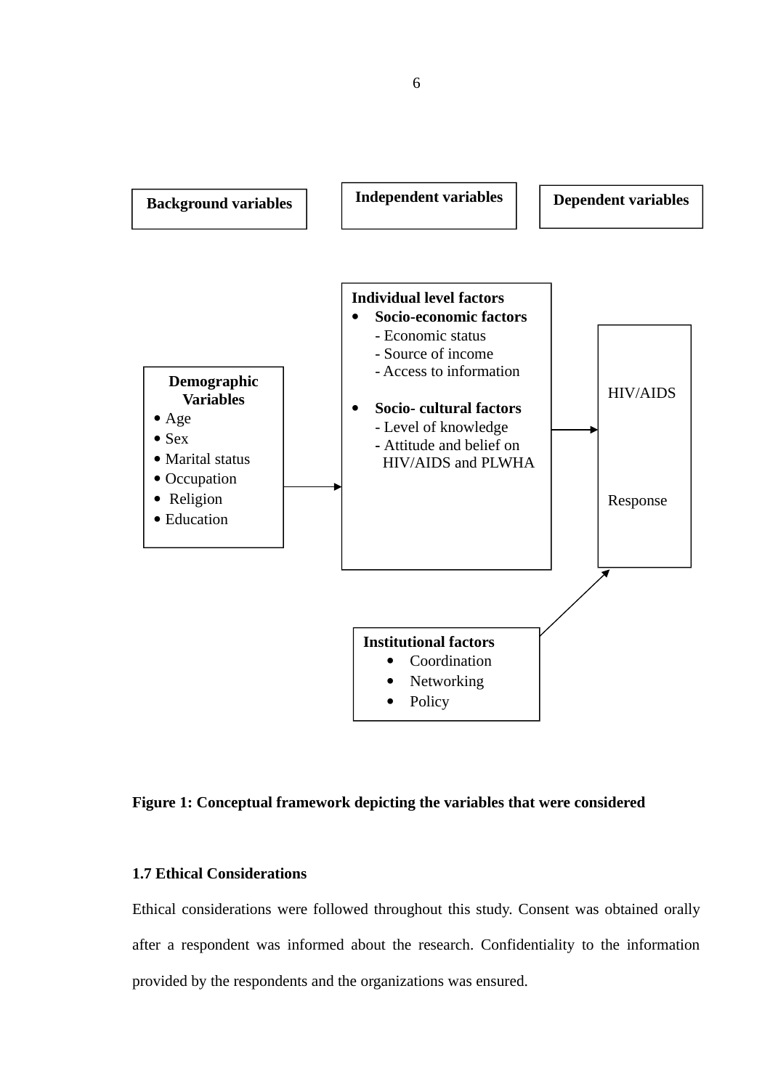

# <span id="page-20-1"></span>**Figure 1: Conceptual framework depicting the variables that were considered**

# <span id="page-20-0"></span>**1.7 Ethical Considerations**

Ethical considerations were followed throughout this study. Consent was obtained orally after a respondent was informed about the research. Confidentiality to the information provided by the respondents and the organizations was ensured.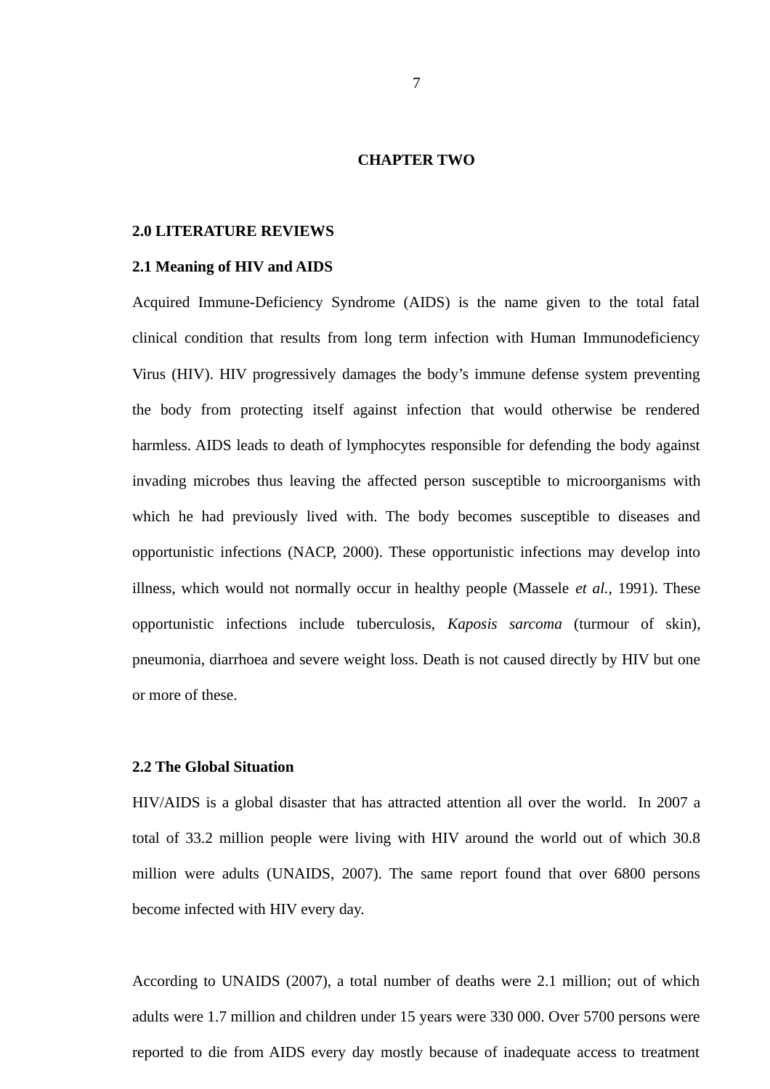#### <span id="page-21-3"></span>**CHAPTER TWO**

#### <span id="page-21-2"></span>**2.0 LITERATURE REVIEWS**

#### <span id="page-21-1"></span>**2.1 Meaning of HIV and AIDS**

Acquired Immune-Deficiency Syndrome (AIDS) is the name given to the total fatal clinical condition that results from long term infection with Human Immunodeficiency Virus (HIV). HIV progressively damages the body's immune defense system preventing the body from protecting itself against infection that would otherwise be rendered harmless. AIDS leads to death of lymphocytes responsible for defending the body against invading microbes thus leaving the affected person susceptible to microorganisms with which he had previously lived with. The body becomes susceptible to diseases and opportunistic infections (NACP, 2000). These opportunistic infections may develop into illness, which would not normally occur in healthy people (Massele *et al.,* 1991). These opportunistic infections include tuberculosis, *Kaposis sarcoma* (turmour of skin), pneumonia, diarrhoea and severe weight loss. Death is not caused directly by HIV but one or more of these.

#### <span id="page-21-0"></span>**2.2 The Global Situation**

HIV/AIDS is a global disaster that has attracted attention all over the world. In 2007 a total of 33.2 million people were living with HIV around the world out of which 30.8 million were adults (UNAIDS, 2007). The same report found that over 6800 persons become infected with HIV every day.

According to UNAIDS (2007), a total number of deaths were 2.1 million; out of which adults were 1.7 million and children under 15 years were 330 000. Over 5700 persons were reported to die from AIDS every day mostly because of inadequate access to treatment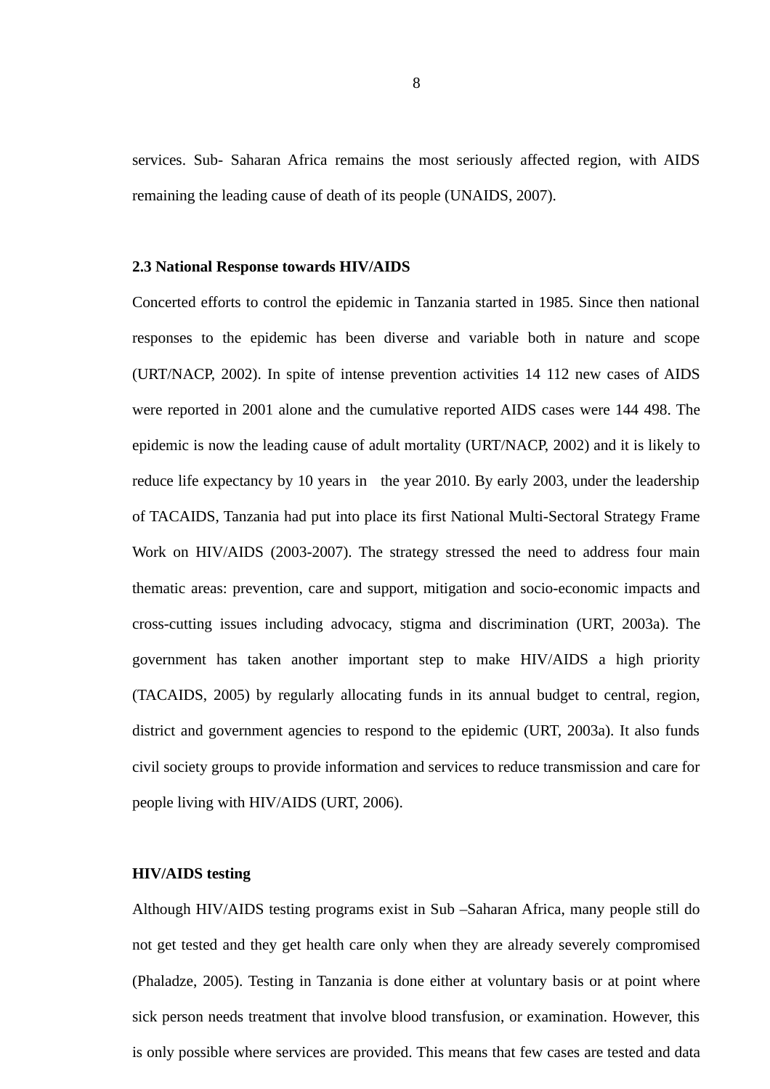services. Sub- Saharan Africa remains the most seriously affected region, with AIDS remaining the leading cause of death of its people (UNAIDS, 2007).

#### <span id="page-22-1"></span>**2.3 National Response towards HIV/AIDS**

Concerted efforts to control the epidemic in Tanzania started in 1985. Since then national responses to the epidemic has been diverse and variable both in nature and scope (URT/NACP, 2002). In spite of intense prevention activities 14 112 new cases of AIDS were reported in 2001 alone and the cumulative reported AIDS cases were 144 498. The epidemic is now the leading cause of adult mortality (URT/NACP, 2002) and it is likely to reduce life expectancy by 10 years in the year 2010. By early 2003, under the leadership of TACAIDS, Tanzania had put into place its first National Multi-Sectoral Strategy Frame Work on HIV/AIDS (2003-2007). The strategy stressed the need to address four main thematic areas: prevention, care and support, mitigation and socio-economic impacts and cross-cutting issues including advocacy, stigma and discrimination (URT, 2003a). The government has taken another important step to make HIV/AIDS a high priority (TACAIDS, 2005) by regularly allocating funds in its annual budget to central, region, district and government agencies to respond to the epidemic (URT, 2003a). It also funds civil society groups to provide information and services to reduce transmission and care for people living with HIV/AIDS (URT, 2006).

## <span id="page-22-0"></span>**HIV/AIDS testing**

Although HIV/AIDS testing programs exist in Sub –Saharan Africa, many people still do not get tested and they get health care only when they are already severely compromised (Phaladze, 2005). Testing in Tanzania is done either at voluntary basis or at point where sick person needs treatment that involve blood transfusion, or examination. However, this is only possible where services are provided. This means that few cases are tested and data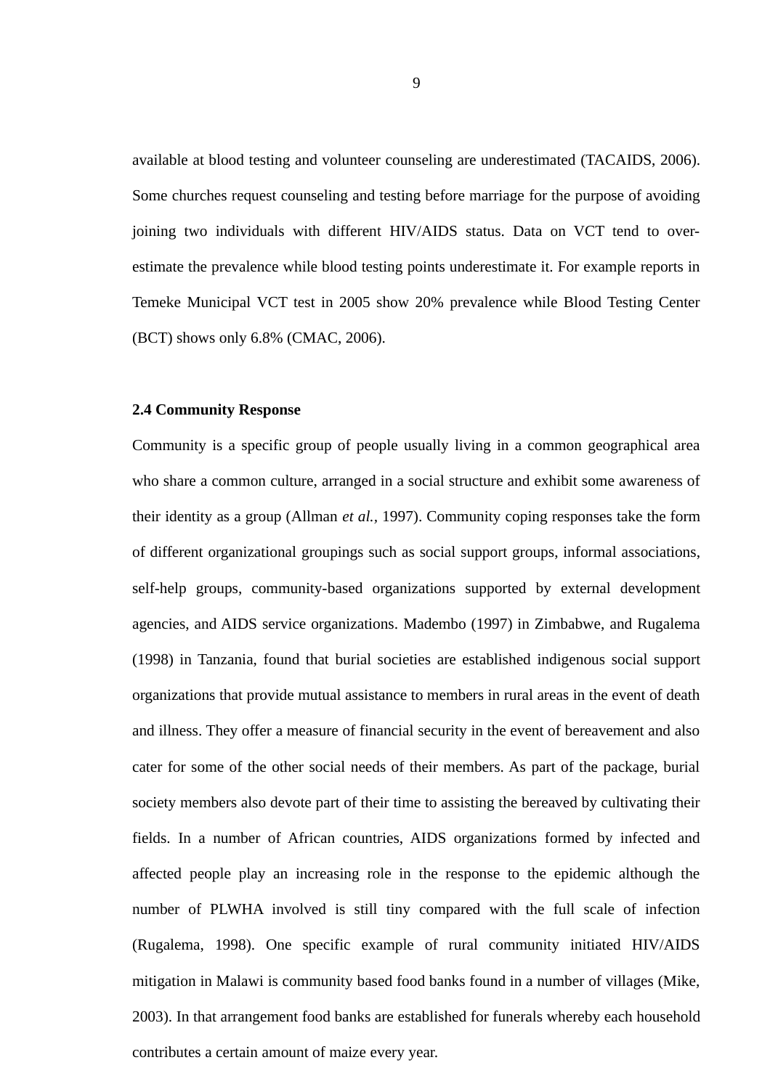available at blood testing and volunteer counseling are underestimated (TACAIDS, 2006). Some churches request counseling and testing before marriage for the purpose of avoiding joining two individuals with different HIV/AIDS status. Data on VCT tend to overestimate the prevalence while blood testing points underestimate it. For example reports in Temeke Municipal VCT test in 2005 show 20% prevalence while Blood Testing Center (BCT) shows only 6.8% (CMAC, 2006).

#### <span id="page-23-0"></span>**2.4 Community Response**

Community is a specific group of people usually living in a common geographical area who share a common culture, arranged in a social structure and exhibit some awareness of their identity as a group (Allman *et al.,* 1997). Community coping responses take the form of different organizational groupings such as social support groups, informal associations, self-help groups, community-based organizations supported by external development agencies, and AIDS service organizations. Madembo (1997) in Zimbabwe, and Rugalema (1998) in Tanzania, found that burial societies are established indigenous social support organizations that provide mutual assistance to members in rural areas in the event of death and illness. They offer a measure of financial security in the event of bereavement and also cater for some of the other social needs of their members. As part of the package, burial society members also devote part of their time to assisting the bereaved by cultivating their fields. In a number of African countries, AIDS organizations formed by infected and affected people play an increasing role in the response to the epidemic although the number of PLWHA involved is still tiny compared with the full scale of infection (Rugalema, 1998). One specific example of rural community initiated HIV/AIDS mitigation in Malawi is community based food banks found in a number of villages (Mike, 2003). In that arrangement food banks are established for funerals whereby each household contributes a certain amount of maize every year.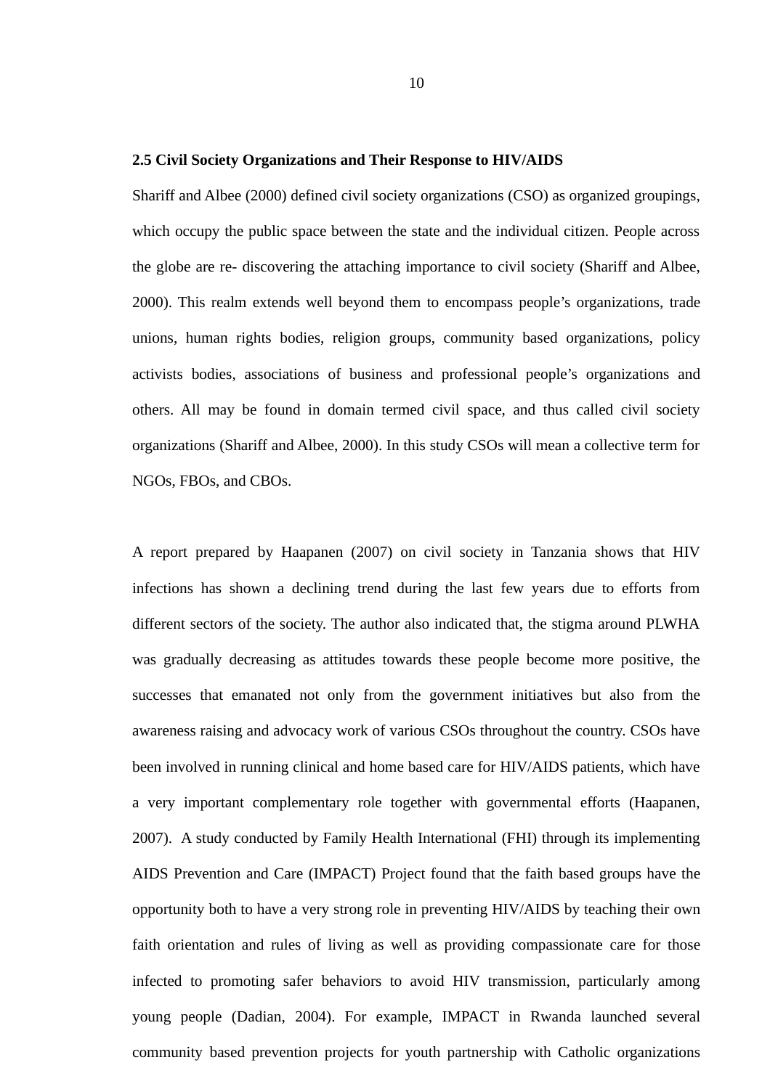#### <span id="page-24-0"></span>**2.5 Civil Society Organizations and Their Response to HIV/AIDS**

Shariff and Albee (2000) defined civil society organizations (CSO) as organized groupings, which occupy the public space between the state and the individual citizen. People across the globe are re- discovering the attaching importance to civil society (Shariff and Albee, 2000). This realm extends well beyond them to encompass people's organizations, trade unions, human rights bodies, religion groups, community based organizations, policy activists bodies, associations of business and professional people's organizations and others. All may be found in domain termed civil space, and thus called civil society organizations (Shariff and Albee, 2000). In this study CSOs will mean a collective term for NGOs, FBOs, and CBOs.

A report prepared by Haapanen (2007) on civil society in Tanzania shows that HIV infections has shown a declining trend during the last few years due to efforts from different sectors of the society. The author also indicated that, the stigma around PLWHA was gradually decreasing as attitudes towards these people become more positive, the successes that emanated not only from the government initiatives but also from the awareness raising and advocacy work of various CSOs throughout the country. CSOs have been involved in running clinical and home based care for HIV/AIDS patients, which have a very important complementary role together with governmental efforts (Haapanen, 2007). A study conducted by Family Health International (FHI) through its implementing AIDS Prevention and Care (IMPACT) Project found that the faith based groups have the opportunity both to have a very strong role in preventing HIV/AIDS by teaching their own faith orientation and rules of living as well as providing compassionate care for those infected to promoting safer behaviors to avoid HIV transmission, particularly among young people (Dadian, 2004). For example, IMPACT in Rwanda launched several community based prevention projects for youth partnership with Catholic organizations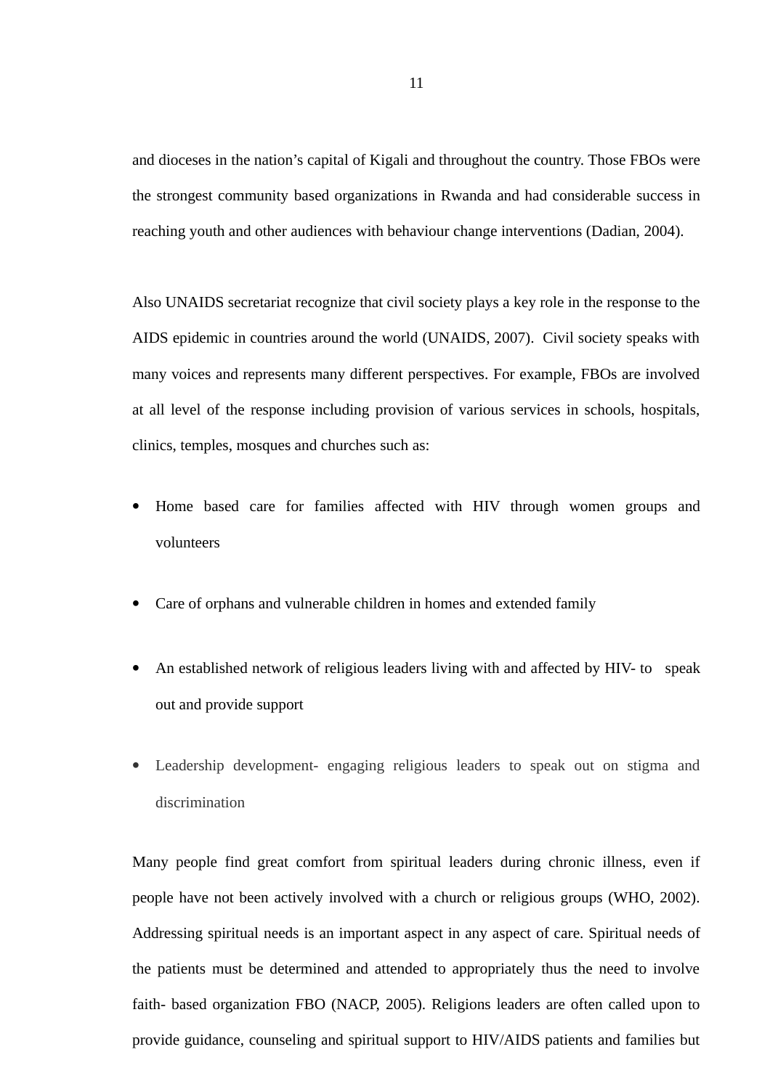and dioceses in the nation's capital of Kigali and throughout the country. Those FBOs were the strongest community based organizations in Rwanda and had considerable success in reaching youth and other audiences with behaviour change interventions (Dadian, 2004).

Also UNAIDS secretariat recognize that civil society plays a key role in the response to the AIDS epidemic in countries around the world (UNAIDS, 2007). Civil society speaks with many voices and represents many different perspectives. For example, FBOs are involved at all level of the response including provision of various services in schools, hospitals, clinics, temples, mosques and churches such as:

- Home based care for families affected with HIV through women groups and volunteers
- Care of orphans and vulnerable children in homes and extended family
- An established network of religious leaders living with and affected by HIV- to speak out and provide support
- Leadership development- engaging religious leaders to speak out on stigma and discrimination

Many people find great comfort from spiritual leaders during chronic illness, even if people have not been actively involved with a church or religious groups (WHO, 2002). Addressing spiritual needs is an important aspect in any aspect of care. Spiritual needs of the patients must be determined and attended to appropriately thus the need to involve faith- based organization FBO (NACP, 2005). Religions leaders are often called upon to provide guidance, counseling and spiritual support to HIV/AIDS patients and families but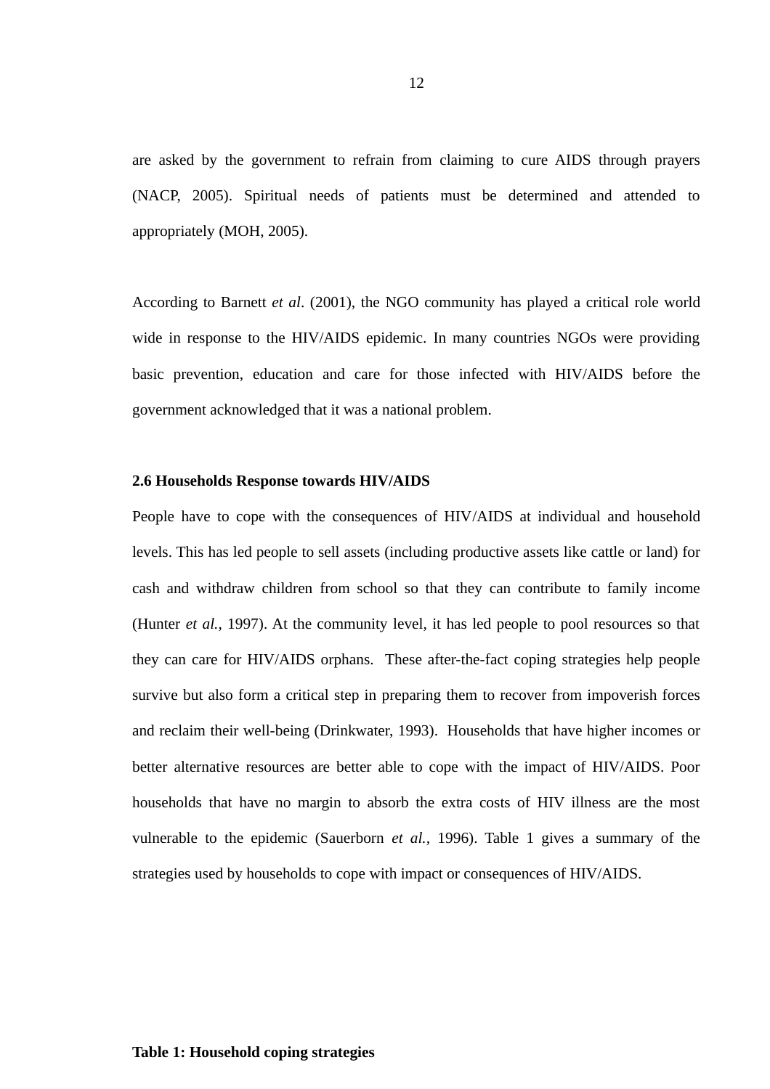are asked by the government to refrain from claiming to cure AIDS through prayers (NACP, 2005). Spiritual needs of patients must be determined and attended to appropriately (MOH, 2005).

According to Barnett *et al*. (2001), the NGO community has played a critical role world wide in response to the HIV/AIDS epidemic. In many countries NGOs were providing basic prevention, education and care for those infected with HIV/AIDS before the government acknowledged that it was a national problem.

## <span id="page-26-0"></span>**2.6 Households Response towards HIV/AIDS**

People have to cope with the consequences of HIV/AIDS at individual and household levels. This has led people to sell assets (including productive assets like cattle or land) for cash and withdraw children from school so that they can contribute to family income (Hunter *et al.*, 1997). At the community level, it has led people to pool resources so that they can care for HIV/AIDS orphans. These after-the-fact coping strategies help people survive but also form a critical step in preparing them to recover from impoverish forces and reclaim their well-being (Drinkwater, 1993). Households that have higher incomes or better alternative resources are better able to cope with the impact of HIV/AIDS. Poor households that have no margin to absorb the extra costs of HIV illness are the most vulnerable to the epidemic (Sauerborn *et al.,* 1996). Table 1 gives a summary of the strategies used by households to cope with impact or consequences of HIV/AIDS.

# <span id="page-26-1"></span>**Table 1: Household coping strategies**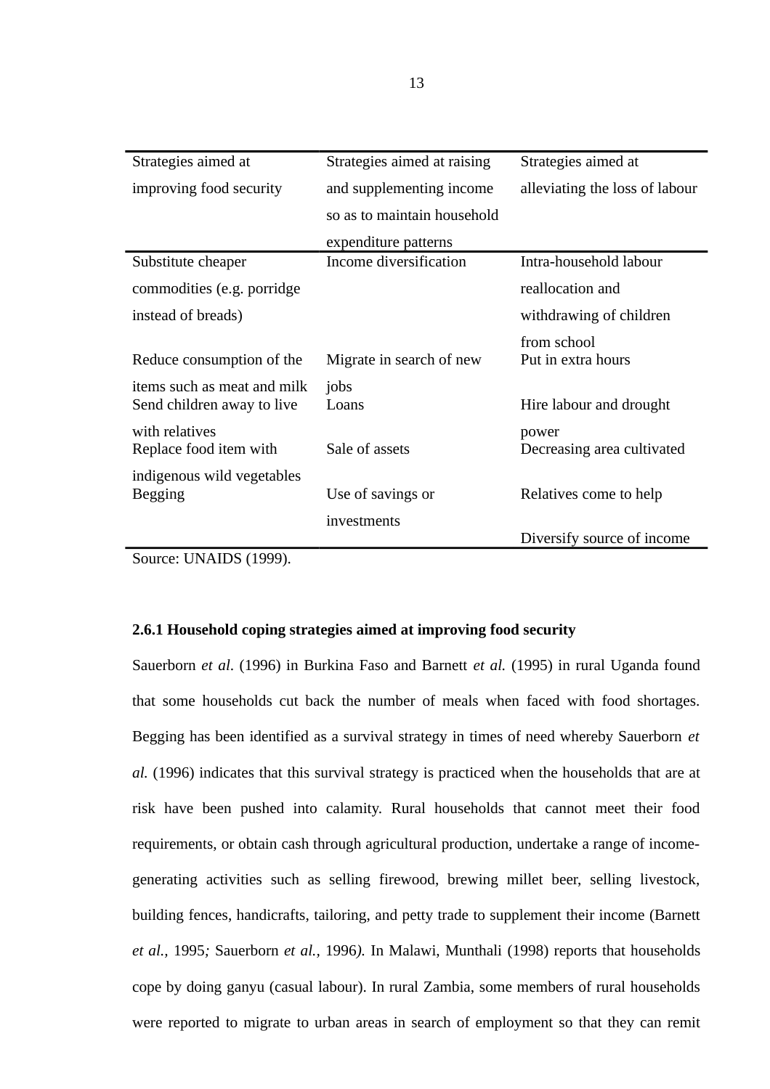| Strategies aimed at                                       | Strategies aimed at raising | Strategies aimed at            |
|-----------------------------------------------------------|-----------------------------|--------------------------------|
| improving food security                                   | and supplementing income    | alleviating the loss of labour |
|                                                           | so as to maintain household |                                |
|                                                           | expenditure patterns        |                                |
| Substitute cheaper                                        | Income diversification      | Intra-household labour         |
| commodities (e.g. porridge                                |                             | reallocation and               |
| instead of breads)                                        |                             | withdrawing of children        |
|                                                           |                             | from school                    |
| Reduce consumption of the                                 | Migrate in search of new    | Put in extra hours             |
| items such as meat and milk<br>Send children away to live | jobs<br>Loans               | Hire labour and drought        |
| with relatives                                            |                             | power                          |
| Replace food item with                                    | Sale of assets              | Decreasing area cultivated     |
| indigenous wild vegetables                                |                             |                                |
| <b>Begging</b>                                            | Use of savings or           | Relatives come to help         |
|                                                           | investments                 |                                |
|                                                           |                             | Diversify source of income     |

Source: UNAIDS (1999).

# <span id="page-27-0"></span>**2.6.1 Household coping strategies aimed at improving food security**

Sauerborn *et al*. (1996) in Burkina Faso and Barnett *et al.* (1995) in rural Uganda found that some households cut back the number of meals when faced with food shortages. Begging has been identified as a survival strategy in times of need whereby Sauerborn *et al.* (1996) indicates that this survival strategy is practiced when the households that are at risk have been pushed into calamity. Rural households that cannot meet their food requirements, or obtain cash through agricultural production, undertake a range of incomegenerating activities such as selling firewood, brewing millet beer, selling livestock, building fences, handicrafts, tailoring, and petty trade to supplement their income (Barnett *et al.,* 1995*;* Sauerborn *et al.,* 1996*).* In Malawi, Munthali (1998) reports that households cope by doing ganyu (casual labour). In rural Zambia, some members of rural households were reported to migrate to urban areas in search of employment so that they can remit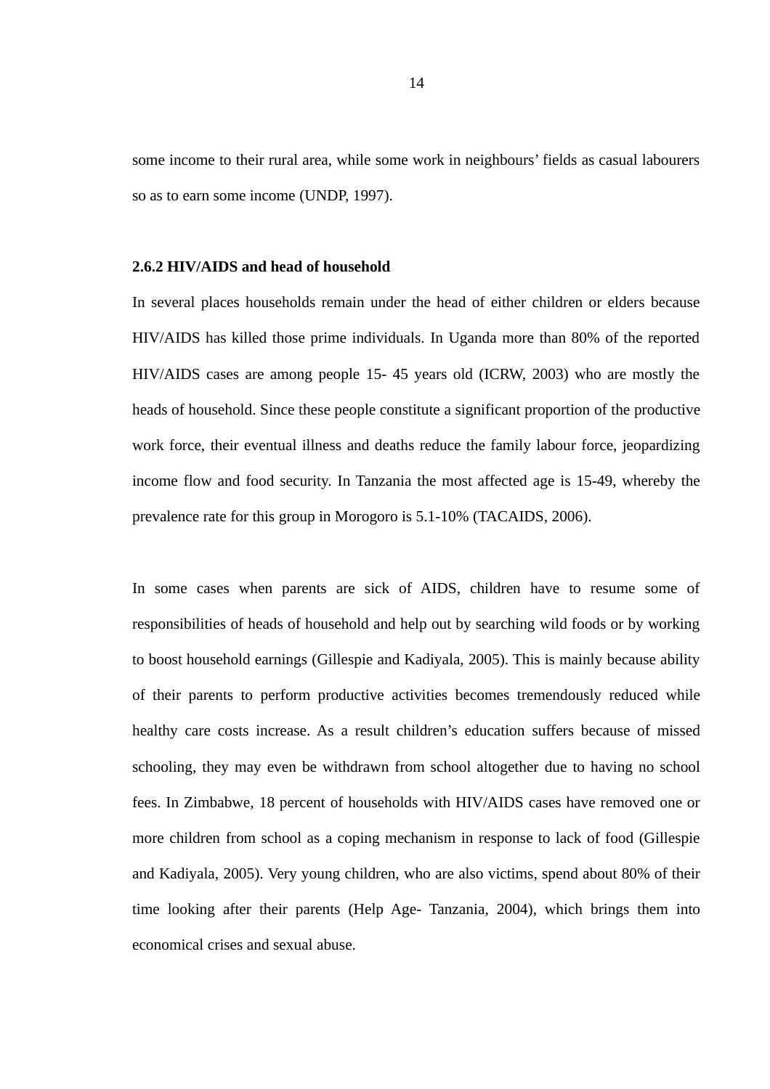some income to their rural area, while some work in neighbours' fields as casual labourers so as to earn some income (UNDP, 1997).

# <span id="page-28-0"></span>**2.6.2 HIV/AIDS and head of household**

In several places households remain under the head of either children or elders because HIV/AIDS has killed those prime individuals. In Uganda more than 80% of the reported HIV/AIDS cases are among people 15- 45 years old (ICRW, 2003) who are mostly the heads of household. Since these people constitute a significant proportion of the productive work force, their eventual illness and deaths reduce the family labour force, jeopardizing income flow and food security. In Tanzania the most affected age is 15-49, whereby the prevalence rate for this group in Morogoro is 5.1-10% (TACAIDS, 2006).

In some cases when parents are sick of AIDS, children have to resume some of responsibilities of heads of household and help out by searching wild foods or by working to boost household earnings (Gillespie and Kadiyala, 2005). This is mainly because ability of their parents to perform productive activities becomes tremendously reduced while healthy care costs increase. As a result children's education suffers because of missed schooling, they may even be withdrawn from school altogether due to having no school fees. In Zimbabwe, 18 percent of households with HIV/AIDS cases have removed one or more children from school as a coping mechanism in response to lack of food (Gillespie and Kadiyala, 2005). Very young children, who are also victims, spend about 80% of their time looking after their parents (Help Age- Tanzania, 2004), which brings them into economical crises and sexual abuse.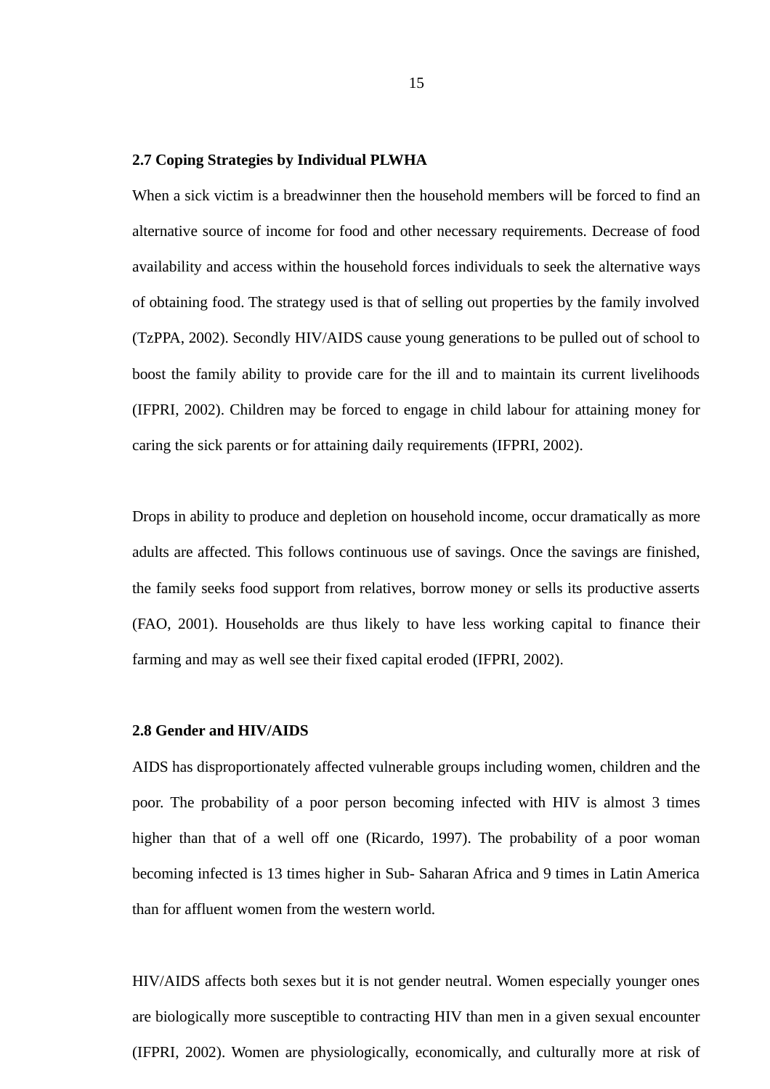#### <span id="page-29-1"></span>**2.7 Coping Strategies by Individual PLWHA**

When a sick victim is a breadwinner then the household members will be forced to find an alternative source of income for food and other necessary requirements. Decrease of food availability and access within the household forces individuals to seek the alternative ways of obtaining food. The strategy used is that of selling out properties by the family involved (TzPPA, 2002). Secondly HIV/AIDS cause young generations to be pulled out of school to boost the family ability to provide care for the ill and to maintain its current livelihoods (IFPRI, 2002). Children may be forced to engage in child labour for attaining money for caring the sick parents or for attaining daily requirements (IFPRI, 2002).

Drops in ability to produce and depletion on household income, occur dramatically as more adults are affected. This follows continuous use of savings. Once the savings are finished, the family seeks food support from relatives, borrow money or sells its productive asserts (FAO, 2001). Households are thus likely to have less working capital to finance their farming and may as well see their fixed capital eroded (IFPRI, 2002).

# <span id="page-29-0"></span>**2.8 Gender and HIV/AIDS**

AIDS has disproportionately affected vulnerable groups including women, children and the poor. The probability of a poor person becoming infected with HIV is almost 3 times higher than that of a well off one (Ricardo, 1997). The probability of a poor woman becoming infected is 13 times higher in Sub- Saharan Africa and 9 times in Latin America than for affluent women from the western world.

HIV/AIDS affects both sexes but it is not gender neutral. Women especially younger ones are biologically more susceptible to contracting HIV than men in a given sexual encounter (IFPRI, 2002). Women are physiologically, economically, and culturally more at risk of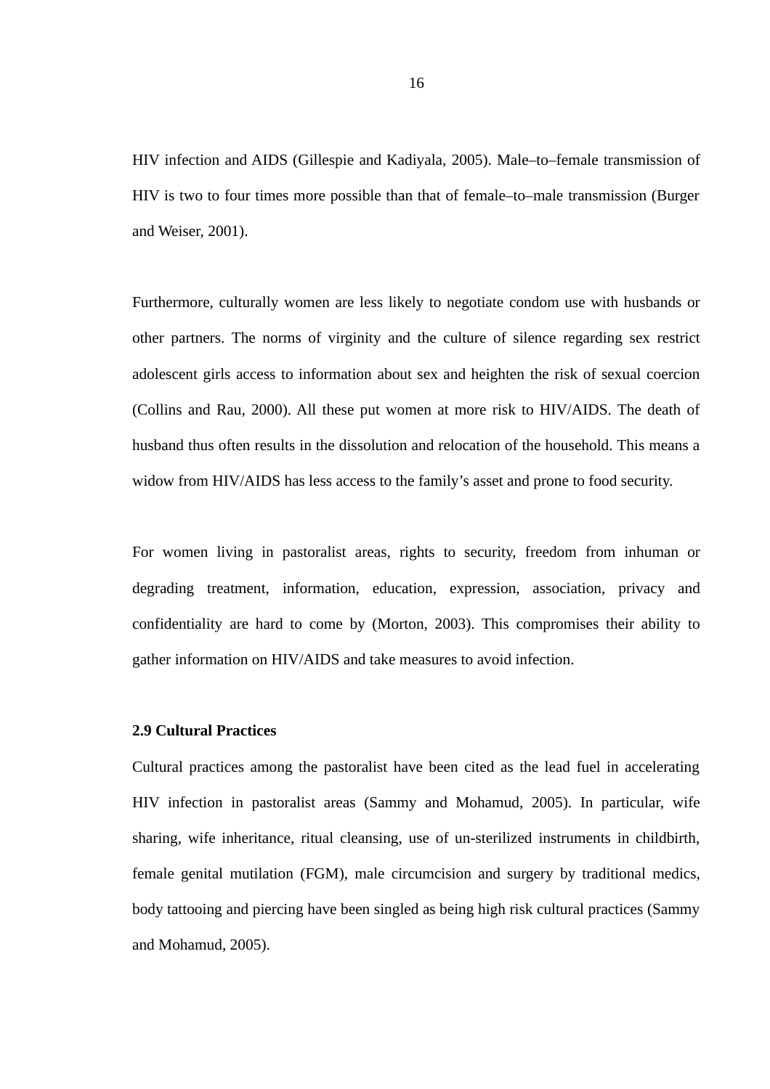HIV infection and AIDS (Gillespie and Kadiyala, 2005). Male–to–female transmission of HIV is two to four times more possible than that of female–to–male transmission (Burger and Weiser, 2001).

Furthermore, culturally women are less likely to negotiate condom use with husbands or other partners. The norms of virginity and the culture of silence regarding sex restrict adolescent girls access to information about sex and heighten the risk of sexual coercion (Collins and Rau, 2000). All these put women at more risk to HIV/AIDS. The death of husband thus often results in the dissolution and relocation of the household. This means a widow from HIV/AIDS has less access to the family's asset and prone to food security.

For women living in pastoralist areas, rights to security, freedom from inhuman or degrading treatment, information, education, expression, association, privacy and confidentiality are hard to come by (Morton, 2003). This compromises their ability to gather information on HIV/AIDS and take measures to avoid infection.

# <span id="page-30-0"></span>**2.9 Cultural Practices**

Cultural practices among the pastoralist have been cited as the lead fuel in accelerating HIV infection in pastoralist areas (Sammy and Mohamud, 2005). In particular, wife sharing, wife inheritance, ritual cleansing, use of un-sterilized instruments in childbirth, female genital mutilation (FGM), male circumcision and surgery by traditional medics, body tattooing and piercing have been singled as being high risk cultural practices (Sammy and Mohamud, 2005).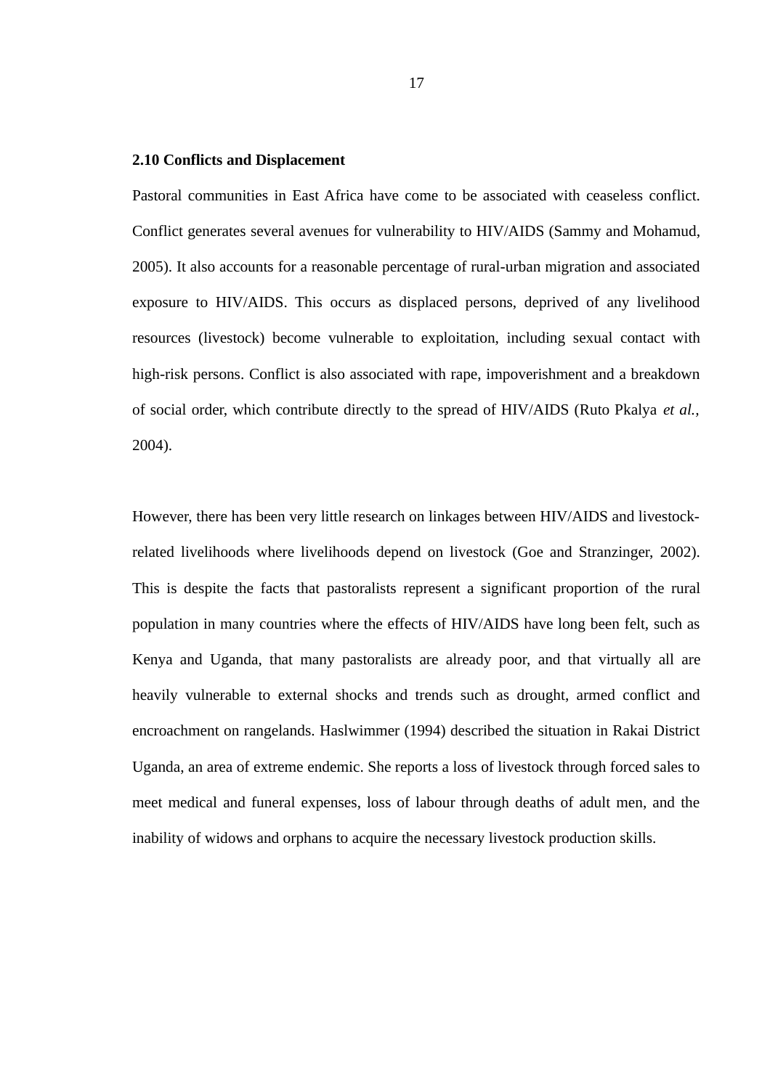#### <span id="page-31-0"></span>**2.10 Conflicts and Displacement**

Pastoral communities in East Africa have come to be associated with ceaseless conflict. Conflict generates several avenues for vulnerability to HIV/AIDS (Sammy and Mohamud, 2005). It also accounts for a reasonable percentage of rural-urban migration and associated exposure to HIV/AIDS. This occurs as displaced persons, deprived of any livelihood resources (livestock) become vulnerable to exploitation, including sexual contact with high-risk persons. Conflict is also associated with rape, impoverishment and a breakdown of social order, which contribute directly to the spread of HIV/AIDS (Ruto Pkalya *et al.,* 2004).

However, there has been very little research on linkages between HIV/AIDS and livestockrelated livelihoods where livelihoods depend on livestock (Goe and Stranzinger, 2002). This is despite the facts that pastoralists represent a significant proportion of the rural population in many countries where the effects of HIV/AIDS have long been felt, such as Kenya and Uganda, that many pastoralists are already poor, and that virtually all are heavily vulnerable to external shocks and trends such as drought, armed conflict and encroachment on rangelands. Haslwimmer (1994) described the situation in Rakai District Uganda, an area of extreme endemic. She reports a loss of livestock through forced sales to meet medical and funeral expenses, loss of labour through deaths of adult men, and the inability of widows and orphans to acquire the necessary livestock production skills.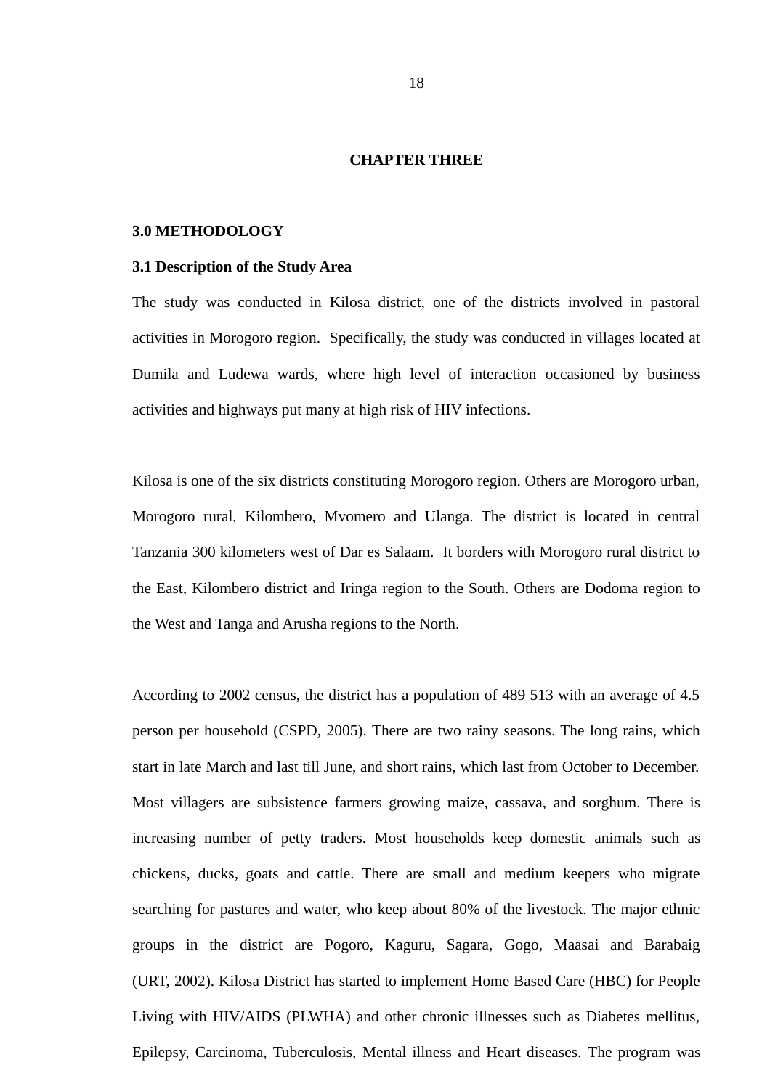#### <span id="page-32-2"></span>**CHAPTER THREE**

#### <span id="page-32-1"></span>**3.0 METHODOLOGY**

#### <span id="page-32-0"></span>**3.1 Description of the Study Area**

The study was conducted in Kilosa district, one of the districts involved in pastoral activities in Morogoro region. Specifically, the study was conducted in villages located at Dumila and Ludewa wards, where high level of interaction occasioned by business activities and highways put many at high risk of HIV infections.

Kilosa is one of the six districts constituting Morogoro region. Others are Morogoro urban, Morogoro rural, Kilombero, Mvomero and Ulanga. The district is located in central Tanzania 300 kilometers west of Dar es Salaam. It borders with Morogoro rural district to the East, Kilombero district and Iringa region to the South. Others are Dodoma region to the West and Tanga and Arusha regions to the North.

According to 2002 census, the district has a population of 489 513 with an average of 4.5 person per household (CSPD, 2005). There are two rainy seasons. The long rains, which start in late March and last till June, and short rains, which last from October to December. Most villagers are subsistence farmers growing maize, cassava, and sorghum. There is increasing number of petty traders. Most households keep domestic animals such as chickens, ducks, goats and cattle. There are small and medium keepers who migrate searching for pastures and water, who keep about 80% of the livestock. The major ethnic groups in the district are Pogoro, Kaguru, Sagara, Gogo, Maasai and Barabaig (URT, 2002). Kilosa District has started to implement Home Based Care (HBC) for People Living with HIV/AIDS (PLWHA) and other chronic illnesses such as Diabetes mellitus, Epilepsy, Carcinoma, Tuberculosis, Mental illness and Heart diseases. The program was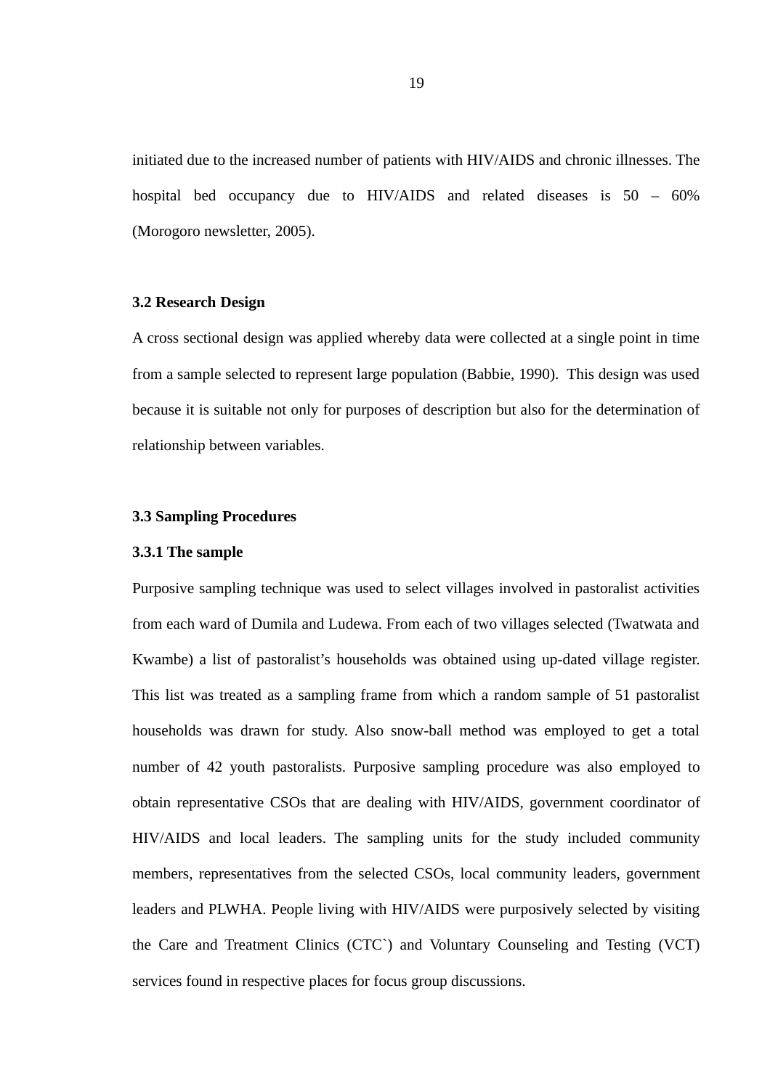initiated due to the increased number of patients with HIV/AIDS and chronic illnesses. The hospital bed occupancy due to HIV/AIDS and related diseases is 50 – 60% (Morogoro newsletter, 2005).

#### <span id="page-33-2"></span>**3.2 Research Design**

A cross sectional design was applied whereby data were collected at a single point in time from a sample selected to represent large population (Babbie, 1990). This design was used because it is suitable not only for purposes of description but also for the determination of relationship between variables.

### <span id="page-33-1"></span>**3.3 Sampling Procedures**

#### <span id="page-33-0"></span>**3.3.1 The sample**

Purposive sampling technique was used to select villages involved in pastoralist activities from each ward of Dumila and Ludewa. From each of two villages selected (Twatwata and Kwambe) a list of pastoralist's households was obtained using up-dated village register. This list was treated as a sampling frame from which a random sample of 51 pastoralist households was drawn for study. Also snow-ball method was employed to get a total number of 42 youth pastoralists. Purposive sampling procedure was also employed to obtain representative CSOs that are dealing with HIV/AIDS, government coordinator of HIV/AIDS and local leaders. The sampling units for the study included community members, representatives from the selected CSOs, local community leaders, government leaders and PLWHA. People living with HIV/AIDS were purposively selected by visiting the Care and Treatment Clinics (CTC`) and Voluntary Counseling and Testing (VCT) services found in respective places for focus group discussions.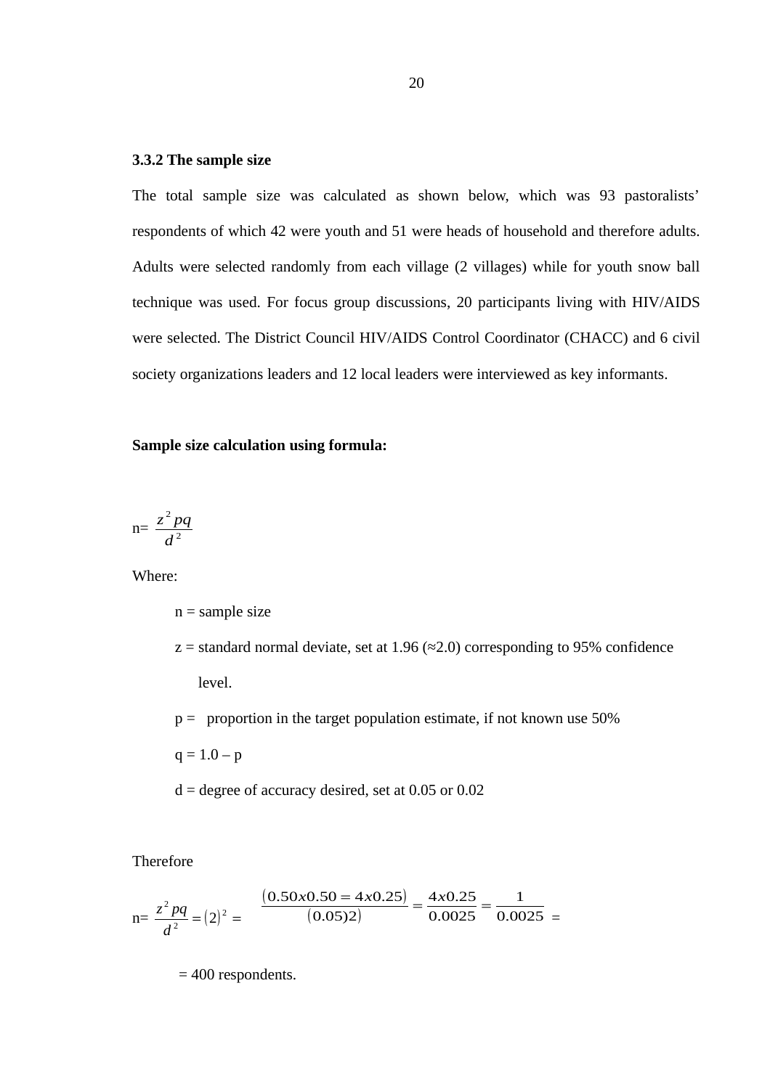#### <span id="page-34-0"></span>**3.3.2 The sample size**

The total sample size was calculated as shown below, which was 93 pastoralists' respondents of which 42 were youth and 51 were heads of household and therefore adults. Adults were selected randomly from each village (2 villages) while for youth snow ball technique was used. For focus group discussions, 20 participants living with HIV/AIDS were selected. The District Council HIV/AIDS Control Coordinator (CHACC) and 6 civil society organizations leaders and 12 local leaders were interviewed as key informants.

# **Sample size calculation using formula:**

$$
n = \frac{z^2 pq}{d^2}
$$

Where:

n = sample size

- $z =$  standard normal deviate, set at 1.96 ( $\approx$ 2.0) corresponding to 95% confidence level.
- $p =$  proportion in the target population estimate, if not known use 50%

 $q = 1.0 - p$ 

 $d =$  degree of accuracy desired, set at 0.05 or 0.02

Therefore

$$
n = \frac{z^2 pq}{d^2} = (2)^2 = \frac{(0.50 \times 0.50 = 4 \times 0.25)}{(0.05)2} = \frac{4 \times 0.25}{0.0025} = \frac{1}{0.0025} =
$$

= 400 respondents.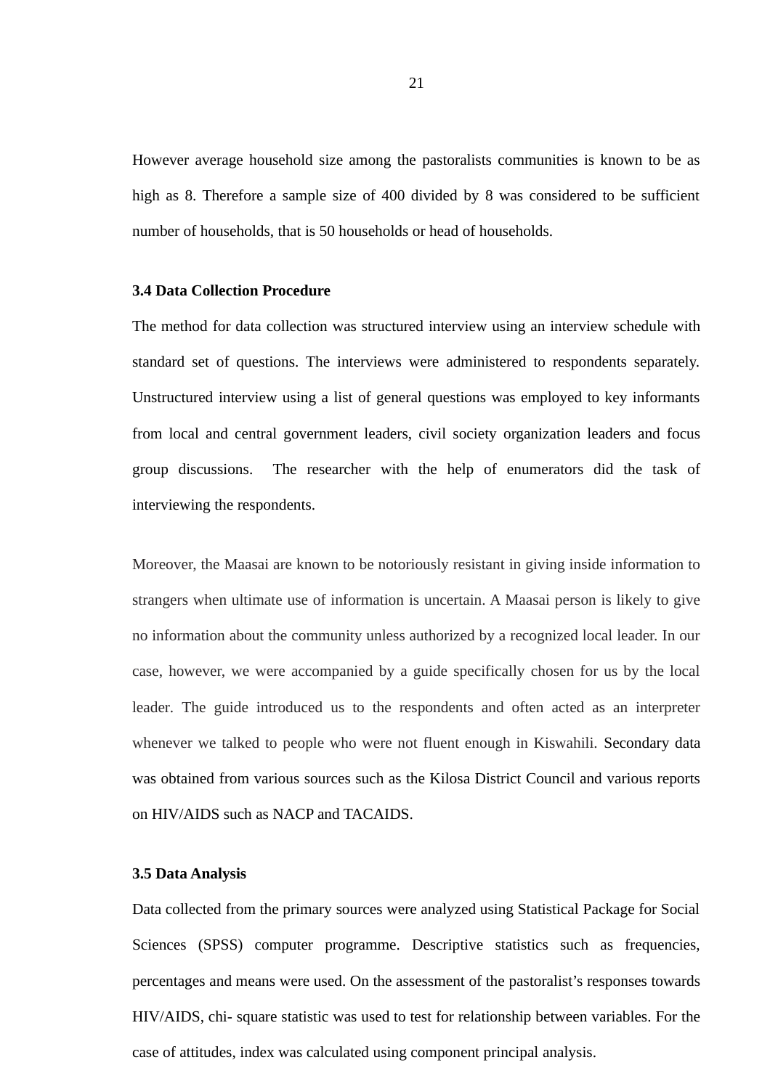However average household size among the pastoralists communities is known to be as high as 8. Therefore a sample size of 400 divided by 8 was considered to be sufficient number of households, that is 50 households or head of households.

#### <span id="page-35-1"></span>**3.4 Data Collection Procedure**

The method for data collection was structured interview using an interview schedule with standard set of questions. The interviews were administered to respondents separately. Unstructured interview using a list of general questions was employed to key informants from local and central government leaders, civil society organization leaders and focus group discussions. The researcher with the help of enumerators did the task of interviewing the respondents.

Moreover, the Maasai are known to be notoriously resistant in giving inside information to strangers when ultimate use of information is uncertain. A Maasai person is likely to give no information about the community unless authorized by a recognized local leader. In our case, however, we were accompanied by a guide specifically chosen for us by the local leader*.* The guide introduced us to the respondents and often acted as an interpreter whenever we talked to people who were not fluent enough in Kiswahili. Secondary data was obtained from various sources such as the Kilosa District Council and various reports on HIV/AIDS such as NACP and TACAIDS.

## <span id="page-35-0"></span>**3.5 Data Analysis**

Data collected from the primary sources were analyzed using Statistical Package for Social Sciences (SPSS) computer programme. Descriptive statistics such as frequencies, percentages and means were used. On the assessment of the pastoralist's responses towards HIV/AIDS, chi- square statistic was used to test for relationship between variables. For the case of attitudes, index was calculated using component principal analysis.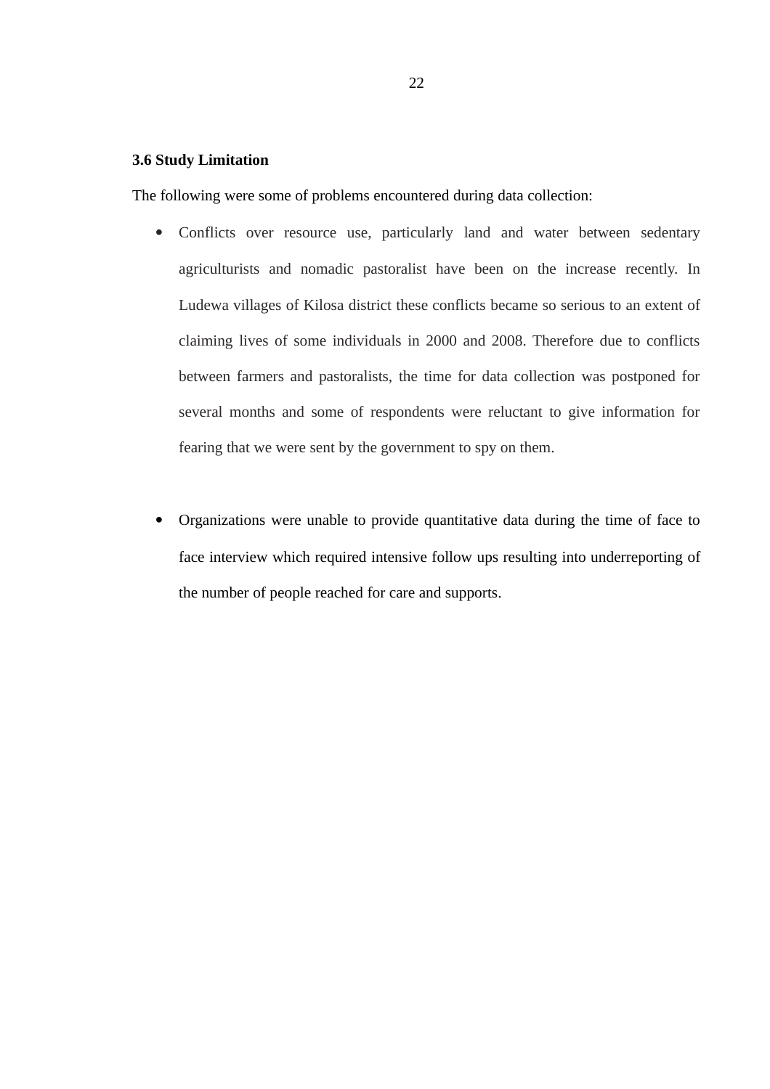### **3.6 Study Limitation**

The following were some of problems encountered during data collection:

- Conflicts over resource use, particularly land and water between sedentary agriculturists and nomadic pastoralist have been on the increase recently. In Ludewa villages of Kilosa district these conflicts became so serious to an extent of claiming lives of some individuals in 2000 and 2008. Therefore due to conflicts between farmers and pastoralists, the time for data collection was postponed for several months and some of respondents were reluctant to give information for fearing that we were sent by the government to spy on them.
- Organizations were unable to provide quantitative data during the time of face to face interview which required intensive follow ups resulting into underreporting of the number of people reached for care and supports.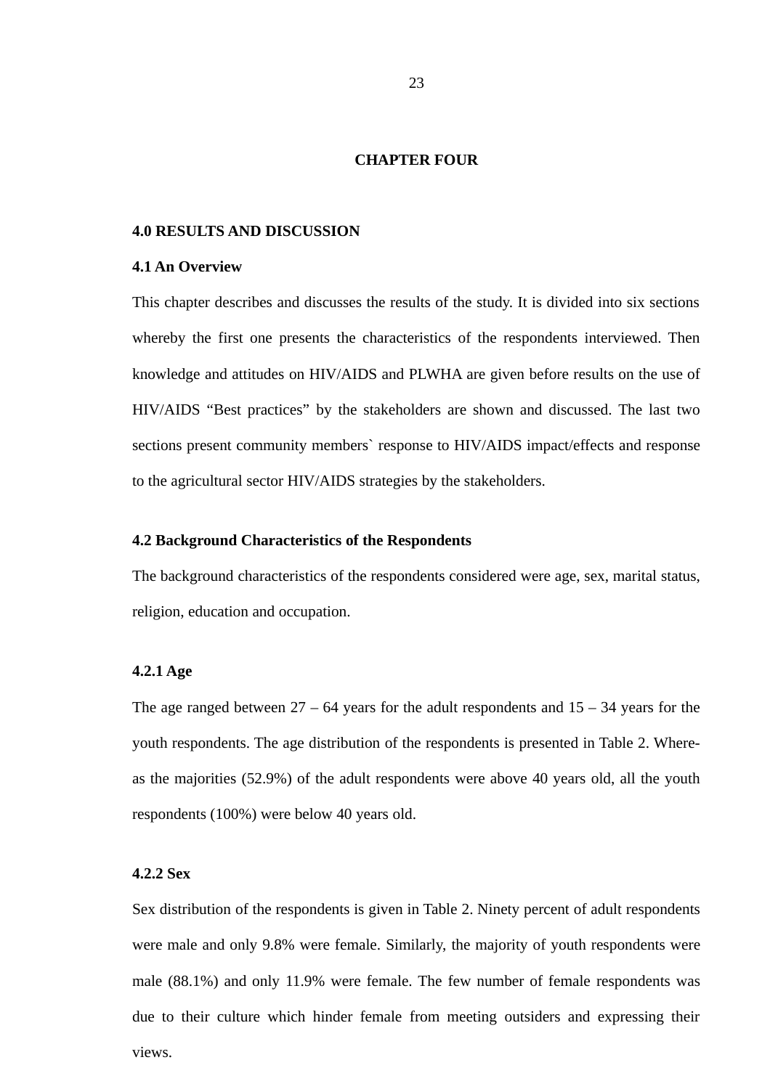### **CHAPTER FOUR**

### **4.0 RESULTS AND DISCUSSION**

### **4.1 An Overview**

This chapter describes and discusses the results of the study. It is divided into six sections whereby the first one presents the characteristics of the respondents interviewed. Then knowledge and attitudes on HIV/AIDS and PLWHA are given before results on the use of HIV/AIDS "Best practices" by the stakeholders are shown and discussed. The last two sections present community members` response to HIV/AIDS impact/effects and response to the agricultural sector HIV/AIDS strategies by the stakeholders.

### **4.2 Background Characteristics of the Respondents**

The background characteristics of the respondents considered were age, sex, marital status, religion, education and occupation.

### **4.2.1 Age**

The age ranged between  $27 - 64$  years for the adult respondents and  $15 - 34$  years for the youth respondents. The age distribution of the respondents is presented in Table 2. Whereas the majorities (52.9%) of the adult respondents were above 40 years old, all the youth respondents (100%) were below 40 years old.

# **4.2.2 Sex**

Sex distribution of the respondents is given in Table 2. Ninety percent of adult respondents were male and only 9.8% were female. Similarly, the majority of youth respondents were male (88.1%) and only 11.9% were female. The few number of female respondents was due to their culture which hinder female from meeting outsiders and expressing their views.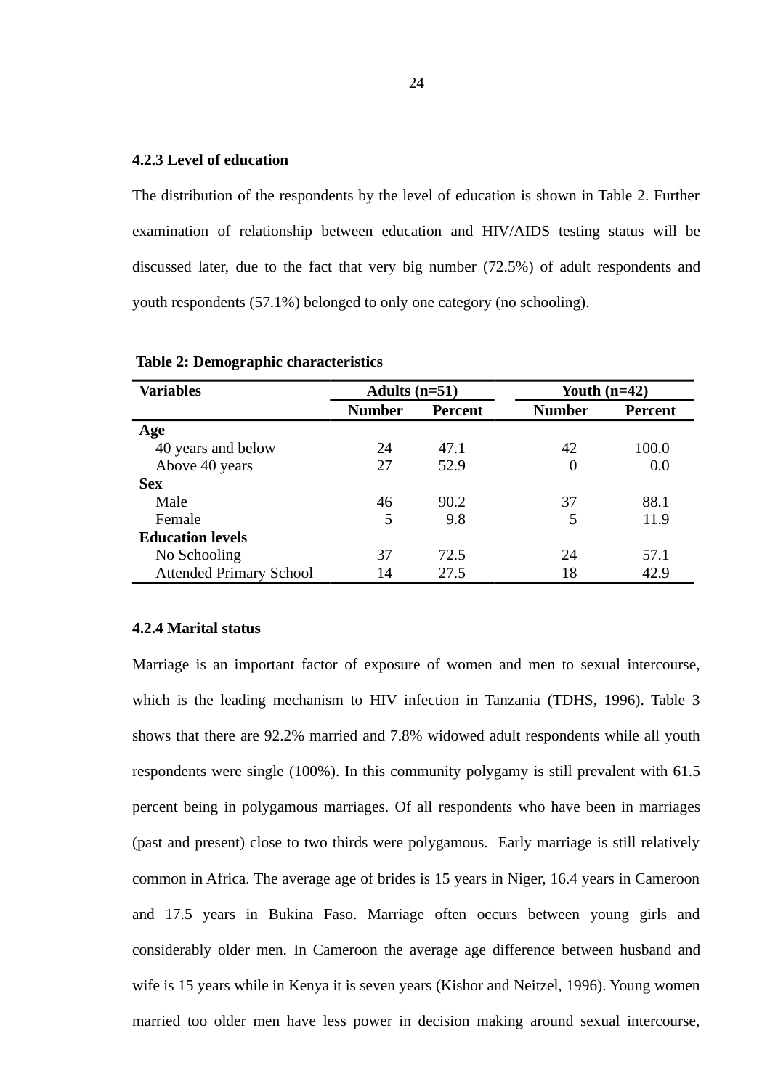### **4.2.3 Level of education**

The distribution of the respondents by the level of education is shown in Table 2. Further examination of relationship between education and HIV/AIDS testing status will be discussed later, due to the fact that very big number (72.5%) of adult respondents and youth respondents (57.1%) belonged to only one category (no schooling).

| <b>Variables</b>               | Adults $(n=51)$ |         | Youth $(n=42)$ |                |
|--------------------------------|-----------------|---------|----------------|----------------|
|                                | <b>Number</b>   | Percent | <b>Number</b>  | <b>Percent</b> |
| Age                            |                 |         |                |                |
| 40 years and below             | 24              | 47.1    | 42             | 100.0          |
| Above 40 years                 | 27              | 52.9    | 0              | 0.0            |
| <b>Sex</b>                     |                 |         |                |                |
| Male                           | 46              | 90.2    | 37             | 88.1           |
| Female                         | 5               | 9.8     | 5              | 11.9           |
| <b>Education levels</b>        |                 |         |                |                |
| No Schooling                   | 37              | 72.5    | 24             | 57.1           |
| <b>Attended Primary School</b> | 14              | 27.5    | 18             | 42.9           |

 **Table 2: Demographic characteristics**

### **4.2.4 Marital status**

Marriage is an important factor of exposure of women and men to sexual intercourse, which is the leading mechanism to HIV infection in Tanzania (TDHS, 1996). Table 3 shows that there are 92.2% married and 7.8% widowed adult respondents while all youth respondents were single (100%). In this community polygamy is still prevalent with 61.5 percent being in polygamous marriages. Of all respondents who have been in marriages (past and present) close to two thirds were polygamous. Early marriage is still relatively common in Africa. The average age of brides is 15 years in Niger, 16.4 years in Cameroon and 17.5 years in Bukina Faso. Marriage often occurs between young girls and considerably older men. In Cameroon the average age difference between husband and wife is 15 years while in Kenya it is seven years (Kishor and Neitzel, 1996). Young women married too older men have less power in decision making around sexual intercourse,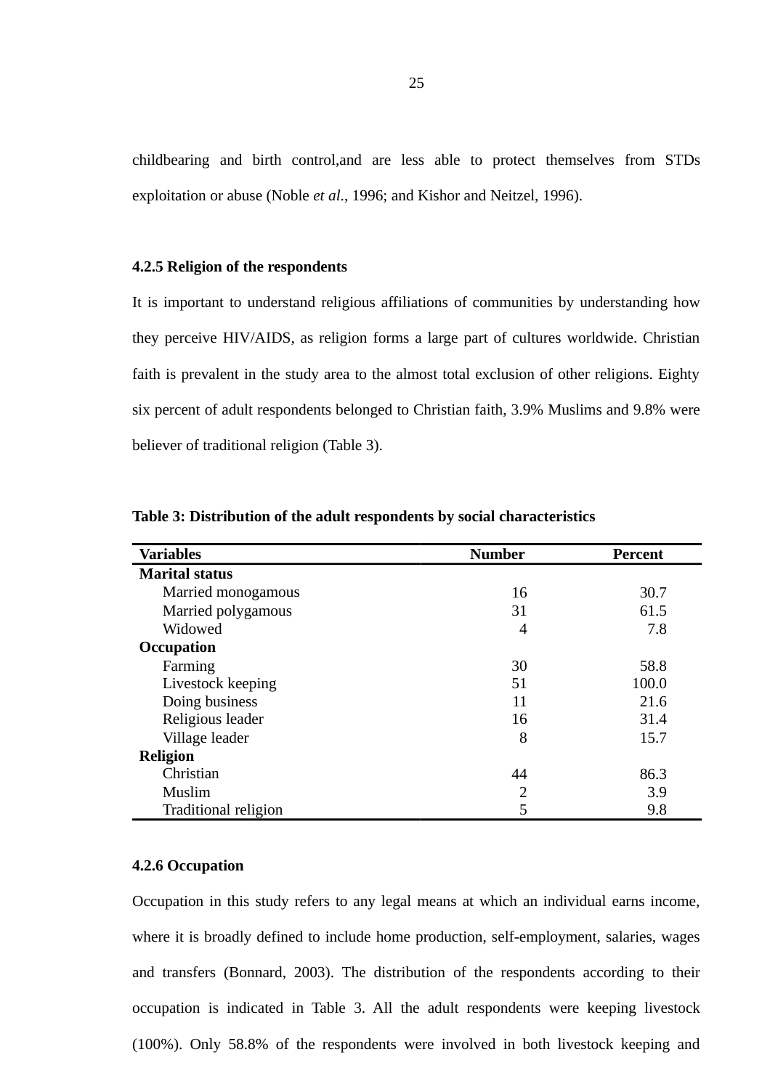childbearing and birth control,and are less able to protect themselves from STDs exploitation or abuse (Noble *et al*., 1996; and Kishor and Neitzel, 1996).

### **4.2.5 Religion of the respondents**

It is important to understand religious affiliations of communities by understanding how they perceive HIV/AIDS, as religion forms a large part of cultures worldwide. Christian faith is prevalent in the study area to the almost total exclusion of other religions. Eighty six percent of adult respondents belonged to Christian faith, 3.9% Muslims and 9.8% were believer of traditional religion (Table 3).

| <b>Variables</b>      | <b>Number</b>  | <b>Percent</b> |
|-----------------------|----------------|----------------|
| <b>Marital status</b> |                |                |
| Married monogamous    | 16             | 30.7           |
| Married polygamous    | 31             | 61.5           |
| Widowed               | 4              | 7.8            |
| <b>Occupation</b>     |                |                |
| Farming               | 30             | 58.8           |
| Livestock keeping     | 51             | 100.0          |
| Doing business        | 11             | 21.6           |
| Religious leader      | 16             | 31.4           |
| Village leader        | 8              | 15.7           |
| <b>Religion</b>       |                |                |
| Christian             | 44             | 86.3           |
| Muslim                | $\overline{2}$ | 3.9            |
| Traditional religion  | 5              | 9.8            |

**Table 3: Distribution of the adult respondents by social characteristics** 

### **4.2.6 Occupation**

Occupation in this study refers to any legal means at which an individual earns income, where it is broadly defined to include home production, self-employment, salaries, wages and transfers (Bonnard, 2003). The distribution of the respondents according to their occupation is indicated in Table 3. All the adult respondents were keeping livestock (100%). Only 58.8% of the respondents were involved in both livestock keeping and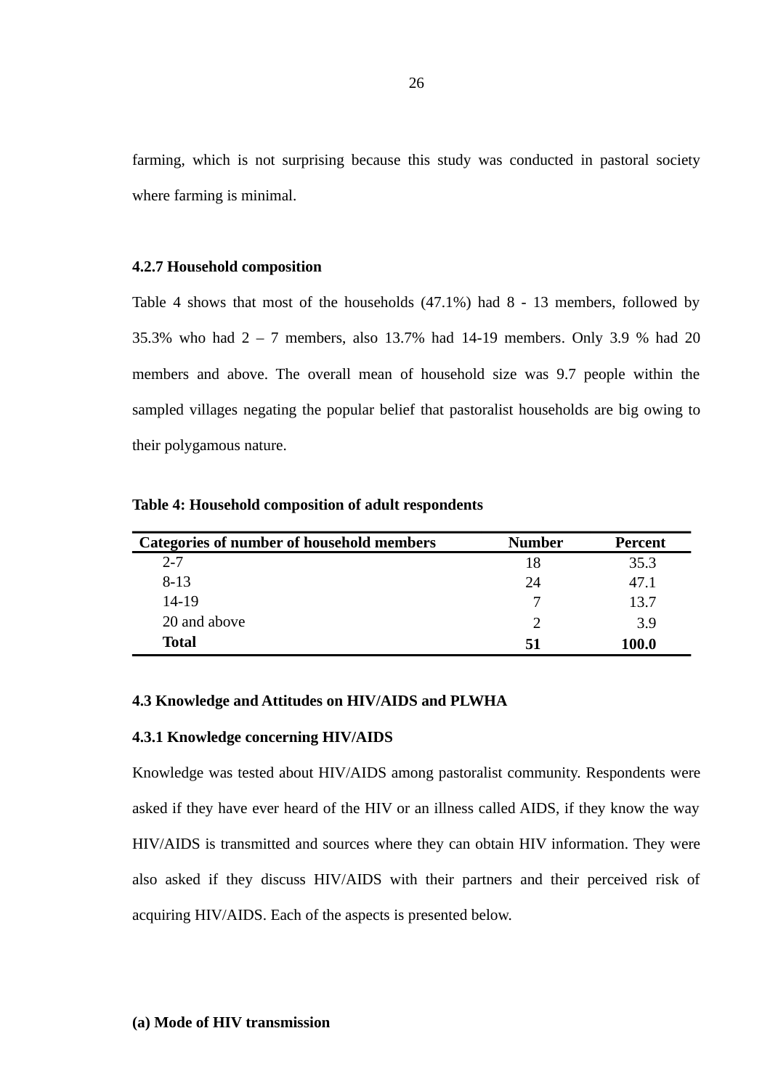farming, which is not surprising because this study was conducted in pastoral society where farming is minimal.

### **4.2.7 Household composition**

Table 4 shows that most of the households (47.1%) had 8 - 13 members, followed by 35.3% who had 2 – 7 members, also 13.7% had 14-19 members. Only 3.9 % had 20 members and above. The overall mean of household size was 9.7 people within the sampled villages negating the popular belief that pastoralist households are big owing to their polygamous nature.

| Categories of number of household members | Number | <b>Percent</b> |
|-------------------------------------------|--------|----------------|
| $2 - 7$                                   | 18     | 35.3           |
| $8 - 13$                                  | 24     | 47.1           |
| 14-19                                     |        | 13.7           |
| 20 and above                              | 7      | 3.9            |
| <b>Total</b>                              | 51     | <b>100.0</b>   |

**Table 4: Household composition of adult respondents**

## **4.3 Knowledge and Attitudes on HIV/AIDS and PLWHA**

### **4.3.1 Knowledge concerning HIV/AIDS**

Knowledge was tested about HIV/AIDS among pastoralist community. Respondents were asked if they have ever heard of the HIV or an illness called AIDS, if they know the way HIV/AIDS is transmitted and sources where they can obtain HIV information. They were also asked if they discuss HIV/AIDS with their partners and their perceived risk of acquiring HIV/AIDS. Each of the aspects is presented below.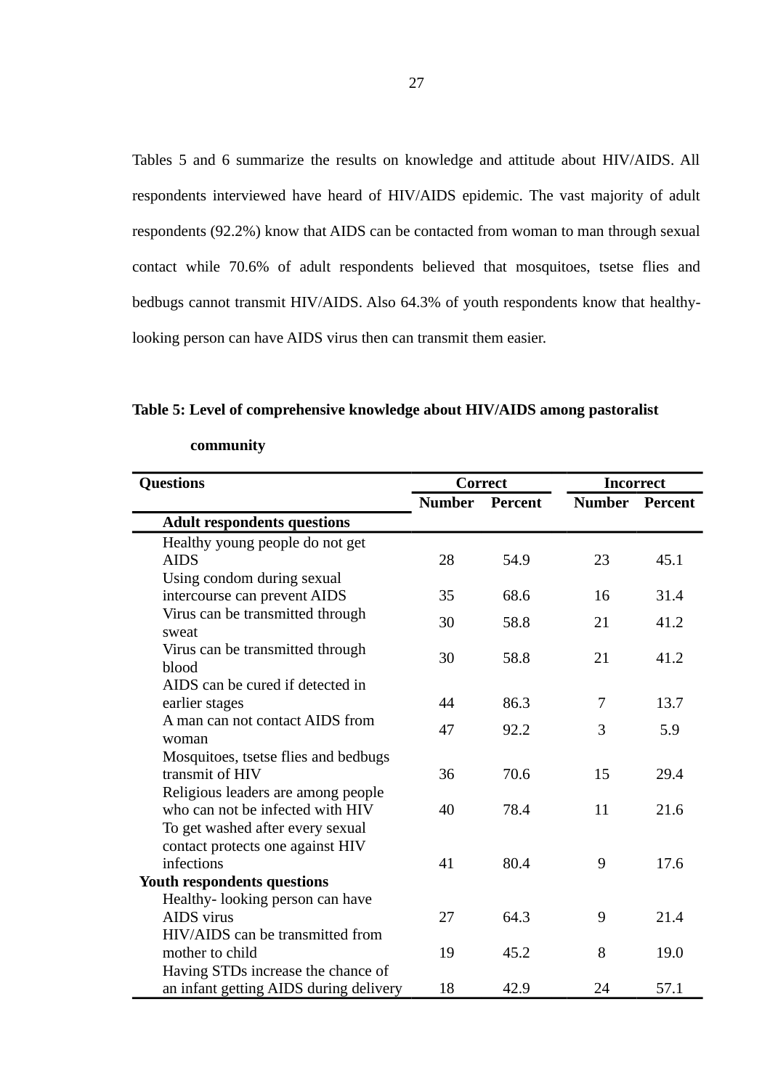Tables 5 and 6 summarize the results on knowledge and attitude about HIV/AIDS. All respondents interviewed have heard of HIV/AIDS epidemic. The vast majority of adult respondents (92.2%) know that AIDS can be contacted from woman to man through sexual contact while 70.6% of adult respondents believed that mosquitoes, tsetse flies and bedbugs cannot transmit HIV/AIDS. Also 64.3% of youth respondents know that healthylooking person can have AIDS virus then can transmit them easier.

**Table 5: Level of comprehensive knowledge about HIV/AIDS among pastoralist** 

| <b>Questions</b>                          | Correct       |                | <b>Incorrect</b> |         |
|-------------------------------------------|---------------|----------------|------------------|---------|
|                                           | <b>Number</b> | <b>Percent</b> | <b>Number</b>    | Percent |
| <b>Adult respondents questions</b>        |               |                |                  |         |
| Healthy young people do not get           |               |                |                  |         |
| <b>AIDS</b>                               | 28            | 54.9           | 23               | 45.1    |
| Using condom during sexual                |               |                |                  |         |
| intercourse can prevent AIDS              | 35            | 68.6           | 16               | 31.4    |
| Virus can be transmitted through<br>sweat | 30            | 58.8           | 21               | 41.2    |
| Virus can be transmitted through          |               |                |                  |         |
| blood                                     | 30            | 58.8           | 21               | 41.2    |
| AIDS can be cured if detected in          |               |                |                  |         |
| earlier stages                            | 44            | 86.3           | 7                | 13.7    |
| A man can not contact AIDS from           | 47            | 92.2           | 3                | 5.9     |
| woman                                     |               |                |                  |         |
| Mosquitoes, tsetse flies and bedbugs      |               |                |                  |         |
| transmit of HIV                           | 36            | 70.6           | 15               | 29.4    |
| Religious leaders are among people        |               |                |                  |         |
| who can not be infected with HIV          | 40            | 78.4           | 11               | 21.6    |
| To get washed after every sexual          |               |                |                  |         |
| contact protects one against HIV          |               |                |                  |         |
| infections                                | 41            | 80.4           | 9                | 17.6    |
| Youth respondents questions               |               |                |                  |         |
| Healthy- looking person can have          |               |                |                  |         |
| AIDS virus                                | 27            | 64.3           | 9                | 21.4    |
| HIV/AIDS can be transmitted from          |               |                |                  |         |
| mother to child                           | 19            | 45.2           | 8                | 19.0    |
| Having STDs increase the chance of        |               |                |                  |         |
| an infant getting AIDS during delivery    | 18            | 42.9           | 24               | 57.1    |

**community**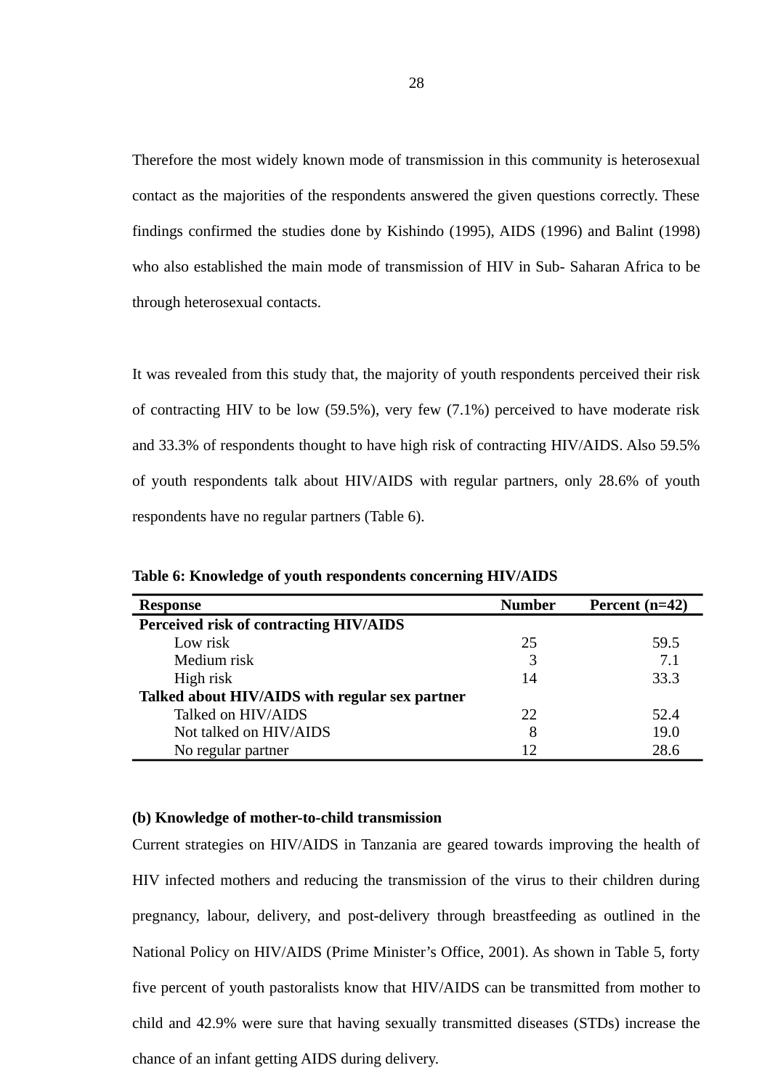Therefore the most widely known mode of transmission in this community is heterosexual contact as the majorities of the respondents answered the given questions correctly. These findings confirmed the studies done by Kishindo (1995), AIDS (1996) and Balint (1998) who also established the main mode of transmission of HIV in Sub- Saharan Africa to be through heterosexual contacts.

It was revealed from this study that, the majority of youth respondents perceived their risk of contracting HIV to be low (59.5%), very few (7.1%) perceived to have moderate risk and 33.3% of respondents thought to have high risk of contracting HIV/AIDS. Also 59.5% of youth respondents talk about HIV/AIDS with regular partners, only 28.6% of youth respondents have no regular partners (Table 6).

| <b>Response</b>                                | <b>Number</b> | Percent $(n=42)$ |
|------------------------------------------------|---------------|------------------|
| Perceived risk of contracting HIV/AIDS         |               |                  |
| Low risk                                       | 25            | 59.5             |
| Medium risk                                    | 3             | 7.1              |
| High risk                                      | 14            | 33.3             |
| Talked about HIV/AIDS with regular sex partner |               |                  |
| Talked on HIV/AIDS                             | 22            | 52.4             |
| Not talked on HIV/AIDS                         | 8             | 19.0             |
| No regular partner                             | 12            | 28.6             |

**Table 6: Knowledge of youth respondents concerning HIV/AIDS** 

### **(b) Knowledge of mother-to-child transmission**

Current strategies on HIV/AIDS in Tanzania are geared towards improving the health of HIV infected mothers and reducing the transmission of the virus to their children during pregnancy, labour, delivery, and post-delivery through breastfeeding as outlined in the National Policy on HIV/AIDS (Prime Minister's Office, 2001). As shown in Table 5, forty five percent of youth pastoralists know that HIV/AIDS can be transmitted from mother to child and 42.9% were sure that having sexually transmitted diseases (STDs) increase the chance of an infant getting AIDS during delivery.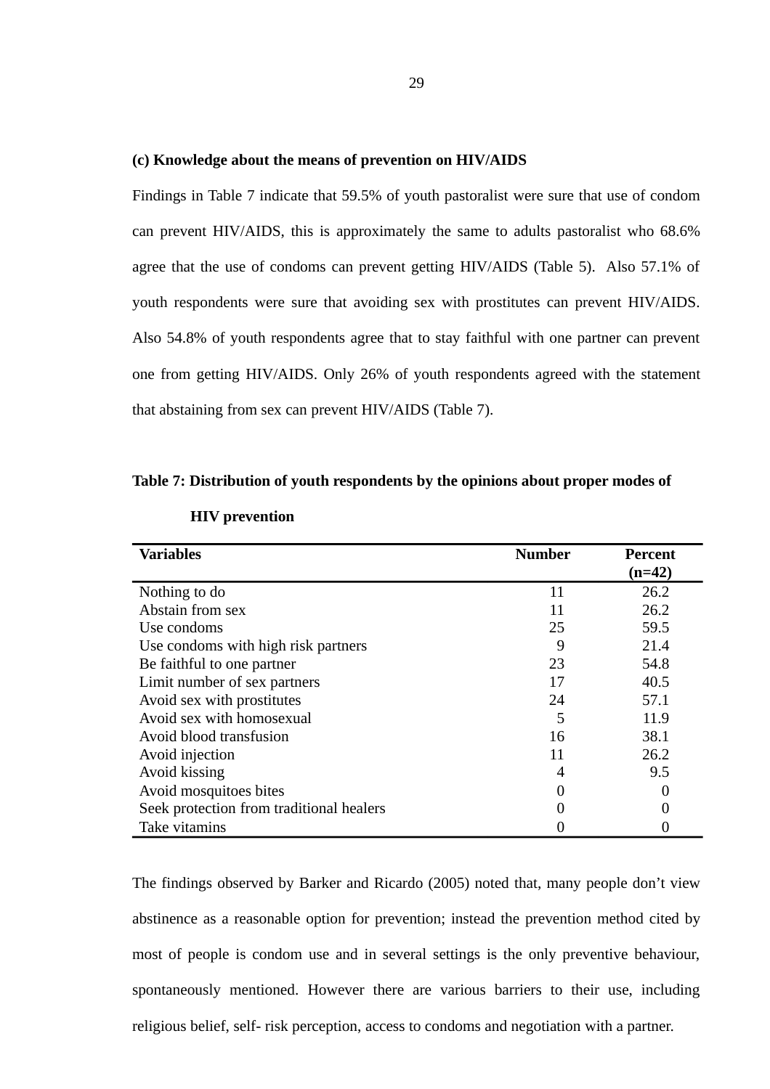#### **(c) Knowledge about the means of prevention on HIV/AIDS**

Findings in Table 7 indicate that 59.5% of youth pastoralist were sure that use of condom can prevent HIV/AIDS, this is approximately the same to adults pastoralist who 68.6% agree that the use of condoms can prevent getting HIV/AIDS (Table 5). Also 57.1% of youth respondents were sure that avoiding sex with prostitutes can prevent HIV/AIDS. Also 54.8% of youth respondents agree that to stay faithful with one partner can prevent one from getting HIV/AIDS. Only 26% of youth respondents agreed with the statement that abstaining from sex can prevent HIV/AIDS (Table 7).

### **Table 7: Distribution of youth respondents by the opinions about proper modes of**

| <b>Variables</b>                         | <b>Number</b> | Percent  |
|------------------------------------------|---------------|----------|
|                                          |               | $(n=42)$ |
| Nothing to do                            | 11            | 26.2     |
| Abstain from sex                         | 11            | 26.2     |
| Use condoms                              | 25            | 59.5     |
| Use condoms with high risk partners      | 9             | 21.4     |
| Be faithful to one partner               | 23            | 54.8     |
| Limit number of sex partners             | 17            | 40.5     |
| Avoid sex with prostitutes               | 24            | 57.1     |
| Avoid sex with homosexual                | 5             | 11.9     |
| Avoid blood transfusion                  | 16            | 38.1     |
| Avoid injection                          | 11            | 26.2     |
| Avoid kissing                            | 4             | 9.5      |
| Avoid mosquitoes bites                   |               |          |
| Seek protection from traditional healers |               | 0        |
| Take vitamins                            |               |          |

# **HIV prevention**

The findings observed by Barker and Ricardo (2005) noted that, many people don't view abstinence as a reasonable option for prevention; instead the prevention method cited by most of people is condom use and in several settings is the only preventive behaviour, spontaneously mentioned. However there are various barriers to their use, including religious belief, self- risk perception, access to condoms and negotiation with a partner.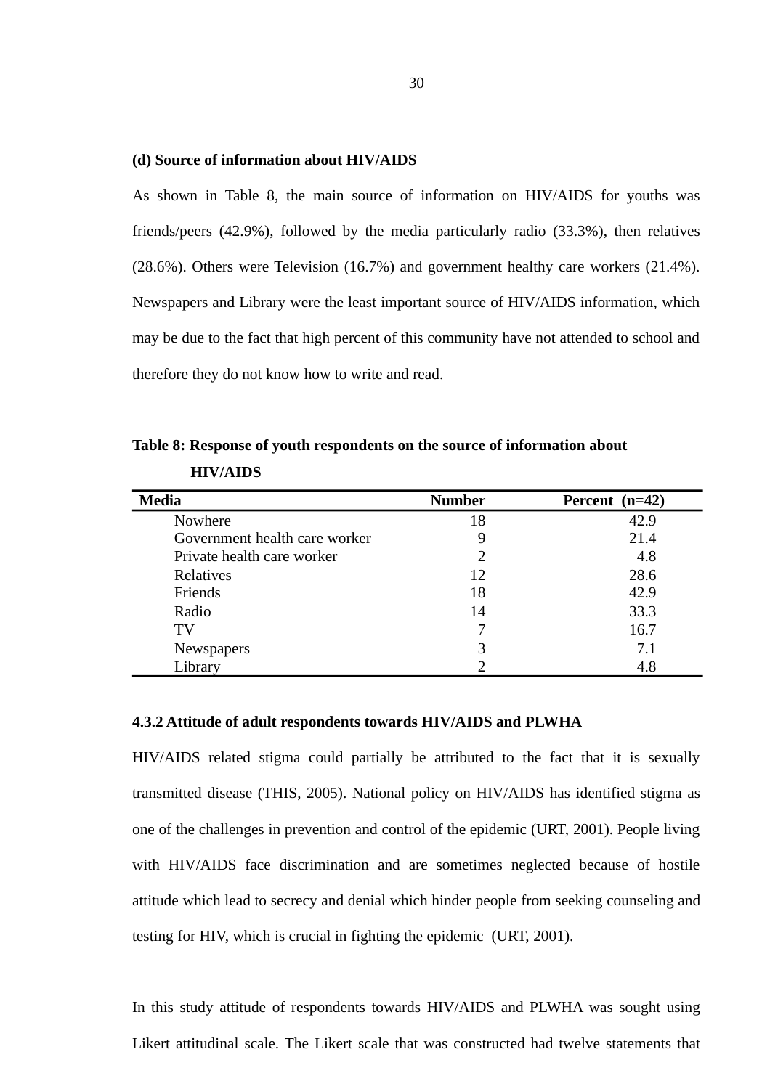#### **(d) Source of information about HIV/AIDS**

As shown in Table 8, the main source of information on HIV/AIDS for youths was friends/peers (42.9%), followed by the media particularly radio (33.3%), then relatives (28.6%). Others were Television (16.7%) and government healthy care workers (21.4%). Newspapers and Library were the least important source of HIV/AIDS information, which may be due to the fact that high percent of this community have not attended to school and therefore they do not know how to write and read.

| <b>Media</b>                  | <b>Number</b> | $(n=42)$<br>Percent |
|-------------------------------|---------------|---------------------|
| Nowhere                       | 18            | 42.9                |
| Government health care worker | 9             | 21.4                |
| Private health care worker    | 2             | 4.8                 |
| <b>Relatives</b>              | 12            | 28.6                |
| Friends                       | 18            | 42.9                |
| Radio                         | 14            | 33.3                |
| TV                            |               | 16.7                |
| Newspapers                    | 3             | 7.1                 |
| Library                       |               | 4.8                 |

**Table 8: Response of youth respondents on the source of information about HIV/AIDS** 

# **4.3.2 Attitude of adult respondents towards HIV/AIDS and PLWHA**

HIV/AIDS related stigma could partially be attributed to the fact that it is sexually transmitted disease (THIS, 2005). National policy on HIV/AIDS has identified stigma as one of the challenges in prevention and control of the epidemic (URT, 2001). People living with HIV/AIDS face discrimination and are sometimes neglected because of hostile attitude which lead to secrecy and denial which hinder people from seeking counseling and testing for HIV, which is crucial in fighting the epidemic (URT, 2001).

In this study attitude of respondents towards HIV/AIDS and PLWHA was sought using Likert attitudinal scale. The Likert scale that was constructed had twelve statements that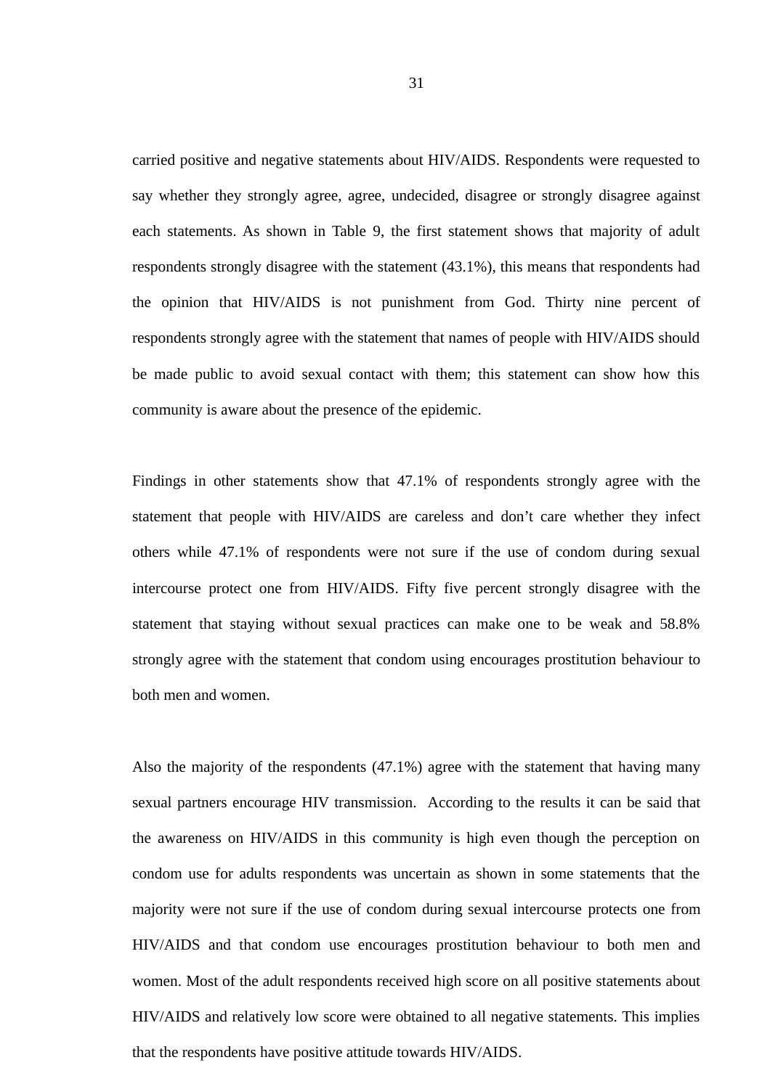carried positive and negative statements about HIV/AIDS. Respondents were requested to say whether they strongly agree, agree, undecided, disagree or strongly disagree against each statements. As shown in Table 9, the first statement shows that majority of adult respondents strongly disagree with the statement (43.1%), this means that respondents had the opinion that HIV/AIDS is not punishment from God. Thirty nine percent of respondents strongly agree with the statement that names of people with HIV/AIDS should be made public to avoid sexual contact with them; this statement can show how this community is aware about the presence of the epidemic.

Findings in other statements show that 47.1% of respondents strongly agree with the statement that people with HIV/AIDS are careless and don't care whether they infect others while 47.1% of respondents were not sure if the use of condom during sexual intercourse protect one from HIV/AIDS. Fifty five percent strongly disagree with the statement that staying without sexual practices can make one to be weak and 58.8% strongly agree with the statement that condom using encourages prostitution behaviour to both men and women.

Also the majority of the respondents (47.1%) agree with the statement that having many sexual partners encourage HIV transmission. According to the results it can be said that the awareness on HIV/AIDS in this community is high even though the perception on condom use for adults respondents was uncertain as shown in some statements that the majority were not sure if the use of condom during sexual intercourse protects one from HIV/AIDS and that condom use encourages prostitution behaviour to both men and women. Most of the adult respondents received high score on all positive statements about HIV/AIDS and relatively low score were obtained to all negative statements. This implies that the respondents have positive attitude towards HIV/AIDS.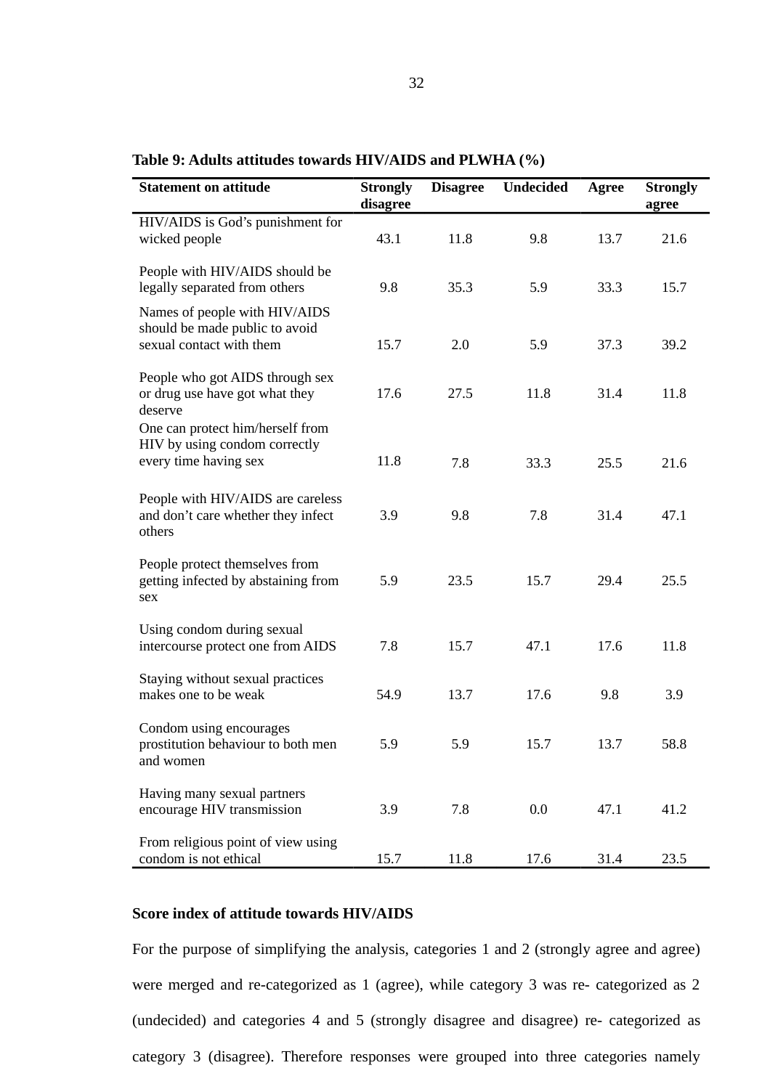| <b>Statement on attitude</b>                                                                | <b>Strongly</b><br>disagree | <b>Disagree</b> | <b>Undecided</b> | <b>Agree</b> | <b>Strongly</b><br>agree |
|---------------------------------------------------------------------------------------------|-----------------------------|-----------------|------------------|--------------|--------------------------|
| HIV/AIDS is God's punishment for<br>wicked people                                           | 43.1                        | 11.8            | 9.8              | 13.7         | 21.6                     |
| People with HIV/AIDS should be<br>legally separated from others                             | 9.8                         | 35.3            | 5.9              | 33.3         | 15.7                     |
| Names of people with HIV/AIDS<br>should be made public to avoid<br>sexual contact with them | 15.7                        | 2.0             | 5.9              | 37.3         | 39.2                     |
| People who got AIDS through sex<br>or drug use have got what they<br>deserve                | 17.6                        | 27.5            | 11.8             | 31.4         | 11.8                     |
| One can protect him/herself from<br>HIV by using condom correctly<br>every time having sex  | 11.8                        | 7.8             | 33.3             | 25.5         | 21.6                     |
| People with HIV/AIDS are careless<br>and don't care whether they infect<br>others           | 3.9                         | 9.8             | 7.8              | 31.4         | 47.1                     |
| People protect themselves from<br>getting infected by abstaining from<br>sex                | 5.9                         | 23.5            | 15.7             | 29.4         | 25.5                     |
| Using condom during sexual<br>intercourse protect one from AIDS                             | 7.8                         | 15.7            | 47.1             | 17.6         | 11.8                     |
| Staying without sexual practices<br>makes one to be weak                                    | 54.9                        | 13.7            | 17.6             | 9.8          | 3.9                      |
| Condom using encourages<br>prostitution behaviour to both men<br>and women                  | 5.9                         | 5.9             | 15.7             | 13.7         | 58.8                     |
| Having many sexual partners<br>encourage HIV transmission                                   | 3.9                         | 7.8             | 0.0              | 47.1         | 41.2                     |
| From religious point of view using<br>condom is not ethical                                 | 15.7                        | 11.8            | 17.6             | 31.4         | 23.5                     |

# **Table 9: Adults attitudes towards HIV/AIDS and PLWHA (%)**

# **Score index of attitude towards HIV/AIDS**

For the purpose of simplifying the analysis, categories 1 and 2 (strongly agree and agree) were merged and re-categorized as 1 (agree), while category 3 was re- categorized as 2 (undecided) and categories 4 and 5 (strongly disagree and disagree) re- categorized as category 3 (disagree). Therefore responses were grouped into three categories namely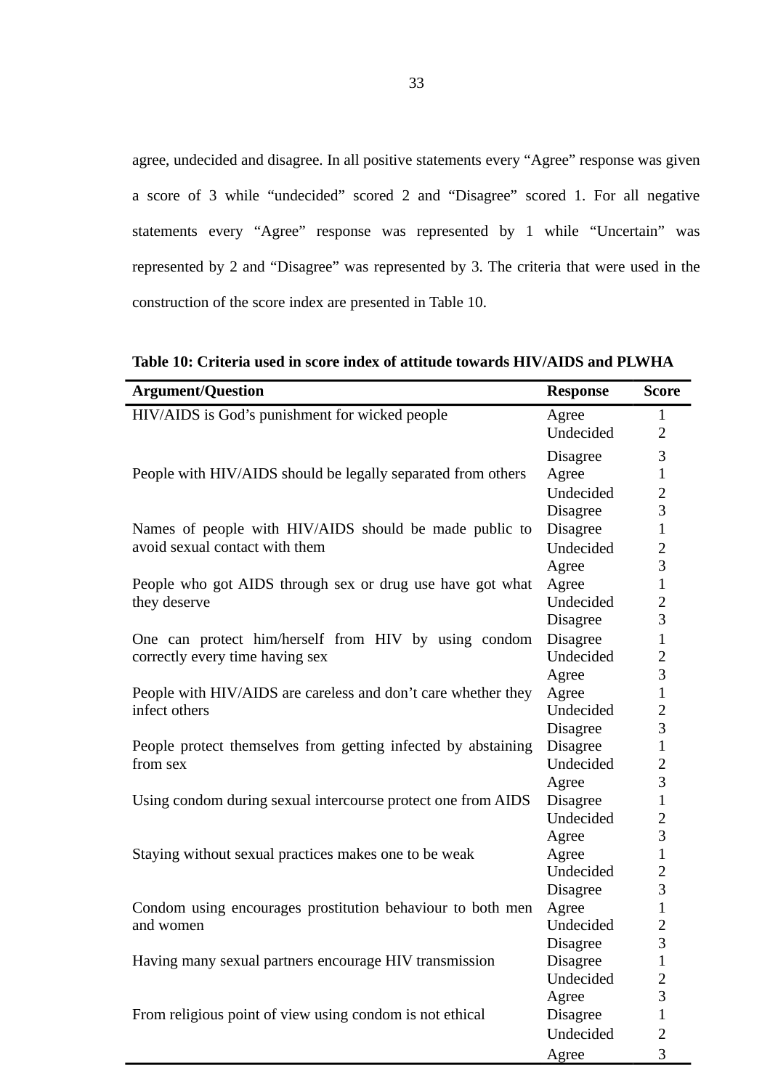agree, undecided and disagree. In all positive statements every "Agree" response was given a score of 3 while "undecided" scored 2 and "Disagree" scored 1. For all negative statements every "Agree" response was represented by 1 while "Uncertain" was represented by 2 and "Disagree" was represented by 3. The criteria that were used in the construction of the score index are presented in Table 10.

**Argument/Question Response Score** HIV/AIDS is God's punishment for wicked people Agree Agree 2 Undecided 2 Disagree 3 People with HIV/AIDS should be legally separated from others Agree 1 Undecided 2 Disagree 3 Names of people with HIV/AIDS should be made public to Disagree 1 avoid sexual contact with them Undecided 2 Agree 3 People who got AIDS through sex or drug use have got what they deserve Agree 1 Undecided 2 Disagree 3 One can protect him/herself from HIV by using condom correctly every time having sex Disagree 1 Undecided 2 Agree 3 People with HIV/AIDS are careless and don't care whether they infect others Agree 1 Undecided 2 Disagree 3 People protect themselves from getting infected by abstaining from sex Disagree 1 Undecided 2 Agree 3 Using condom during sexual intercourse protect one from AIDS Disagree 1 Undecided 2 Agree 3 Staying without sexual practices makes one to be weak Agree  $1$ Undecided 2 Disagree 3 Condom using encourages prostitution behaviour to both men and women Agree 1 Undecided 2 Disagree 3 Having many sexual partners encourage HIV transmission Disagree 1 Undecided 2 Agree 3 From religious point of view using condom is not ethical Disagree 1 Undecided 2

Agree 3

**Table 10: Criteria used in score index of attitude towards HIV/AIDS and PLWHA**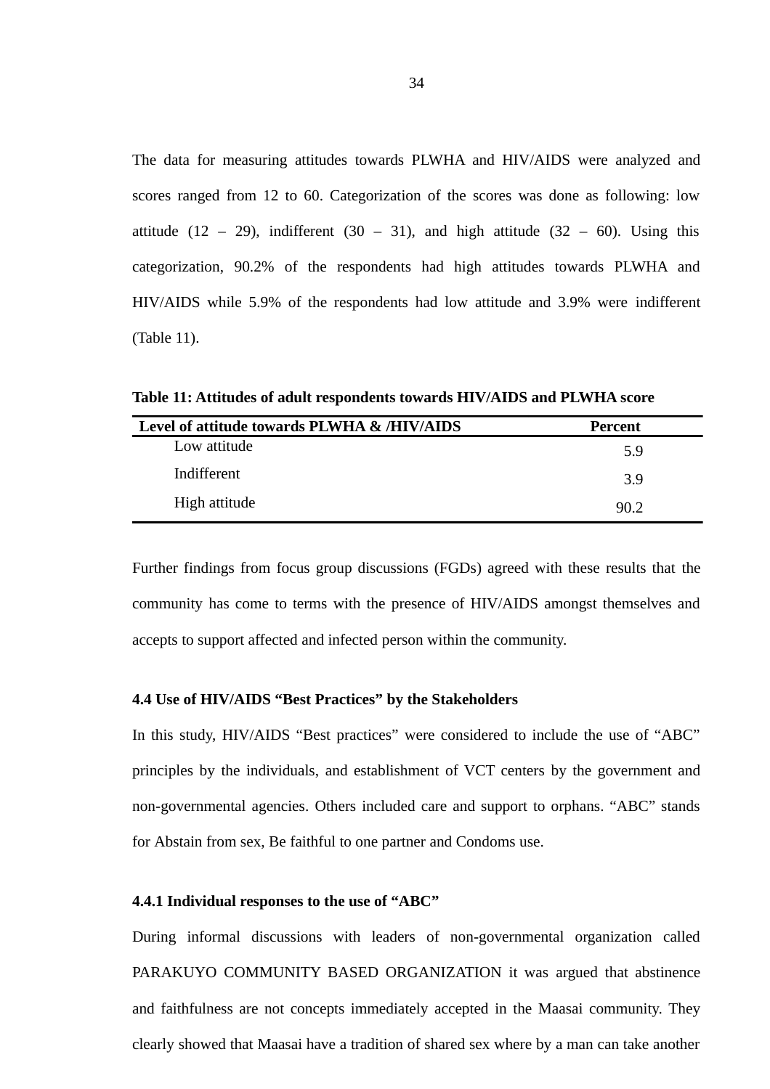The data for measuring attitudes towards PLWHA and HIV/AIDS were analyzed and scores ranged from 12 to 60. Categorization of the scores was done as following: low attitude (12 – 29), indifferent (30 – 31), and high attitude (32 – 60). Using this categorization, 90.2% of the respondents had high attitudes towards PLWHA and HIV/AIDS while 5.9% of the respondents had low attitude and 3.9% were indifferent (Table 11).

**Table 11: Attitudes of adult respondents towards HIV/AIDS and PLWHA score**

| Level of attitude towards PLWHA & /HIV/AIDS | <b>Percent</b> |
|---------------------------------------------|----------------|
| Low attitude                                | 5.9            |
| Indifferent                                 | 3.9            |
| High attitude                               | 90.2           |

Further findings from focus group discussions (FGDs) agreed with these results that the community has come to terms with the presence of HIV/AIDS amongst themselves and accepts to support affected and infected person within the community.

# **4.4 Use of HIV/AIDS "Best Practices" by the Stakeholders**

In this study, HIV/AIDS "Best practices" were considered to include the use of "ABC" principles by the individuals, and establishment of VCT centers by the government and non-governmental agencies. Others included care and support to orphans. "ABC" stands for Abstain from sex, Be faithful to one partner and Condoms use.

### **4.4.1 Individual responses to the use of "ABC"**

During informal discussions with leaders of non-governmental organization called PARAKUYO COMMUNITY BASED ORGANIZATION it was argued that abstinence and faithfulness are not concepts immediately accepted in the Maasai community. They clearly showed that Maasai have a tradition of shared sex where by a man can take another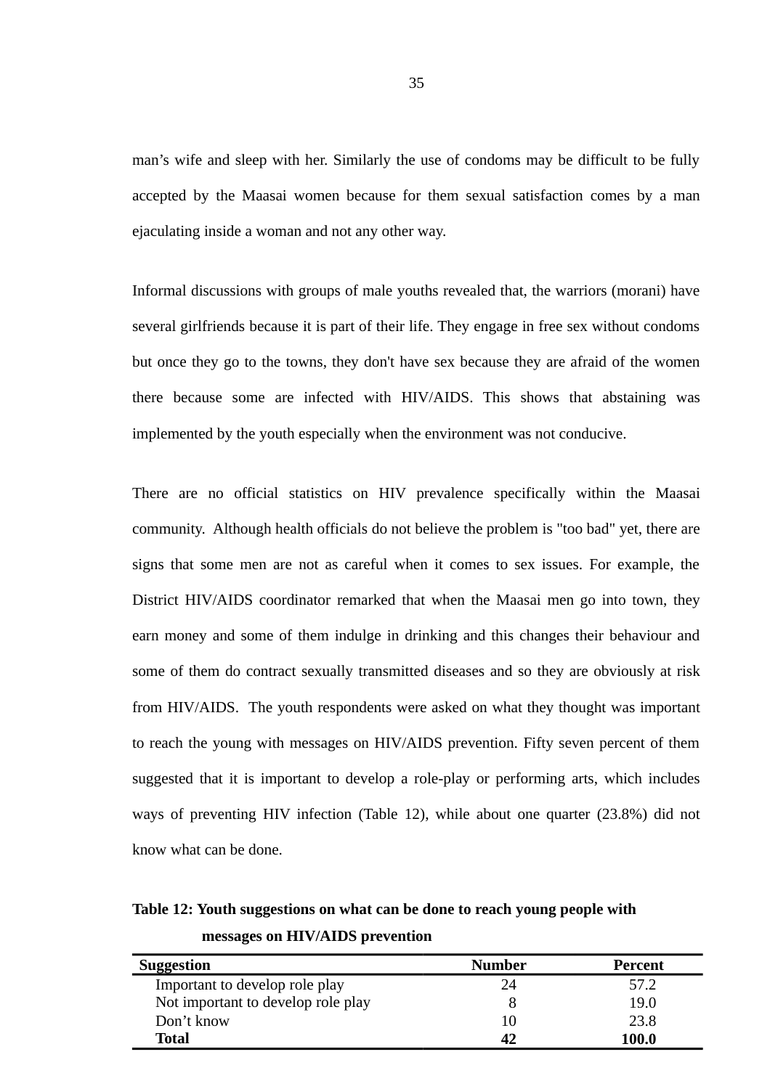man's wife and sleep with her. Similarly the use of condoms may be difficult to be fully accepted by the Maasai women because for them sexual satisfaction comes by a man ejaculating inside a woman and not any other way.

Informal discussions with groups of male youths revealed that, the warriors (morani) have several girlfriends because it is part of their life. They engage in free sex without condoms but once they go to the towns, they don't have sex because they are afraid of the women there because some are infected with HIV/AIDS. This shows that abstaining was implemented by the youth especially when the environment was not conducive.

There are no official statistics on HIV prevalence specifically within the Maasai community. Although health officials do not believe the problem is "too bad" yet, there are signs that some men are not as careful when it comes to sex issues. For example, the District HIV/AIDS coordinator remarked that when the Maasai men go into town, they earn money and some of them indulge in drinking and this changes their behaviour and some of them do contract sexually transmitted diseases and so they are obviously at risk from HIV/AIDS. The youth respondents were asked on what they thought was important to reach the young with messages on HIV/AIDS prevention. Fifty seven percent of them suggested that it is important to develop a role-play or performing arts, which includes ways of preventing HIV infection (Table 12), while about one quarter (23.8%) did not know what can be done.

**Table 12: Youth suggestions on what can be done to reach young people with messages on HIV/AIDS prevention**

| Suggestion                         | <b>Number</b> | Percent |
|------------------------------------|---------------|---------|
| Important to develop role play     | 24            | 57.2    |
| Not important to develop role play | 8             | 19.0    |
| Don't know                         | 10            | 23.8    |
| <b>Total</b>                       |               | 100.0   |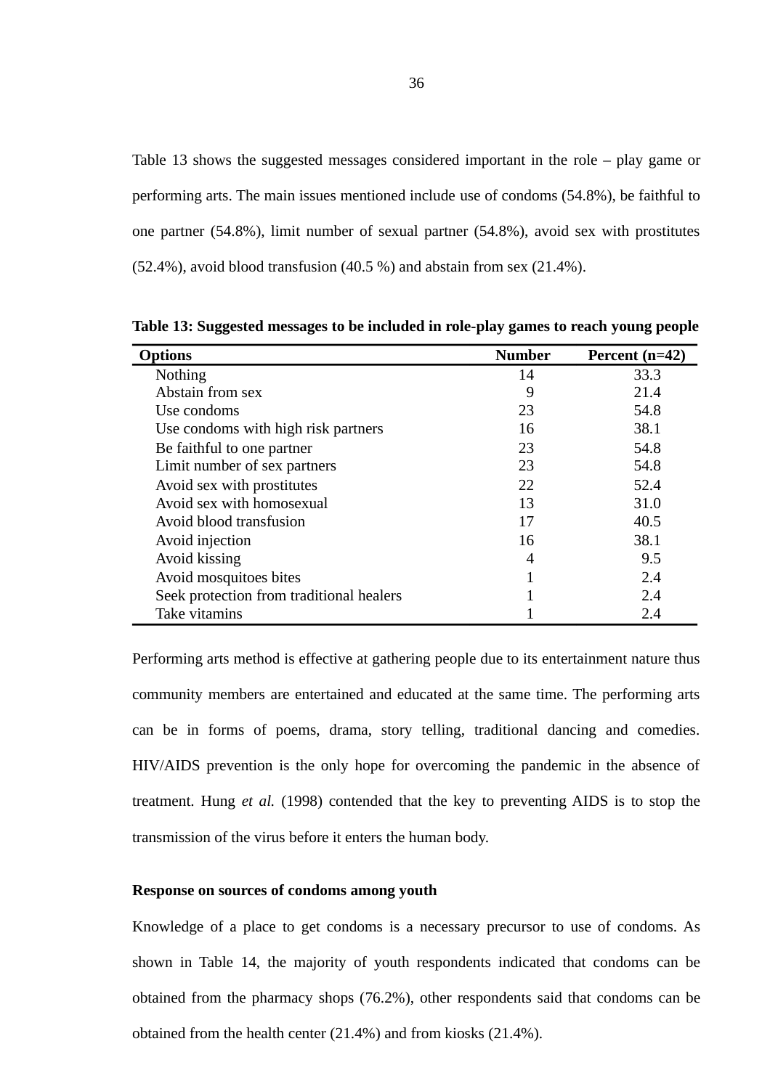Table 13 shows the suggested messages considered important in the role – play game or performing arts. The main issues mentioned include use of condoms (54.8%), be faithful to one partner (54.8%), limit number of sexual partner (54.8%), avoid sex with prostitutes (52.4%), avoid blood transfusion (40.5 %) and abstain from sex (21.4%).

| <b>D</b> ptions                          | <b>Number</b> | Percent (n=42) |
|------------------------------------------|---------------|----------------|
| <b>Nothing</b>                           | 14            | 33.3           |
| Abstain from sex                         | 9             | 21.4           |
| Use condoms                              | 23            | 54.8           |
| Use condoms with high risk partners      | 16            | 38.1           |
| Be faithful to one partner               | 23            | 54.8           |
| Limit number of sex partners             | 23            | 54.8           |
| Avoid sex with prostitutes               | 22            | 52.4           |
| Avoid sex with homosexual                | 13            | 31.0           |
| Avoid blood transfusion                  | 17            | 40.5           |
| Avoid injection                          | 16            | 38.1           |
| Avoid kissing                            | 4             | 9.5            |
| Avoid mosquitoes bites                   | 1             | 2.4            |
| Seek protection from traditional healers | 1             | 2.4            |
| Take vitamins                            |               | 2.4            |

**Table 13: Suggested messages to be included in role-play games to reach young people**

Performing arts method is effective at gathering people due to its entertainment nature thus community members are entertained and educated at the same time. The performing arts can be in forms of poems, drama, story telling, traditional dancing and comedies. HIV/AIDS prevention is the only hope for overcoming the pandemic in the absence of treatment. Hung *et al.* (1998) contended that the key to preventing AIDS is to stop the transmission of the virus before it enters the human body.

### **Response on sources of condoms among youth**

Knowledge of a place to get condoms is a necessary precursor to use of condoms. As shown in Table 14, the majority of youth respondents indicated that condoms can be obtained from the pharmacy shops (76.2%), other respondents said that condoms can be obtained from the health center (21.4%) and from kiosks (21.4%).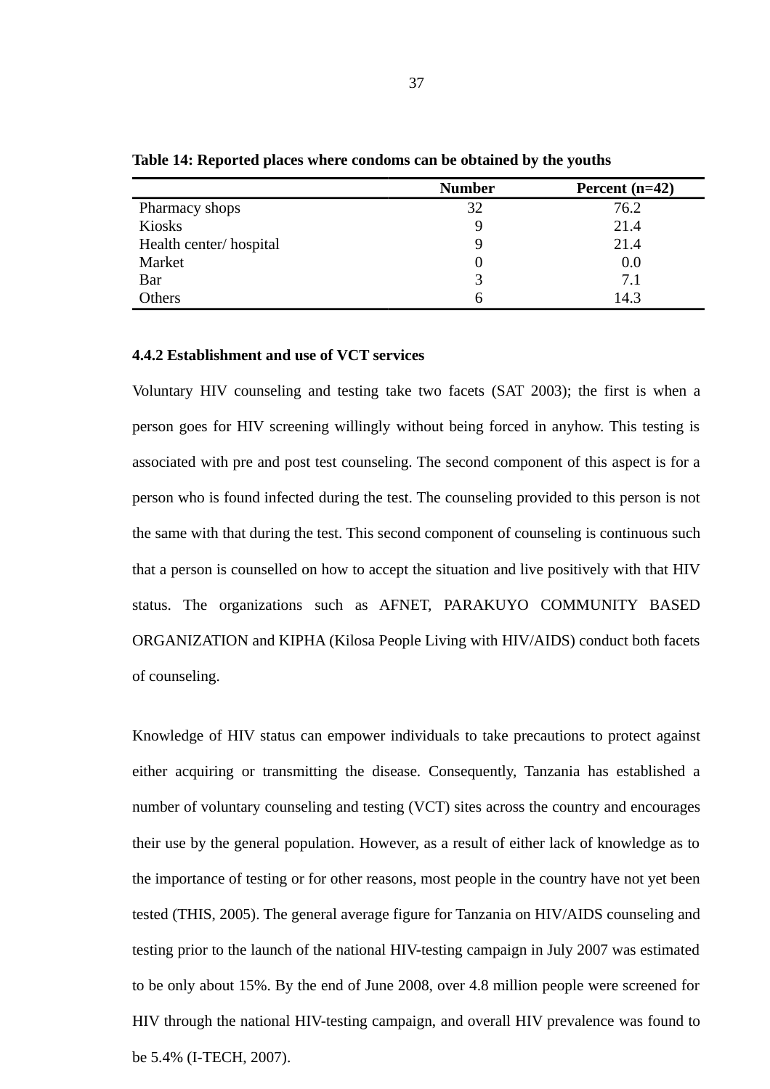|                        | <b>Number</b> | Percent $(n=42)$ |
|------------------------|---------------|------------------|
| Pharmacy shops         | 32            | 76.2             |
| Kiosks                 | 9             | 21.4             |
| Health center/hospital | 9             | 21.4             |
| Market                 |               | 0.0              |
| Bar                    |               | 7.1              |
| Others                 |               | 14.3             |

**Table 14: Reported places where condoms can be obtained by the youths**

### **4.4.2 Establishment and use of VCT services**

Voluntary HIV counseling and testing take two facets (SAT 2003); the first is when a person goes for HIV screening willingly without being forced in anyhow. This testing is associated with pre and post test counseling. The second component of this aspect is for a person who is found infected during the test. The counseling provided to this person is not the same with that during the test. This second component of counseling is continuous such that a person is counselled on how to accept the situation and live positively with that HIV status. The organizations such as AFNET, PARAKUYO COMMUNITY BASED ORGANIZATION and KIPHA (Kilosa People Living with HIV/AIDS) conduct both facets of counseling.

Knowledge of HIV status can empower individuals to take precautions to protect against either acquiring or transmitting the disease. Consequently, Tanzania has established a number of voluntary counseling and testing (VCT) sites across the country and encourages their use by the general population. However, as a result of either lack of knowledge as to the importance of testing or for other reasons, most people in the country have not yet been tested (THIS, 2005). The general average figure for Tanzania on HIV/AIDS counseling and testing prior to the launch of the national HIV-testing campaign in July 2007 was estimated to be only about 15%. By the end of June 2008, over 4.8 million people were screened for HIV through the national HIV-testing campaign, and overall HIV prevalence was found to be 5.4% (I-TECH, 2007).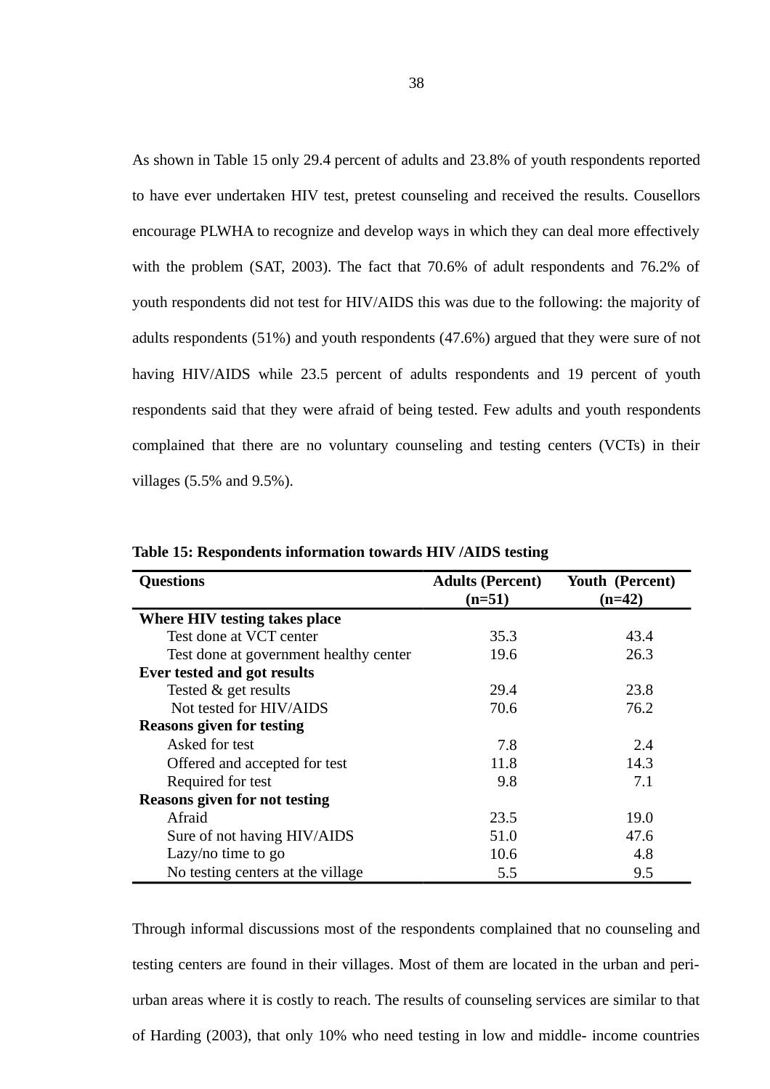As shown in Table 15 only 29.4 percent of adults and 23.8% of youth respondents reported to have ever undertaken HIV test, pretest counseling and received the results. Cousellors encourage PLWHA to recognize and develop ways in which they can deal more effectively with the problem (SAT, 2003). The fact that 70.6% of adult respondents and 76.2% of youth respondents did not test for HIV/AIDS this was due to the following: the majority of adults respondents (51%) and youth respondents (47.6%) argued that they were sure of not having HIV/AIDS while 23.5 percent of adults respondents and 19 percent of youth respondents said that they were afraid of being tested. Few adults and youth respondents complained that there are no voluntary counseling and testing centers (VCTs) in their villages (5.5% and 9.5%).

| <b>Questions</b>                       | <b>Adults (Percent)</b> | <b>Youth (Percent)</b> |
|----------------------------------------|-------------------------|------------------------|
|                                        | $(n=51)$                | (n=42)                 |
| Where HIV testing takes place          |                         |                        |
| Test done at VCT center                | 35.3                    | 43.4                   |
| Test done at government healthy center | 19.6                    | 26.3                   |
| Ever tested and got results            |                         |                        |
| Tested & get results                   | 29.4                    | 23.8                   |
| Not tested for HIV/AIDS                | 70.6                    | 76.2                   |
| <b>Reasons given for testing</b>       |                         |                        |
| Asked for test                         | 7.8                     | 2.4                    |
| Offered and accepted for test          | 11.8                    | 14.3                   |
| Required for test                      | 9.8                     | 7.1                    |
| <b>Reasons given for not testing</b>   |                         |                        |
| Afraid                                 | 23.5                    | 19.0                   |
| Sure of not having HIV/AIDS            | 51.0                    | 47.6                   |
| Lazy/no time to go                     | 10.6                    | 4.8                    |
| No testing centers at the village      | 5.5                     | 9.5                    |

**Table 15: Respondents information towards HIV /AIDS testing** 

Through informal discussions most of the respondents complained that no counseling and testing centers are found in their villages. Most of them are located in the urban and periurban areas where it is costly to reach. The results of counseling services are similar to that of Harding (2003), that only 10% who need testing in low and middle- income countries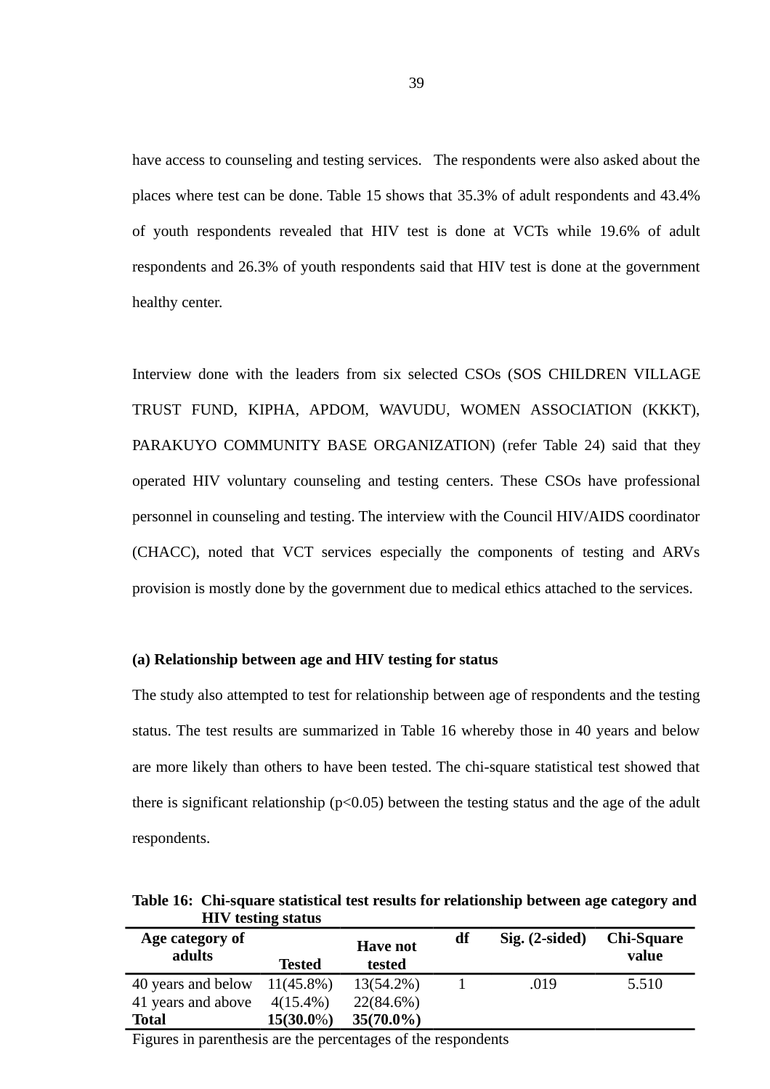have access to counseling and testing services. The respondents were also asked about the places where test can be done. Table 15 shows that 35.3% of adult respondents and 43.4% of youth respondents revealed that HIV test is done at VCTs while 19.6% of adult respondents and 26.3% of youth respondents said that HIV test is done at the government healthy center.

Interview done with the leaders from six selected CSOs (SOS CHILDREN VILLAGE TRUST FUND, KIPHA, APDOM, WAVUDU, WOMEN ASSOCIATION (KKKT), PARAKUYO COMMUNITY BASE ORGANIZATION) (refer Table 24) said that they operated HIV voluntary counseling and testing centers. These CSOs have professional personnel in counseling and testing. The interview with the Council HIV/AIDS coordinator (CHACC), noted that VCT services especially the components of testing and ARVs provision is mostly done by the government due to medical ethics attached to the services.

### **(a) Relationship between age and HIV testing for status**

The study also attempted to test for relationship between age of respondents and the testing status. The test results are summarized in Table 16 whereby those in 40 years and below are more likely than others to have been tested. The chi-square statistical test showed that there is significant relationship ( $p$ <0.05) between the testing status and the age of the adult respondents.

**Table 16: Chi-square statistical test results for relationship between age category and HIV testing status**

| Age category of<br>adults | <b>Tested</b> | <b>Have not</b><br>tested | df | Sig. (2-sided) | <b>Chi-Square</b><br>value |
|---------------------------|---------------|---------------------------|----|----------------|----------------------------|
| 40 years and below        | $11(45.8\%)$  | 13(54.2%)                 |    | .019           | 5.510                      |
| 41 years and above        | $4(15.4\%)$   | 22(84.6%)                 |    |                |                            |
| <b>Total</b>              | $15(30.0\%)$  | $35(70.0\%)$              |    |                |                            |

Figures in parenthesis are the percentages of the respondents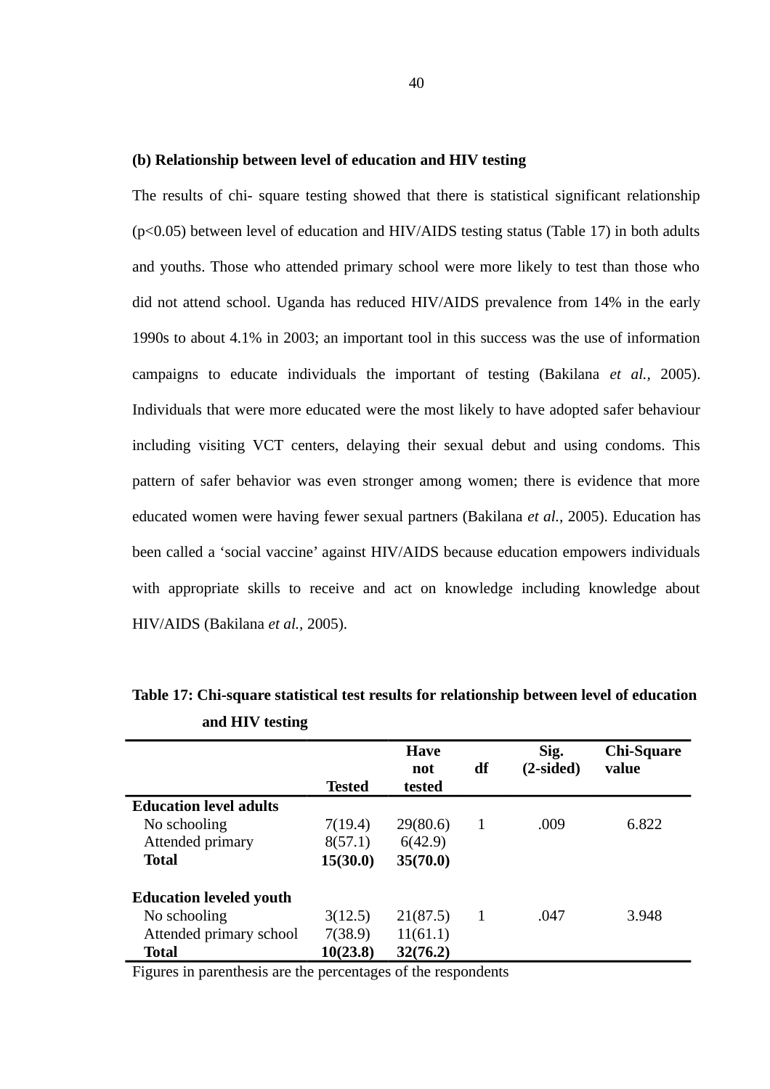#### **(b) Relationship between level of education and HIV testing**

The results of chi- square testing showed that there is statistical significant relationship (p<0.05) between level of education and HIV/AIDS testing status (Table 17) in both adults and youths. Those who attended primary school were more likely to test than those who did not attend school. Uganda has reduced HIV/AIDS prevalence from 14% in the early 1990s to about 4.1% in 2003; an important tool in this success was the use of information campaigns to educate individuals the important of testing (Bakilana *et al.,* 2005). Individuals that were more educated were the most likely to have adopted safer behaviour including visiting VCT centers, delaying their sexual debut and using condoms. This pattern of safer behavior was even stronger among women; there is evidence that more educated women were having fewer sexual partners (Bakilana *et al.,* 2005). Education has been called a 'social vaccine' against HIV/AIDS because education empowers individuals with appropriate skills to receive and act on knowledge including knowledge about HIV/AIDS (Bakilana *et al.,* 2005).

|                                |               | <b>Have</b> |    | Sig.      | <b>Chi-Square</b> |
|--------------------------------|---------------|-------------|----|-----------|-------------------|
|                                |               | not         | df | (2-sided) | value             |
|                                | <b>Tested</b> | tested      |    |           |                   |
| <b>Education level adults</b>  |               |             |    |           |                   |
| No schooling                   | 7(19.4)       | 29(80.6)    | 1  | .009      | 6.822             |
| Attended primary               | 8(57.1)       | 6(42.9)     |    |           |                   |
| Total                          | 15(30.0)      | 35(70.0)    |    |           |                   |
| <b>Education leveled youth</b> |               |             |    |           |                   |
| No schooling                   | 3(12.5)       | 21(87.5)    | 1  | .047      | 3.948             |
| Attended primary school        | 7(38.9)       | 11(61.1)    |    |           |                   |
| <b>Total</b>                   | 10(23.8)      | 32(76.2)    |    |           |                   |

**Table 17: Chi-square statistical test results for relationship between level of education and HIV testing**

Figures in parenthesis are the percentages of the respondents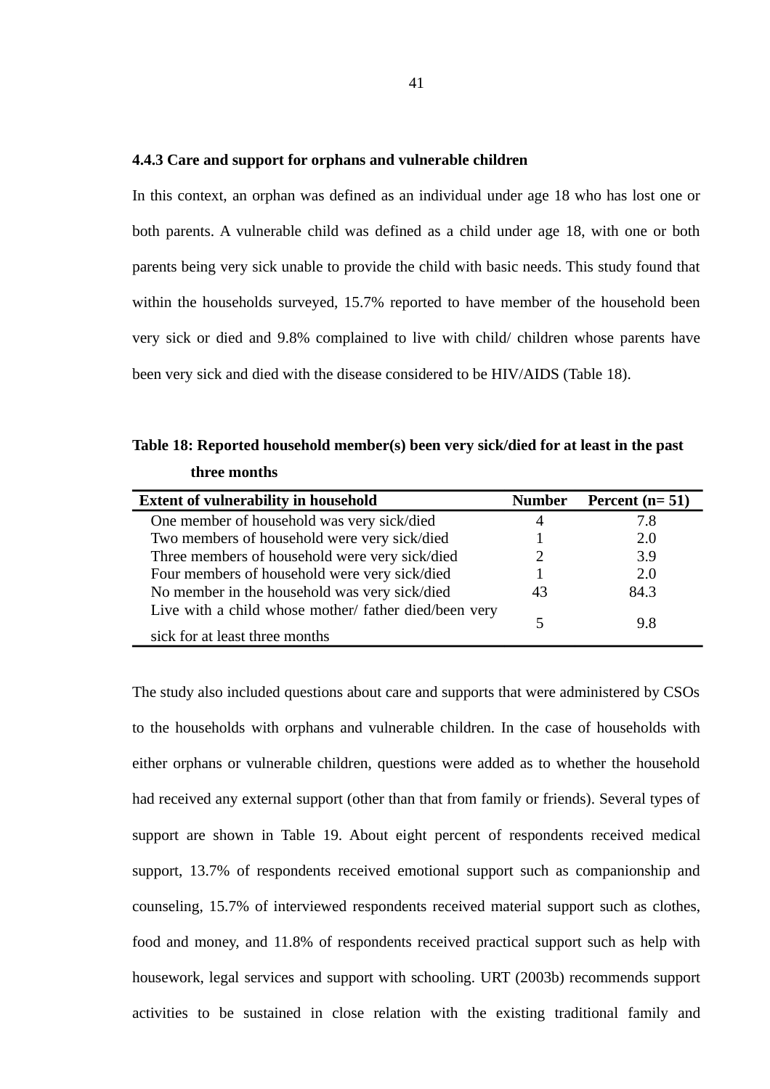#### **4.4.3 Care and support for orphans and vulnerable children**

In this context, an orphan was defined as an individual under age 18 who has lost one or both parents. A vulnerable child was defined as a child under age 18, with one or both parents being very sick unable to provide the child with basic needs. This study found that within the households surveyed, 15.7% reported to have member of the household been very sick or died and 9.8% complained to live with child/ children whose parents have been very sick and died with the disease considered to be HIV/AIDS (Table 18).

**Table 18: Reported household member(s) been very sick/died for at least in the past three months** 

| <b>Extent of vulnerability in household</b>           | <b>Number</b> | Percent $(n=51)$ |
|-------------------------------------------------------|---------------|------------------|
| One member of household was very sick/died            |               | 7.8              |
| Two members of household were very sick/died          |               | 2.0              |
| Three members of household were very sick/died        |               | 3.9              |
| Four members of household were very sick/died         |               | 2.0              |
| No member in the household was very sick/died         | 43            | 84.3             |
| Live with a child whose mother/ father died/been very |               |                  |
|                                                       | 5             | 9.8              |
| sick for at least three months                        |               |                  |

The study also included questions about care and supports that were administered by CSOs to the households with orphans and vulnerable children. In the case of households with either orphans or vulnerable children, questions were added as to whether the household had received any external support (other than that from family or friends). Several types of support are shown in Table 19. About eight percent of respondents received medical support, 13.7% of respondents received emotional support such as companionship and counseling, 15.7% of interviewed respondents received material support such as clothes, food and money, and 11.8% of respondents received practical support such as help with housework, legal services and support with schooling. URT (2003b) recommends support activities to be sustained in close relation with the existing traditional family and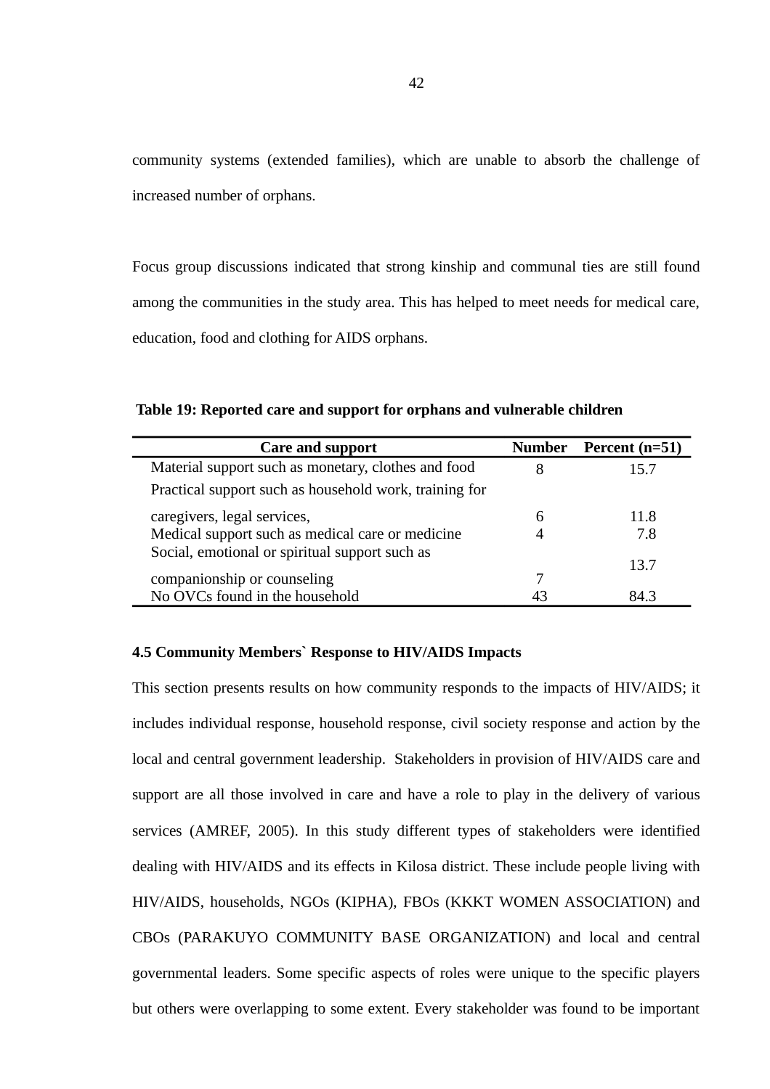community systems (extended families), which are unable to absorb the challenge of increased number of orphans.

Focus group discussions indicated that strong kinship and communal ties are still found among the communities in the study area. This has helped to meet needs for medical care, education, food and clothing for AIDS orphans.

| Care and support                                       | <b>Number</b> | Percent (n=51) |
|--------------------------------------------------------|---------------|----------------|
| Material support such as monetary, clothes and food    |               | 15.7           |
| Practical support such as household work, training for |               |                |
| caregivers, legal services,                            | 6             | 11.8           |
| Medical support such as medical care or medicine       |               | 7.8            |
| Social, emotional or spiritual support such as         | 7             | 13.7           |
| companionship or counseling                            |               | 84 3           |
| No OVCs found in the household                         | 43            |                |

# **4.5 Community Members` Response to HIV/AIDS Impacts**

This section presents results on how community responds to the impacts of HIV/AIDS; it includes individual response, household response, civil society response and action by the local and central government leadership. Stakeholders in provision of HIV/AIDS care and support are all those involved in care and have a role to play in the delivery of various services (AMREF, 2005). In this study different types of stakeholders were identified dealing with HIV/AIDS and its effects in Kilosa district. These include people living with HIV/AIDS, households, NGOs (KIPHA), FBOs (KKKT WOMEN ASSOCIATION) and CBOs (PARAKUYO COMMUNITY BASE ORGANIZATION) and local and central governmental leaders. Some specific aspects of roles were unique to the specific players but others were overlapping to some extent. Every stakeholder was found to be important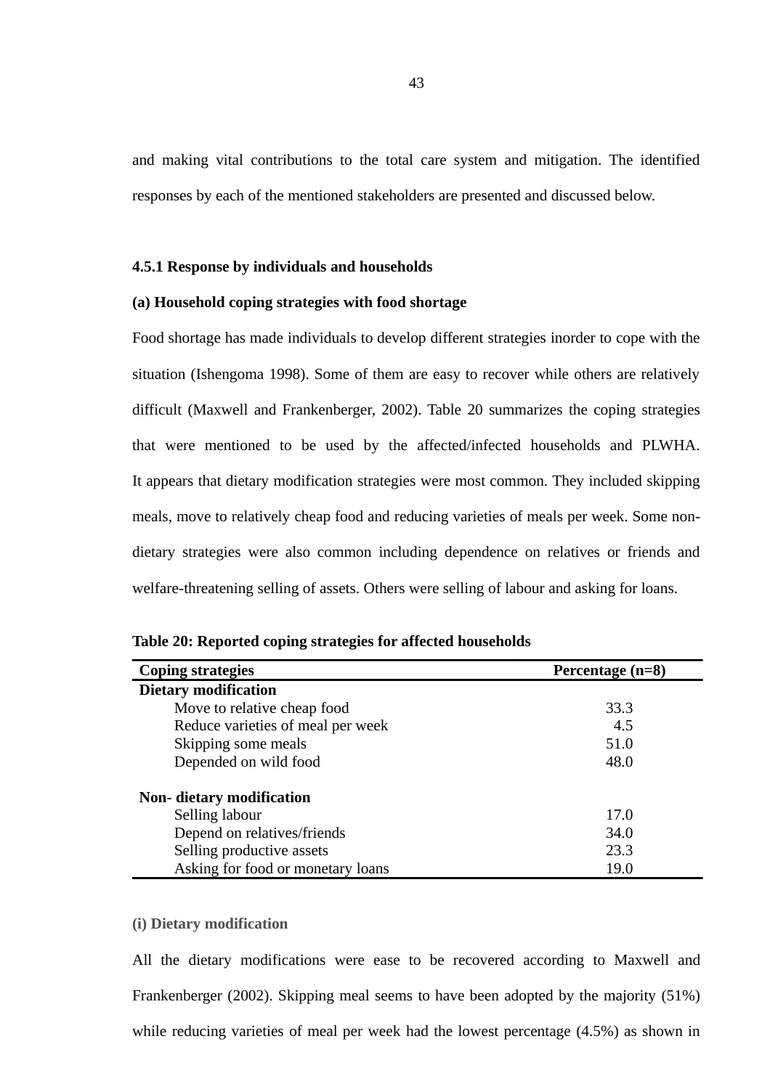and making vital contributions to the total care system and mitigation. The identified responses by each of the mentioned stakeholders are presented and discussed below.

### **4.5.1 Response by individuals and households**

### **(a) Household coping strategies with food shortage**

Food shortage has made individuals to develop different strategies inorder to cope with the situation (Ishengoma 1998). Some of them are easy to recover while others are relatively difficult (Maxwell and Frankenberger, 2002). Table 20 summarizes the coping strategies that were mentioned to be used by the affected/infected households and PLWHA. It appears that dietary modification strategies were most common. They included skipping meals, move to relatively cheap food and reducing varieties of meals per week. Some nondietary strategies were also common including dependence on relatives or friends and welfare-threatening selling of assets. Others were selling of labour and asking for loans.

| <b>Coping strategies</b>          | Percentage (n=8) |  |  |
|-----------------------------------|------------------|--|--|
| <b>Dietary modification</b>       |                  |  |  |
| Move to relative cheap food       | 33.3             |  |  |
| Reduce varieties of meal per week | 4.5              |  |  |
| Skipping some meals               | 51.0             |  |  |
| Depended on wild food             | 48.0             |  |  |
| <b>Non-</b> dietary modification  |                  |  |  |
| Selling labour                    | 17.0             |  |  |
| Depend on relatives/friends       | 34.0             |  |  |
| Selling productive assets         | 23.3             |  |  |
| Asking for food or monetary loans | 19.0             |  |  |

**Table 20: Reported coping strategies for affected households** 

# **(i) Dietary modification**

All the dietary modifications were ease to be recovered according to Maxwell and Frankenberger (2002). Skipping meal seems to have been adopted by the majority (51%) while reducing varieties of meal per week had the lowest percentage (4.5%) as shown in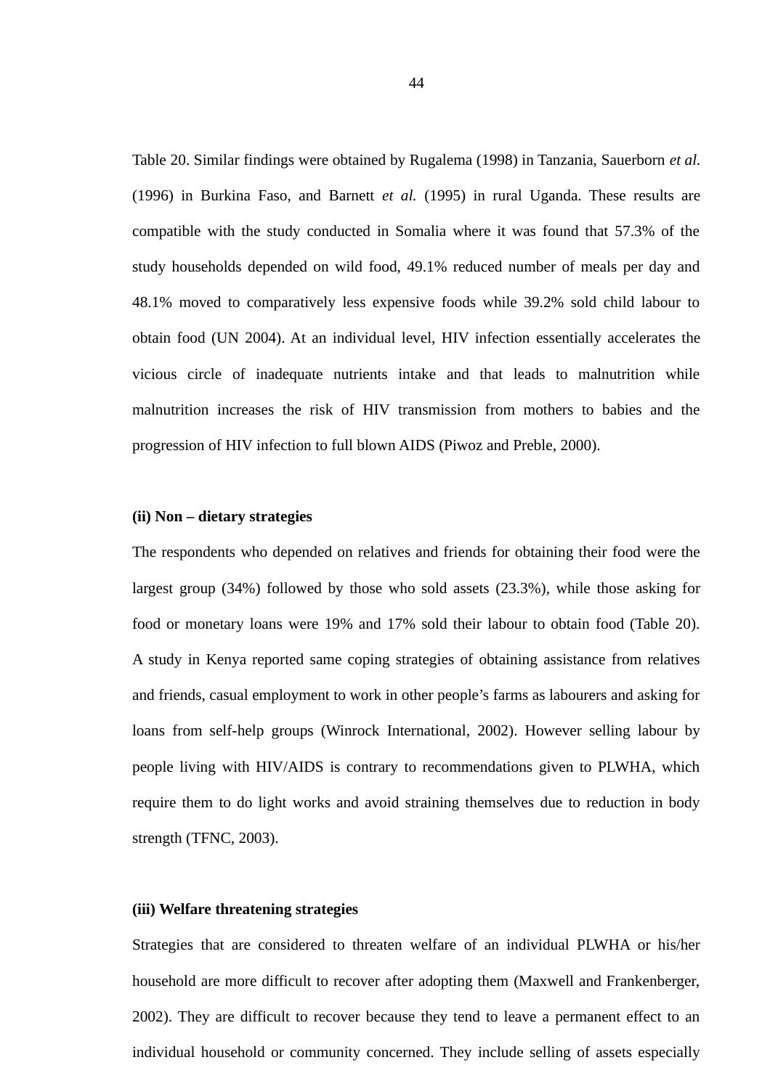Table 20. Similar findings were obtained by Rugalema (1998) in Tanzania, Sauerborn *et al.* (1996) in Burkina Faso, and Barnett *et al.* (1995) in rural Uganda. These results are compatible with the study conducted in Somalia where it was found that 57.3% of the study households depended on wild food, 49.1% reduced number of meals per day and 48.1% moved to comparatively less expensive foods while 39.2% sold child labour to obtain food (UN 2004). At an individual level, HIV infection essentially accelerates the vicious circle of inadequate nutrients intake and that leads to malnutrition while malnutrition increases the risk of HIV transmission from mothers to babies and the progression of HIV infection to full blown AIDS (Piwoz and Preble, 2000).

### **(ii) Non – dietary strategies**

The respondents who depended on relatives and friends for obtaining their food were the largest group (34%) followed by those who sold assets (23.3%), while those asking for food or monetary loans were 19% and 17% sold their labour to obtain food (Table 20). A study in Kenya reported same coping strategies of obtaining assistance from relatives and friends, casual employment to work in other people's farms as labourers and asking for loans from self-help groups (Winrock International, 2002). However selling labour by people living with HIV/AIDS is contrary to recommendations given to PLWHA, which require them to do light works and avoid straining themselves due to reduction in body strength (TFNC, 2003).

### **(iii) Welfare threatening strategies**

Strategies that are considered to threaten welfare of an individual PLWHA or his/her household are more difficult to recover after adopting them (Maxwell and Frankenberger, 2002). They are difficult to recover because they tend to leave a permanent effect to an individual household or community concerned. They include selling of assets especially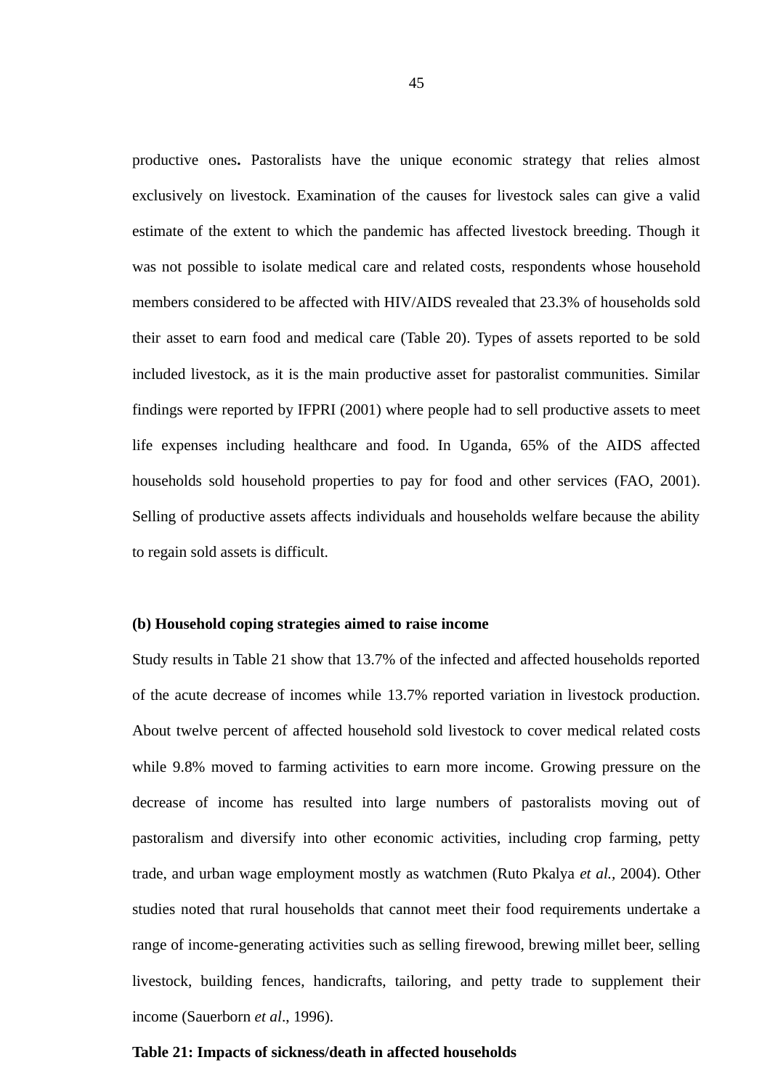productive ones**.** Pastoralists have the unique economic strategy that relies almost exclusively on livestock. Examination of the causes for livestock sales can give a valid estimate of the extent to which the pandemic has affected livestock breeding. Though it was not possible to isolate medical care and related costs, respondents whose household members considered to be affected with HIV/AIDS revealed that 23.3% of households sold their asset to earn food and medical care (Table 20). Types of assets reported to be sold included livestock, as it is the main productive asset for pastoralist communities. Similar findings were reported by IFPRI (2001) where people had to sell productive assets to meet life expenses including healthcare and food. In Uganda, 65% of the AIDS affected households sold household properties to pay for food and other services (FAO, 2001). Selling of productive assets affects individuals and households welfare because the ability to regain sold assets is difficult.

### **(b) Household coping strategies aimed to raise income**

Study results in Table 21 show that 13.7% of the infected and affected households reported of the acute decrease of incomes while 13.7% reported variation in livestock production. About twelve percent of affected household sold livestock to cover medical related costs while 9.8% moved to farming activities to earn more income. Growing pressure on the decrease of income has resulted into large numbers of pastoralists moving out of pastoralism and diversify into other economic activities, including crop farming, petty trade, and urban wage employment mostly as watchmen (Ruto Pkalya *et al.,* 2004). Other studies noted that rural households that cannot meet their food requirements undertake a range of income-generating activities such as selling firewood, brewing millet beer, selling livestock, building fences, handicrafts, tailoring, and petty trade to supplement their income (Sauerborn *et al*., 1996).

#### **Table 21: Impacts of sickness/death in affected households**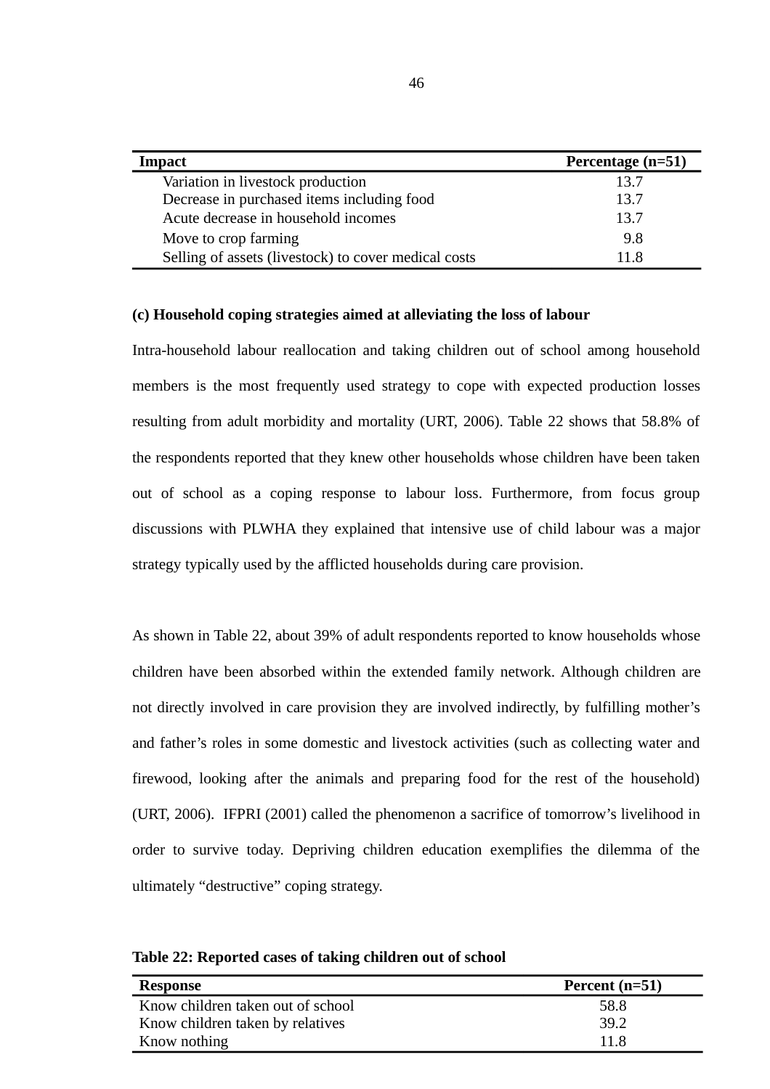| <b>Impact</b>                                        | Percentage (n=51) |
|------------------------------------------------------|-------------------|
| Variation in livestock production                    | 13.7              |
| Decrease in purchased items including food           | 13.7              |
| Acute decrease in household incomes                  | 13.7              |
| Move to crop farming                                 | 9.8               |
| Selling of assets (livestock) to cover medical costs | 11 R              |

## **(c) Household coping strategies aimed at alleviating the loss of labour**

Intra-household labour reallocation and taking children out of school among household members is the most frequently used strategy to cope with expected production losses resulting from adult morbidity and mortality (URT, 2006). Table 22 shows that 58.8% of the respondents reported that they knew other households whose children have been taken out of school as a coping response to labour loss. Furthermore, from focus group discussions with PLWHA they explained that intensive use of child labour was a major strategy typically used by the afflicted households during care provision.

As shown in Table 22, about 39% of adult respondents reported to know households whose children have been absorbed within the extended family network. Although children are not directly involved in care provision they are involved indirectly, by fulfilling mother's and father's roles in some domestic and livestock activities (such as collecting water and firewood, looking after the animals and preparing food for the rest of the household) (URT, 2006). IFPRI (2001) called the phenomenon a sacrifice of tomorrow's livelihood in order to survive today. Depriving children education exemplifies the dilemma of the ultimately "destructive" coping strategy.

**Table 22: Reported cases of taking children out of school**

| <b>Response</b>                   | Percent (n=51) |
|-----------------------------------|----------------|
| Know children taken out of school | 58.8           |
| Know children taken by relatives  | 39.2           |
| Know nothing                      | 11 R           |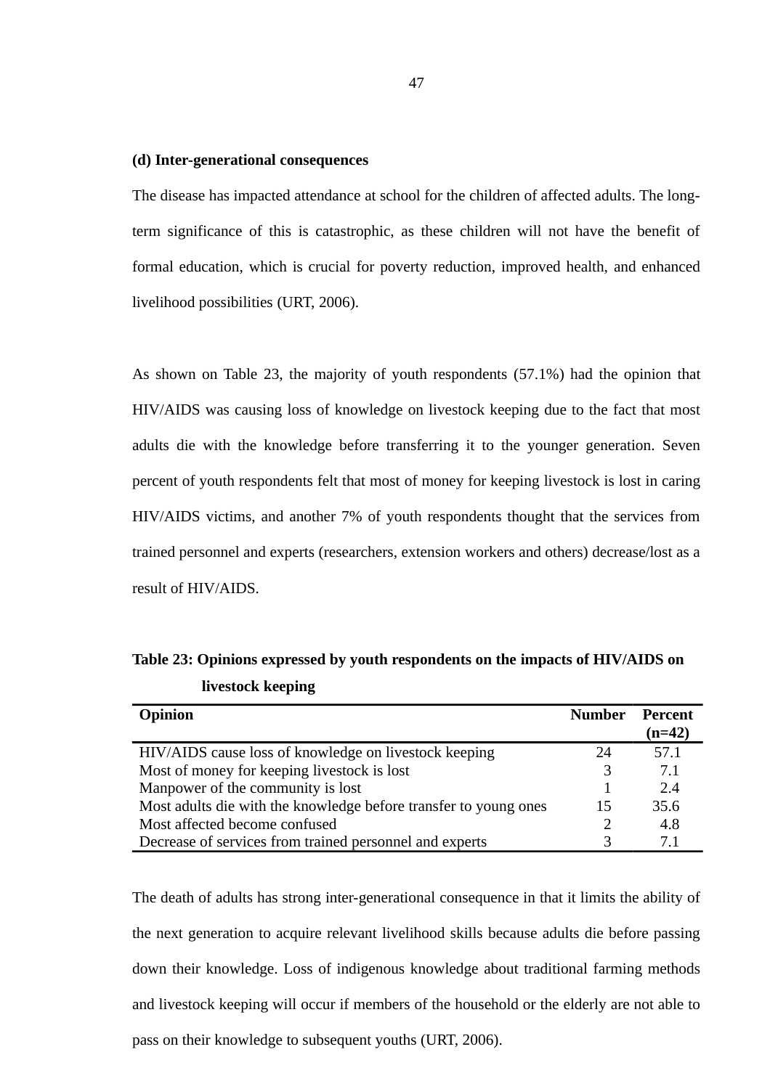#### **(d) Inter-generational consequences**

The disease has impacted attendance at school for the children of affected adults. The longterm significance of this is catastrophic, as these children will not have the benefit of formal education, which is crucial for poverty reduction, improved health, and enhanced livelihood possibilities (URT, 2006).

As shown on Table 23, the majority of youth respondents (57.1%) had the opinion that HIV/AIDS was causing loss of knowledge on livestock keeping due to the fact that most adults die with the knowledge before transferring it to the younger generation. Seven percent of youth respondents felt that most of money for keeping livestock is lost in caring HIV/AIDS victims, and another 7% of youth respondents thought that the services from trained personnel and experts (researchers, extension workers and others) decrease/lost as a result of HIV/AIDS.

| <b>Opinion</b>                                                   | <b>Number</b> | Percent<br>(n=42) |
|------------------------------------------------------------------|---------------|-------------------|
| HIV/AIDS cause loss of knowledge on livestock keeping            | 24            | 57.1              |
| Most of money for keeping livestock is lost                      | З             | 7.1               |
| Manpower of the community is lost                                |               | 2.4               |
| Most adults die with the knowledge before transfer to young ones | 15            | 35.6              |
| Most affected become confused                                    |               | 4.8               |
| Decrease of services from trained personnel and experts          |               | 7.1               |

**Table 23: Opinions expressed by youth respondents on the impacts of HIV/AIDS on livestock keeping**

The death of adults has strong inter-generational consequence in that it limits the ability of the next generation to acquire relevant livelihood skills because adults die before passing down their knowledge. Loss of indigenous knowledge about traditional farming methods and livestock keeping will occur if members of the household or the elderly are not able to pass on their knowledge to subsequent youths (URT, 2006).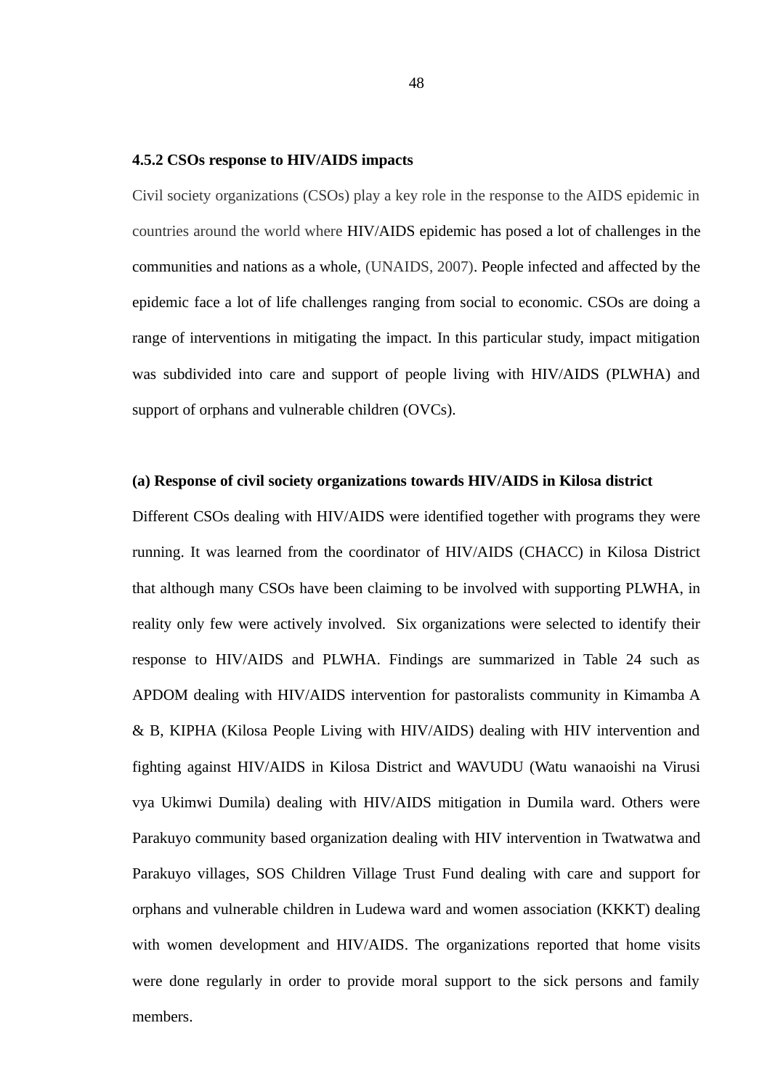#### **4.5.2 CSOs response to HIV/AIDS impacts**

Civil society organizations (CSOs) play a key role in the response to the AIDS epidemic in countries around the world where HIV/AIDS epidemic has posed a lot of challenges in the communities and nations as a whole, (UNAIDS, 2007). People infected and affected by the epidemic face a lot of life challenges ranging from social to economic. CSOs are doing a range of interventions in mitigating the impact. In this particular study, impact mitigation was subdivided into care and support of people living with HIV/AIDS (PLWHA) and support of orphans and vulnerable children (OVCs).

### **(a) Response of civil society organizations towards HIV/AIDS in Kilosa district**

Different CSOs dealing with HIV/AIDS were identified together with programs they were running. It was learned from the coordinator of HIV/AIDS (CHACC) in Kilosa District that although many CSOs have been claiming to be involved with supporting PLWHA, in reality only few were actively involved. Six organizations were selected to identify their response to HIV/AIDS and PLWHA. Findings are summarized in Table 24 such as APDOM dealing with HIV/AIDS intervention for pastoralists community in Kimamba A & B, KIPHA (Kilosa People Living with HIV/AIDS) dealing with HIV intervention and fighting against HIV/AIDS in Kilosa District and WAVUDU (Watu wanaoishi na Virusi vya Ukimwi Dumila) dealing with HIV/AIDS mitigation in Dumila ward. Others were Parakuyo community based organization dealing with HIV intervention in Twatwatwa and Parakuyo villages, SOS Children Village Trust Fund dealing with care and support for orphans and vulnerable children in Ludewa ward and women association (KKKT) dealing with women development and HIV/AIDS. The organizations reported that home visits were done regularly in order to provide moral support to the sick persons and family members.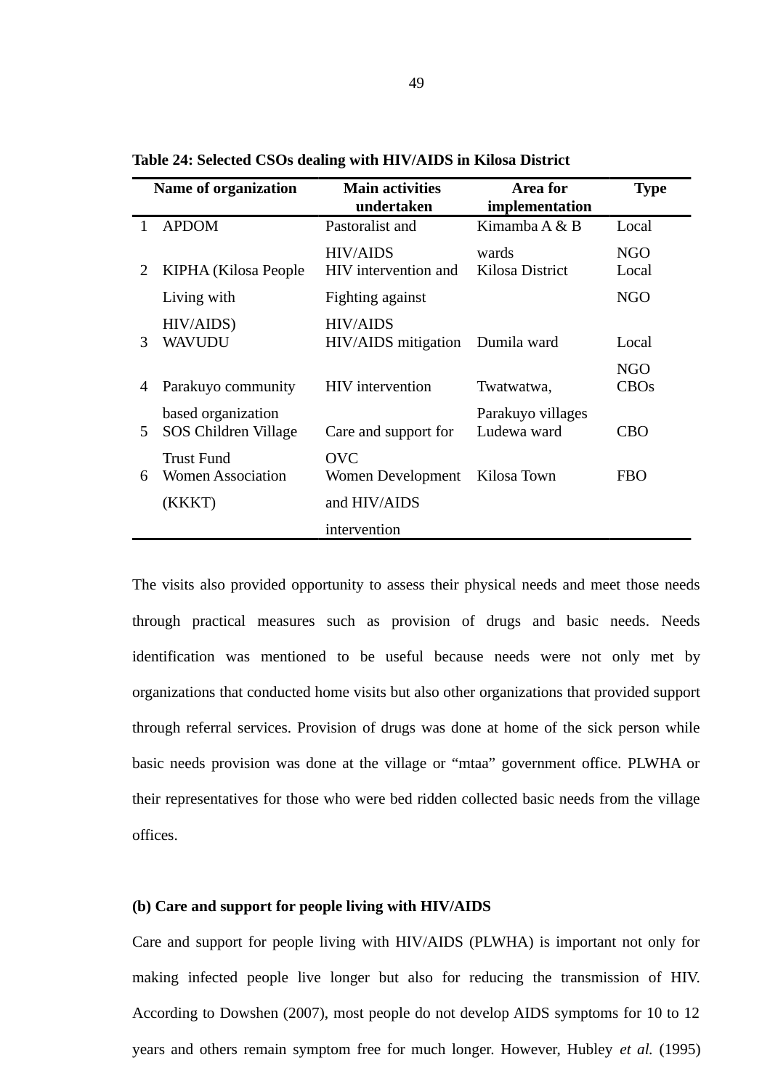|    | <b>Name of organization</b> | <b>Main activities</b>     | Area for          | <b>Type</b> |
|----|-----------------------------|----------------------------|-------------------|-------------|
|    |                             | undertaken                 | implementation    |             |
|    | <b>APDOM</b>                | Pastoralist and            | Kimamba A & B     | Local       |
|    |                             | <b>HIV/AIDS</b>            | wards             | <b>NGO</b>  |
| 2  | KIPHA (Kilosa People)       | HIV intervention and       | Kilosa District   | Local       |
|    | Living with                 | Fighting against           |                   | <b>NGO</b>  |
|    | HIV/AIDS)                   | <b>HIV/AIDS</b>            |                   |             |
| 3  | <b>WAVUDU</b>               | <b>HIV/AIDS</b> mitigation | Dumila ward       | Local       |
|    |                             |                            |                   | <b>NGO</b>  |
| 4  | Parakuyo community          | <b>HIV</b> intervention    | Twatwatwa,        | <b>CBOs</b> |
|    | based organization          |                            | Parakuyo villages |             |
| 5. | SOS Children Village        | Care and support for       | Ludewa ward       | <b>CBO</b>  |
|    | <b>Trust Fund</b>           | <b>OVC</b>                 |                   |             |
| 6  | <b>Women Association</b>    | Women Development          | Kilosa Town       | <b>FBO</b>  |
|    | (KKKT)                      | and HIV/AIDS               |                   |             |
|    |                             | intervention               |                   |             |

**Table 24: Selected CSOs dealing with HIV/AIDS in Kilosa District**

The visits also provided opportunity to assess their physical needs and meet those needs through practical measures such as provision of drugs and basic needs. Needs identification was mentioned to be useful because needs were not only met by organizations that conducted home visits but also other organizations that provided support through referral services. Provision of drugs was done at home of the sick person while basic needs provision was done at the village or "mtaa" government office. PLWHA or their representatives for those who were bed ridden collected basic needs from the village offices.

### **(b) Care and support for people living with HIV/AIDS**

Care and support for people living with HIV/AIDS (PLWHA) is important not only for making infected people live longer but also for reducing the transmission of HIV. According to Dowshen (2007), most people do not develop AIDS symptoms for 10 to 12 years and others remain symptom free for much longer. However, Hubley *et al.* (1995)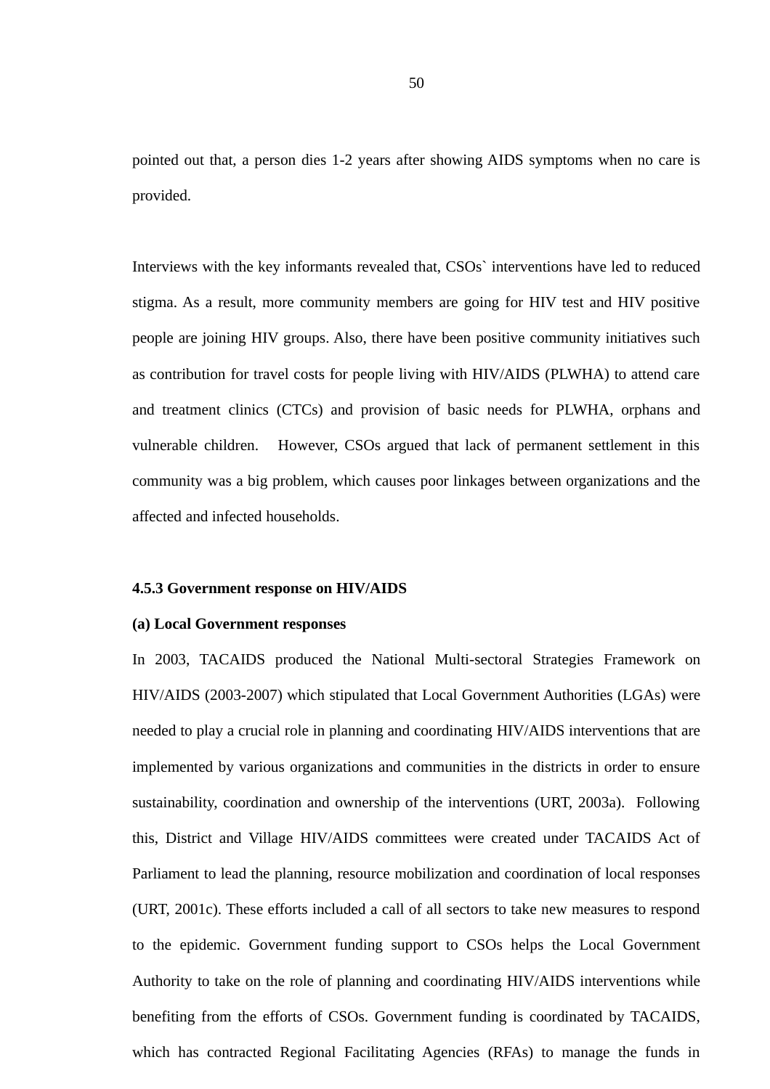pointed out that, a person dies 1-2 years after showing AIDS symptoms when no care is provided.

Interviews with the key informants revealed that, CSOs` interventions have led to reduced stigma. As a result, more community members are going for HIV test and HIV positive people are joining HIV groups. Also, there have been positive community initiatives such as contribution for travel costs for people living with HIV/AIDS (PLWHA) to attend care and treatment clinics (CTCs) and provision of basic needs for PLWHA, orphans and vulnerable children. However, CSOs argued that lack of permanent settlement in this community was a big problem, which causes poor linkages between organizations and the affected and infected households.

### **4.5.3 Government response on HIV/AIDS**

#### **(a) Local Government responses**

In 2003, TACAIDS produced the National Multi-sectoral Strategies Framework on HIV/AIDS (2003-2007) which stipulated that Local Government Authorities (LGAs) were needed to play a crucial role in planning and coordinating HIV/AIDS interventions that are implemented by various organizations and communities in the districts in order to ensure sustainability, coordination and ownership of the interventions (URT, 2003a). Following this, District and Village HIV/AIDS committees were created under TACAIDS Act of Parliament to lead the planning, resource mobilization and coordination of local responses (URT, 2001c). These efforts included a call of all sectors to take new measures to respond to the epidemic. Government funding support to CSOs helps the Local Government Authority to take on the role of planning and coordinating HIV/AIDS interventions while benefiting from the efforts of CSOs. Government funding is coordinated by TACAIDS, which has contracted Regional Facilitating Agencies (RFAs) to manage the funds in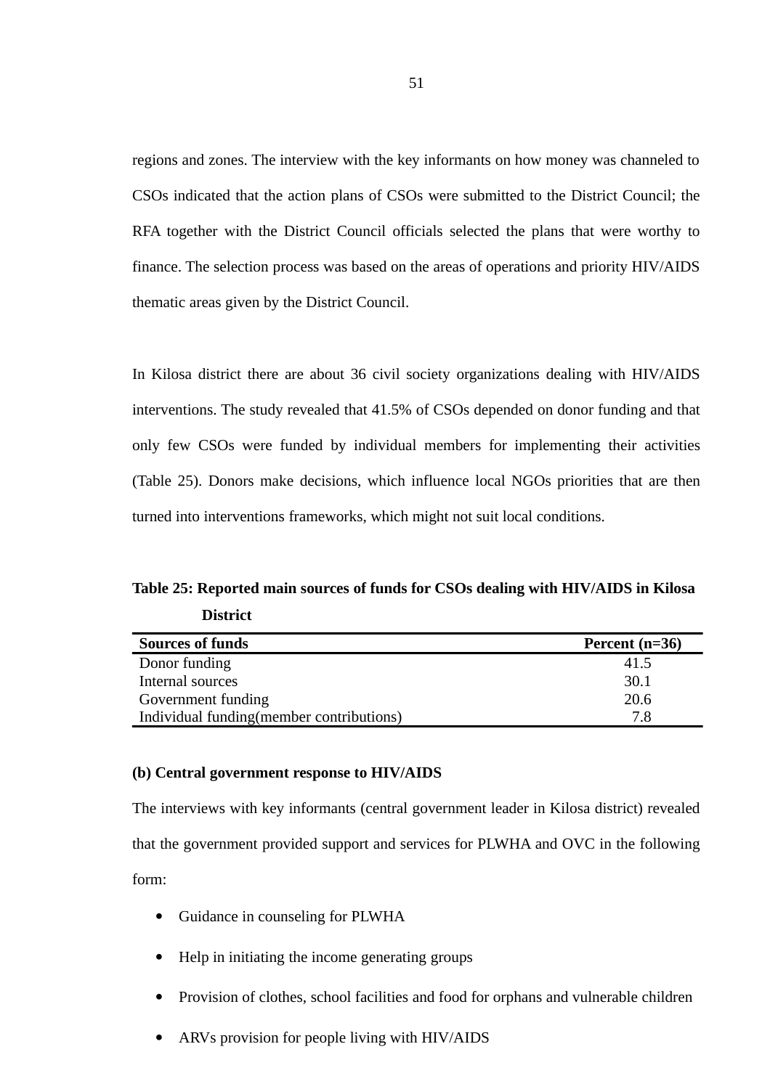regions and zones. The interview with the key informants on how money was channeled to CSOs indicated that the action plans of CSOs were submitted to the District Council; the RFA together with the District Council officials selected the plans that were worthy to finance. The selection process was based on the areas of operations and priority HIV/AIDS thematic areas given by the District Council.

In Kilosa district there are about 36 civil society organizations dealing with HIV/AIDS interventions. The study revealed that 41.5% of CSOs depended on donor funding and that only few CSOs were funded by individual members for implementing their activities (Table 25). Donors make decisions, which influence local NGOs priorities that are then turned into interventions frameworks, which might not suit local conditions.

**Table 25: Reported main sources of funds for CSOs dealing with HIV/AIDS in Kilosa District**

| <b>Sources of funds</b>                  | Percent $(n=36)$ |
|------------------------------------------|------------------|
| Donor funding                            | 41.5             |
| Internal sources                         | 30.1             |
| Government funding                       | 20.6             |
| Individual funding(member contributions) | 7 R              |

### **(b) Central government response to HIV/AIDS**

The interviews with key informants (central government leader in Kilosa district) revealed that the government provided support and services for PLWHA and OVC in the following form:

- Guidance in counseling for PLWHA
- Help in initiating the income generating groups
- Provision of clothes, school facilities and food for orphans and vulnerable children
- ARVs provision for people living with HIV/AIDS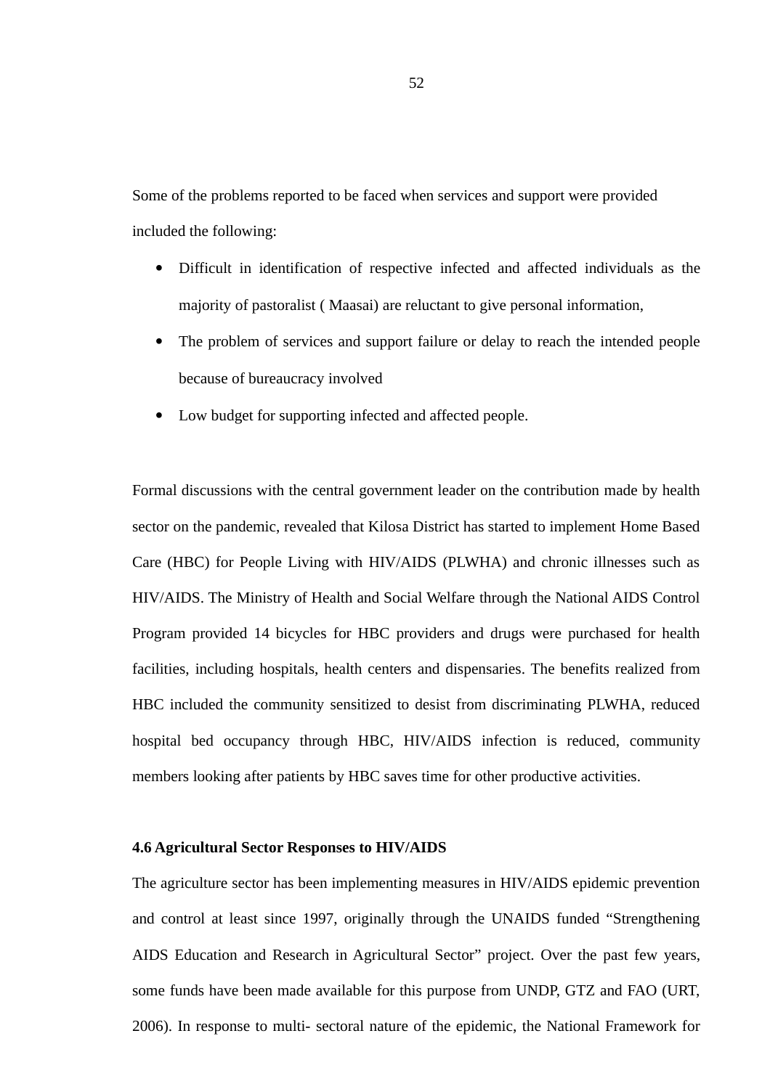Some of the problems reported to be faced when services and support were provided included the following:

- Difficult in identification of respective infected and affected individuals as the majority of pastoralist ( Maasai) are reluctant to give personal information,
- The problem of services and support failure or delay to reach the intended people because of bureaucracy involved
- Low budget for supporting infected and affected people.

Formal discussions with the central government leader on the contribution made by health sector on the pandemic, revealed that Kilosa District has started to implement Home Based Care (HBC) for People Living with HIV/AIDS (PLWHA) and chronic illnesses such as HIV/AIDS. The Ministry of Health and Social Welfare through the National AIDS Control Program provided 14 bicycles for HBC providers and drugs were purchased for health facilities, including hospitals, health centers and dispensaries. The benefits realized from HBC included the community sensitized to desist from discriminating PLWHA, reduced hospital bed occupancy through HBC, HIV/AIDS infection is reduced, community members looking after patients by HBC saves time for other productive activities.

### **4.6 Agricultural Sector Responses to HIV/AIDS**

The agriculture sector has been implementing measures in HIV/AIDS epidemic prevention and control at least since 1997, originally through the UNAIDS funded "Strengthening AIDS Education and Research in Agricultural Sector" project. Over the past few years, some funds have been made available for this purpose from UNDP, GTZ and FAO (URT, 2006). In response to multi- sectoral nature of the epidemic, the National Framework for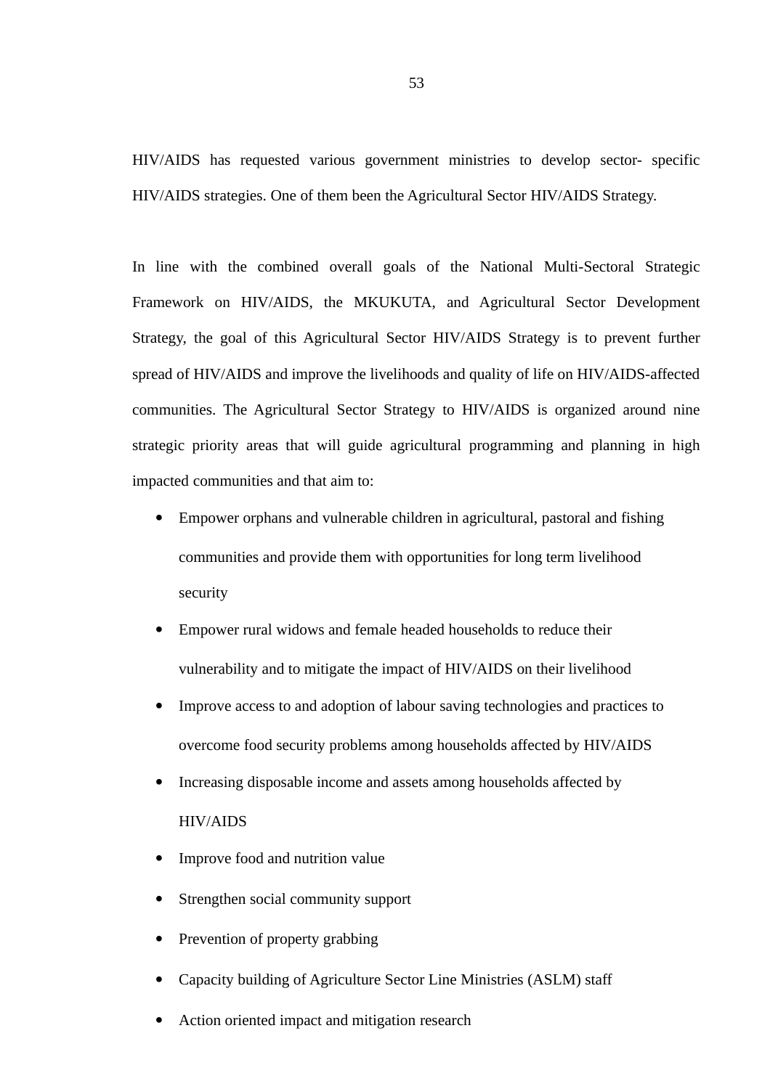HIV/AIDS has requested various government ministries to develop sector- specific HIV/AIDS strategies. One of them been the Agricultural Sector HIV/AIDS Strategy.

In line with the combined overall goals of the National Multi-Sectoral Strategic Framework on HIV/AIDS, the MKUKUTA, and Agricultural Sector Development Strategy, the goal of this Agricultural Sector HIV/AIDS Strategy is to prevent further spread of HIV/AIDS and improve the livelihoods and quality of life on HIV/AIDS-affected communities. The Agricultural Sector Strategy to HIV/AIDS is organized around nine strategic priority areas that will guide agricultural programming and planning in high impacted communities and that aim to:

- Empower orphans and vulnerable children in agricultural, pastoral and fishing communities and provide them with opportunities for long term livelihood security
- Empower rural widows and female headed households to reduce their vulnerability and to mitigate the impact of HIV/AIDS on their livelihood
- Improve access to and adoption of labour saving technologies and practices to overcome food security problems among households affected by HIV/AIDS
- Increasing disposable income and assets among households affected by HIV/AIDS
- Improve food and nutrition value
- Strengthen social community support
- Prevention of property grabbing
- Capacity building of Agriculture Sector Line Ministries (ASLM) staff
- Action oriented impact and mitigation research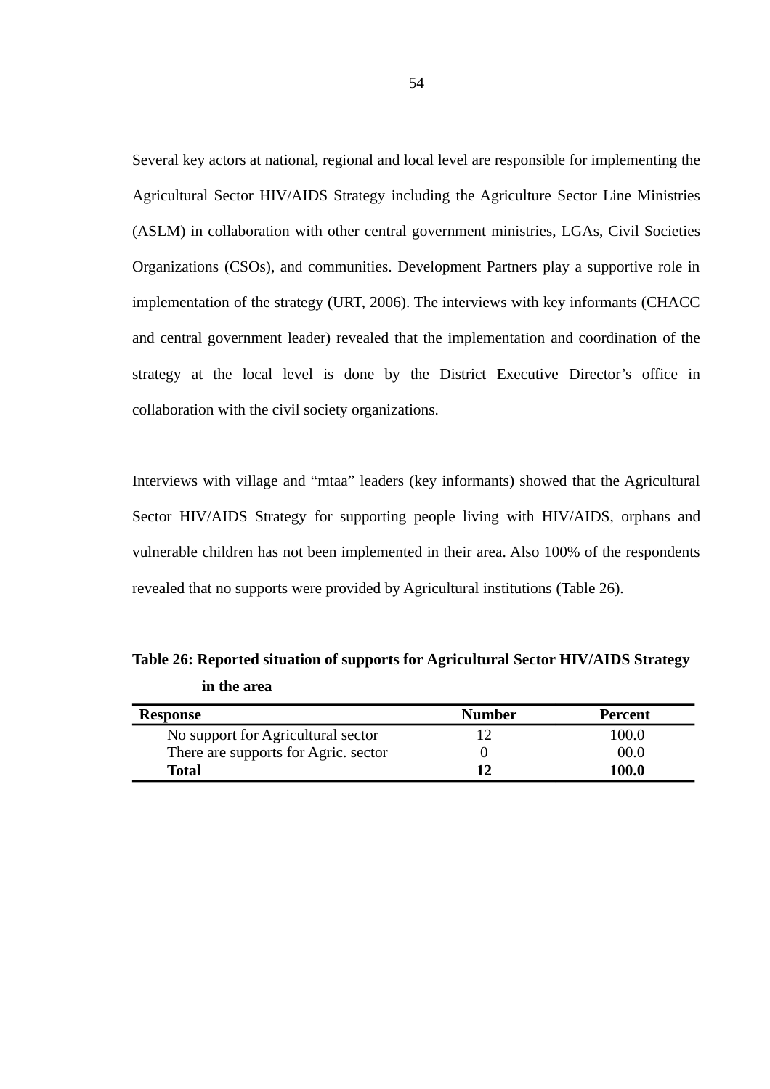Several key actors at national, regional and local level are responsible for implementing the Agricultural Sector HIV/AIDS Strategy including the Agriculture Sector Line Ministries (ASLM) in collaboration with other central government ministries, LGAs, Civil Societies Organizations (CSOs), and communities. Development Partners play a supportive role in implementation of the strategy (URT, 2006). The interviews with key informants (CHACC and central government leader) revealed that the implementation and coordination of the strategy at the local level is done by the District Executive Director's office in collaboration with the civil society organizations.

Interviews with village and "mtaa" leaders (key informants) showed that the Agricultural Sector HIV/AIDS Strategy for supporting people living with HIV/AIDS, orphans and vulnerable children has not been implemented in their area. Also 100% of the respondents revealed that no supports were provided by Agricultural institutions (Table 26).

| <b>Response</b>                      | <b>Number</b> | Percent      |
|--------------------------------------|---------------|--------------|
| No support for Agricultural sector   |               | 100.0        |
| There are supports for Agric. sector |               | 00.0         |
| Total                                | 15            | <b>100.0</b> |

**Table 26: Reported situation of supports for Agricultural Sector HIV/AIDS Strategy in the area**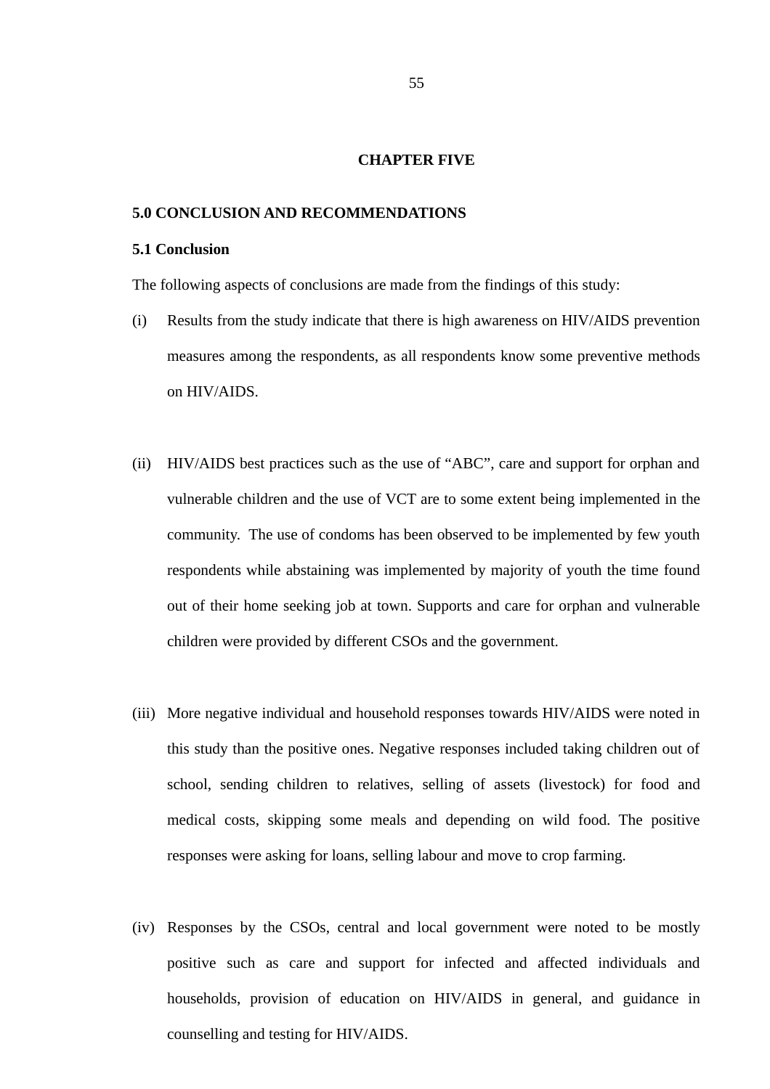#### **CHAPTER FIVE**

### **5.0 CONCLUSION AND RECOMMENDATIONS**

# **5.1 Conclusion**

The following aspects of conclusions are made from the findings of this study:

- (i) Results from the study indicate that there is high awareness on HIV/AIDS prevention measures among the respondents, as all respondents know some preventive methods on HIV/AIDS.
- (ii) HIV/AIDS best practices such as the use of "ABC", care and support for orphan and vulnerable children and the use of VCT are to some extent being implemented in the community. The use of condoms has been observed to be implemented by few youth respondents while abstaining was implemented by majority of youth the time found out of their home seeking job at town. Supports and care for orphan and vulnerable children were provided by different CSOs and the government.
- (iii) More negative individual and household responses towards HIV/AIDS were noted in this study than the positive ones. Negative responses included taking children out of school, sending children to relatives, selling of assets (livestock) for food and medical costs, skipping some meals and depending on wild food. The positive responses were asking for loans, selling labour and move to crop farming.
- (iv) Responses by the CSOs, central and local government were noted to be mostly positive such as care and support for infected and affected individuals and households, provision of education on HIV/AIDS in general, and guidance in counselling and testing for HIV/AIDS.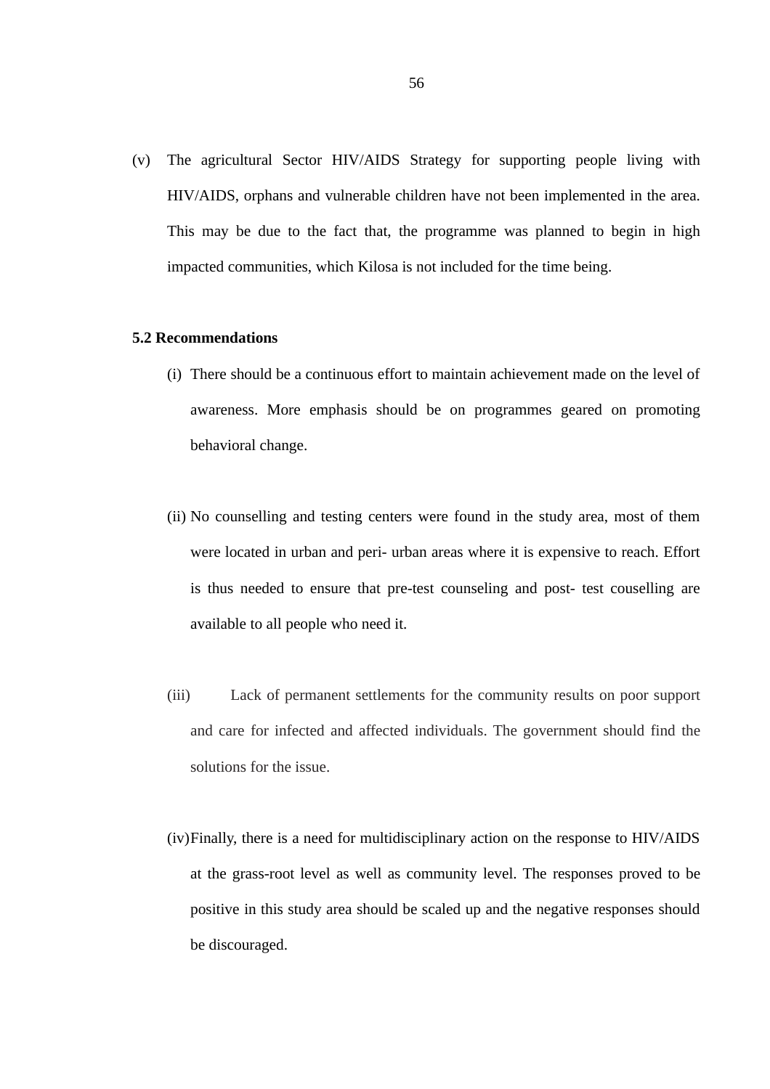(v) The agricultural Sector HIV/AIDS Strategy for supporting people living with HIV/AIDS, orphans and vulnerable children have not been implemented in the area. This may be due to the fact that, the programme was planned to begin in high impacted communities, which Kilosa is not included for the time being.

### **5.2 Recommendations**

- (i) There should be a continuous effort to maintain achievement made on the level of awareness. More emphasis should be on programmes geared on promoting behavioral change.
- (ii) No counselling and testing centers were found in the study area, most of them were located in urban and peri- urban areas where it is expensive to reach. Effort is thus needed to ensure that pre-test counseling and post- test couselling are available to all people who need it.
- (iii) Lack of permanent settlements for the community results on poor support and care for infected and affected individuals. The government should find the solutions for the issue.
- (iv)Finally, there is a need for multidisciplinary action on the response to HIV/AIDS at the grass-root level as well as community level. The responses proved to be positive in this study area should be scaled up and the negative responses should be discouraged.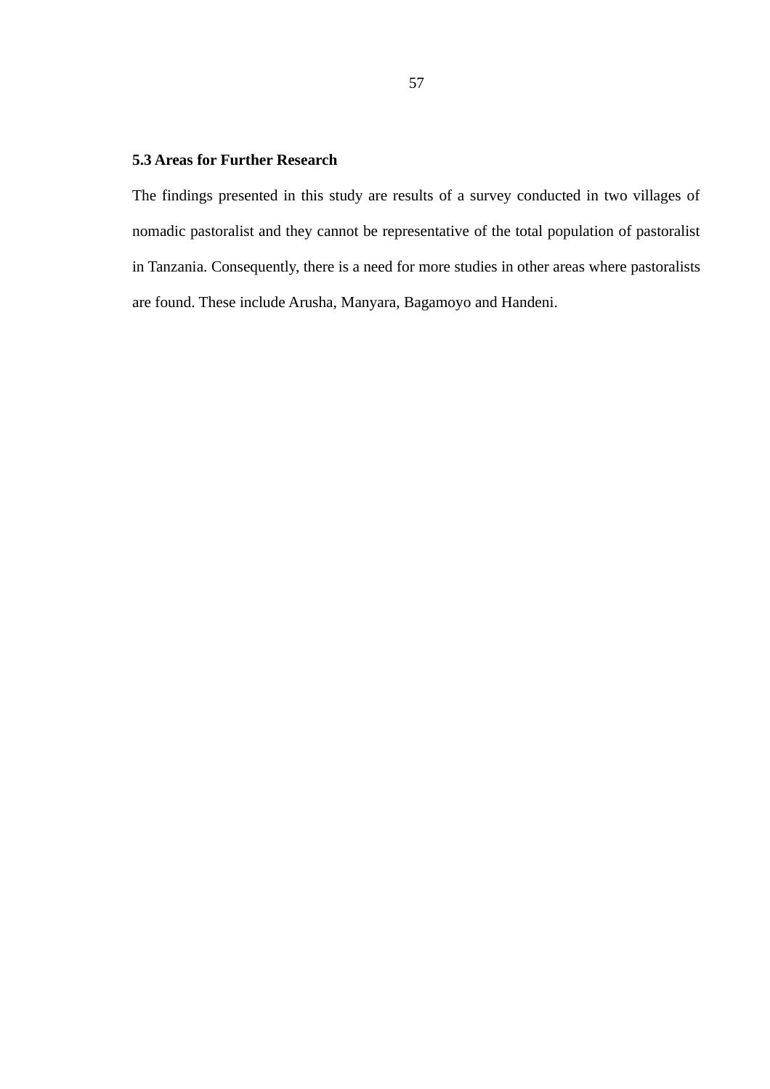### **5.3 Areas for Further Research**

The findings presented in this study are results of a survey conducted in two villages of nomadic pastoralist and they cannot be representative of the total population of pastoralist in Tanzania. Consequently, there is a need for more studies in other areas where pastoralists are found. These include Arusha, Manyara, Bagamoyo and Handeni.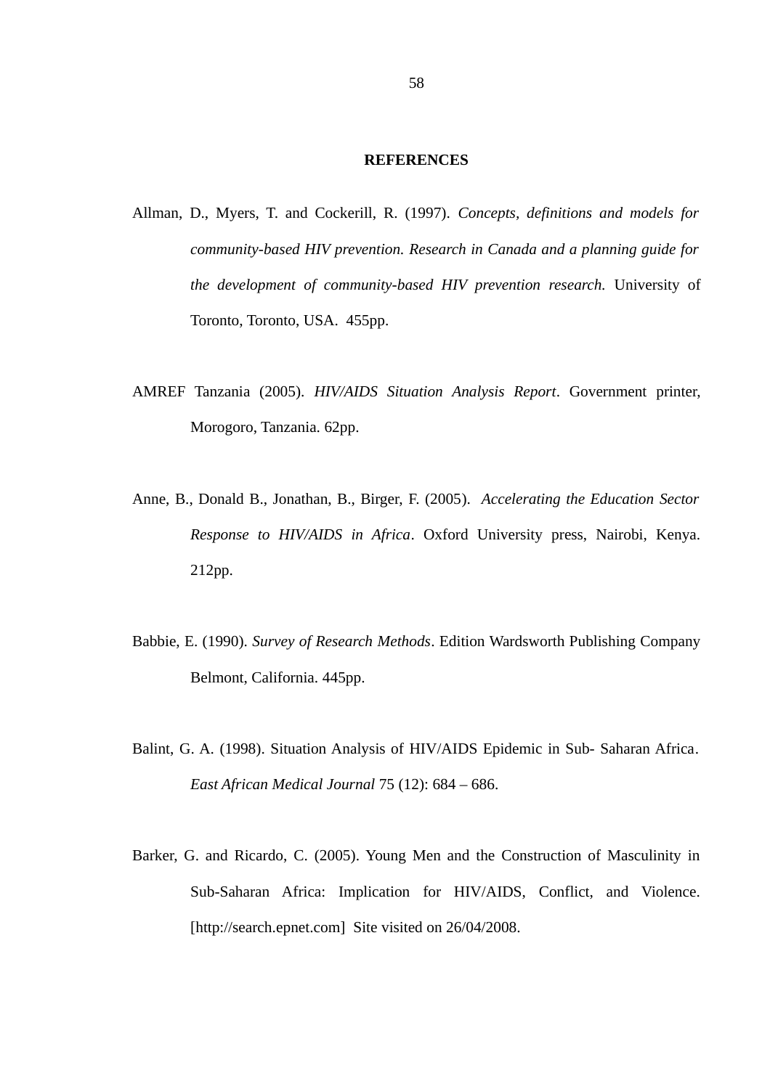#### **REFERENCES**

- Allman, D., Myers, T. and Cockerill, R. (1997). *Concepts, definitions and models for community-based HIV prevention. Research in Canada and a planning guide for the development of community-based HIV prevention research.* University of Toronto, Toronto, USA. 455pp.
- AMREF Tanzania (2005). *HIV/AIDS Situation Analysis Report*. Government printer, Morogoro, Tanzania. 62pp.
- Anne, B., Donald B., Jonathan, B., Birger, F. (2005). *Accelerating the Education Sector Response to HIV/AIDS in Africa*. Oxford University press, Nairobi, Kenya. 212pp.
- Babbie, E. (1990). *Survey of Research Methods*. Edition Wardsworth Publishing Company Belmont, California. 445pp.
- Balint, G. A. (1998). Situation Analysis of HIV/AIDS Epidemic in Sub- Saharan Africa*. East African Medical Journal* 75 (12): 684 – 686.
- Barker, G. and Ricardo, C. (2005). Young Men and the Construction of Masculinity in Sub-Saharan Africa: Implication for HIV/AIDS, Conflict, and Violence. [http://search.epnet.com] Site visited on 26/04/2008.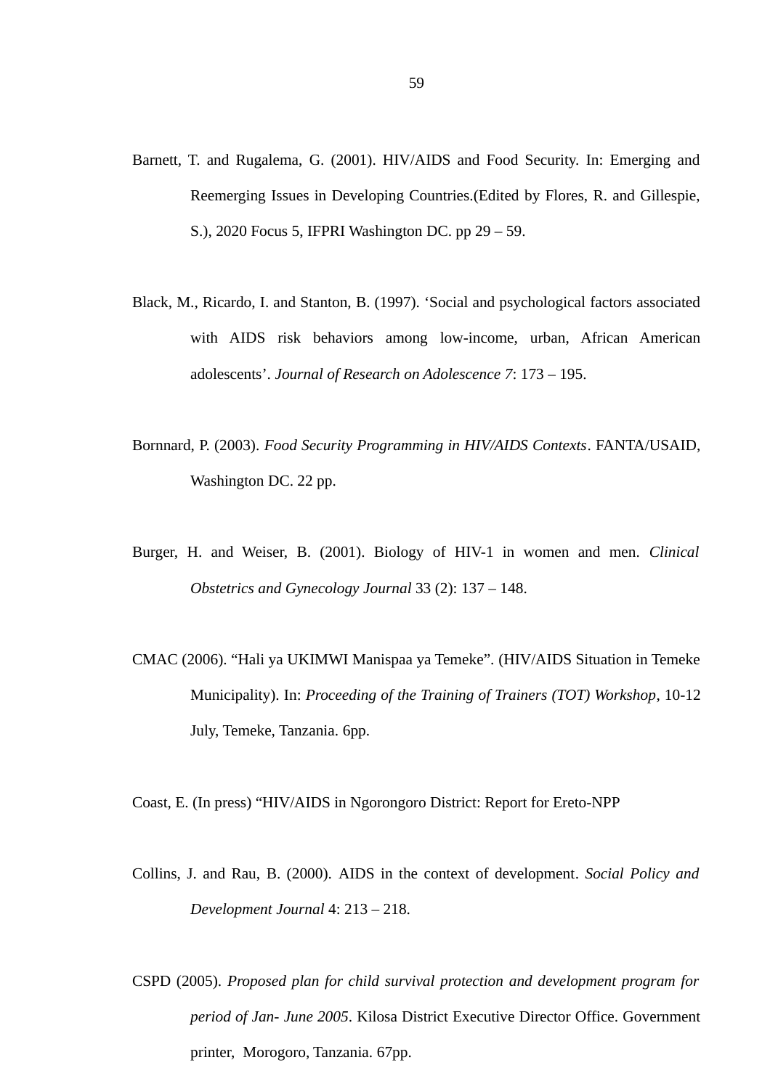- Barnett, T. and Rugalema, G. (2001). HIV/AIDS and Food Security. In: Emerging and Reemerging Issues in Developing Countries.(Edited by Flores, R. and Gillespie, S.), 2020 Focus 5, IFPRI Washington DC. pp 29 – 59.
- Black, M., Ricardo, I. and Stanton, B. (1997). 'Social and psychological factors associated with AIDS risk behaviors among low-income, urban, African American adolescents'. *Journal of Research on Adolescence 7*: 173 – 195.
- Bornnard, P. (2003). *Food Security Programming in HIV/AIDS Contexts*. FANTA/USAID, Washington DC. 22 pp.
- Burger, H. and Weiser, B. (2001). Biology of HIV-1 in women and men. *Clinical Obstetrics and Gynecology Journal* 33 (2): 137 – 148.
- CMAC (2006). "Hali ya UKIMWI Manispaa ya Temeke". (HIV/AIDS Situation in Temeke Municipality). In: *Proceeding of the Training of Trainers (TOT) Workshop*, 10-12 July, Temeke, Tanzania. 6pp.

Coast, E. (In press) "HIV/AIDS in Ngorongoro District: Report for Ereto-NPP

- Collins, J. and Rau, B. (2000). AIDS in the context of development. *Social Policy and Development Journal* 4: 213 – 218.
- CSPD (2005). *Proposed plan for child survival protection and development program for period of Jan- June 2005*. Kilosa District Executive Director Office. Government printer, Morogoro, Tanzania. 67pp.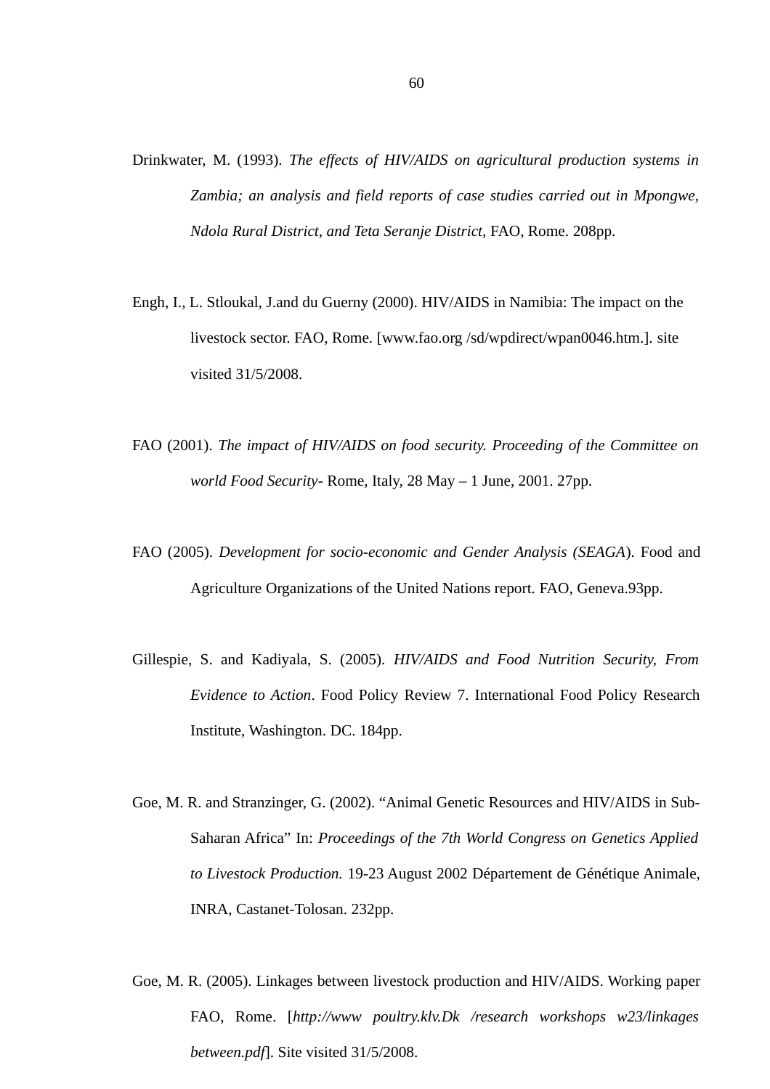- Drinkwater, M. (1993). *The effects of HIV/AIDS on agricultural production systems in Zambia; an analysis and field reports of case studies carried out in Mpongwe, Ndola Rural District, and Teta Seranje District,* FAO, Rome. 208pp.
- Engh, I., L. Stloukal, J.and du Guerny (2000). HIV/AIDS in Namibia: The impact on the livestock sector. FAO, Rome. [www.fao.org /sd/wpdirect/wpan0046.htm.]. site visited 31/5/2008.
- FAO (2001). *The impact of HIV/AIDS on food security. Proceeding of the Committee on world Food Security*- Rome, Italy, 28 May – 1 June, 2001. 27pp.
- FAO (2005). *Development for socio-economic and Gender Analysis (SEAGA*). Food and Agriculture Organizations of the United Nations report. FAO, Geneva.93pp.
- Gillespie, S. and Kadiyala, S. (2005). *HIV/AIDS and Food Nutrition Security, From Evidence to Action*. Food Policy Review 7. International Food Policy Research Institute, Washington. DC. 184pp.
- Goe, M. R. and Stranzinger, G. (2002). "Animal Genetic Resources and HIV/AIDS in Sub-Saharan Africa" In: *Proceedings of the 7th World Congress on Genetics Applied to Livestock Production.* 19-23 August 2002 Département de Génétique Animale, INRA, Castanet-Tolosan. 232pp.
- Goe, M. R. (2005). Linkages between livestock production and HIV/AIDS. Working paper FAO, Rome. [*http://www poultry.klv.Dk /research workshops w23/linkages between.pdf*]. Site visited 31/5/2008.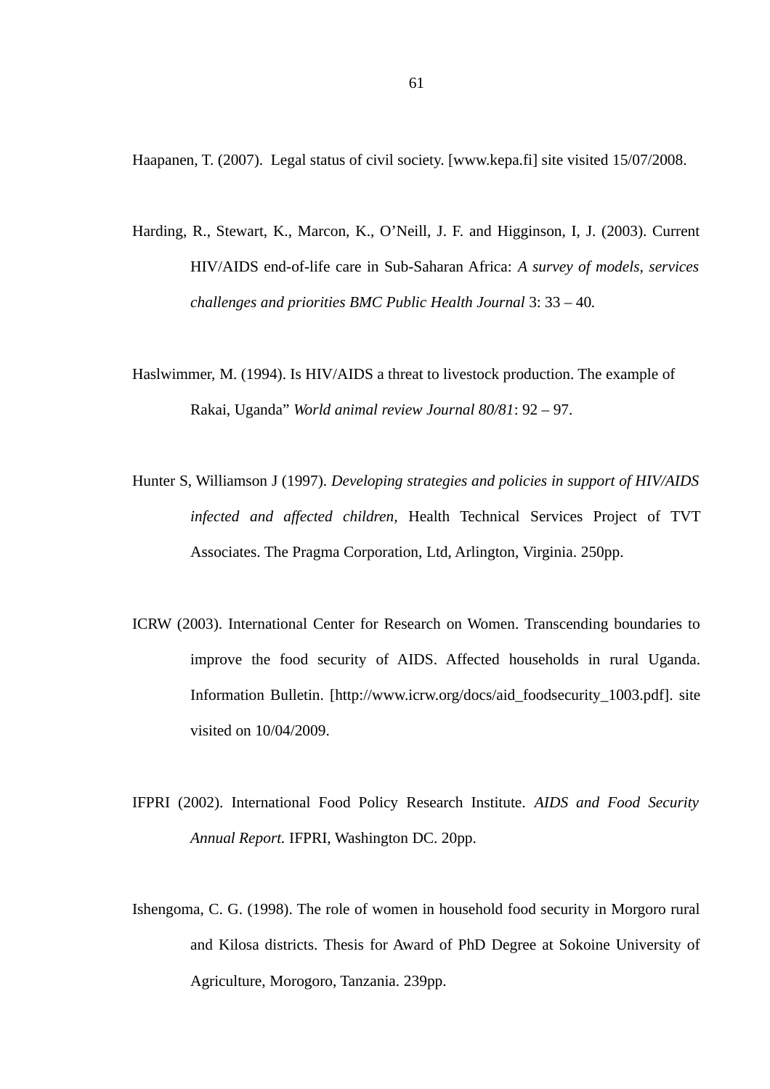Haapanen, T. (2007). Legal status of civil society. [www.kepa.fi] site visited 15/07/2008.

- Harding, R., Stewart, K., Marcon, K., O'Neill, J. F. and Higginson, I, J. (2003). Current HIV/AIDS end-of-life care in Sub-Saharan Africa: *A survey of models, services challenges and priorities BMC Public Health Journal* 3: 33 – 40*.*
- Haslwimmer, M. (1994). Is HIV/AIDS a threat to livestock production. The example of Rakai, Uganda" *World animal review Journal 80/81*: 92 – 97.
- Hunter S, Williamson J (1997). *Developing strategies and policies in support of HIV/AIDS infected and affected children,* Health Technical Services Project of TVT Associates. The Pragma Corporation, Ltd, Arlington, Virginia. 250pp.
- ICRW (2003). International Center for Research on Women. Transcending boundaries to improve the food security of AIDS. Affected households in rural Uganda. Information Bulletin. [http://www.icrw.org/docs/aid\_foodsecurity\_1003.pdf]. site visited on 10/04/2009.
- IFPRI (2002). International Food Policy Research Institute. *AIDS and Food Security Annual Report.* IFPRI, Washington DC. 20pp.
- Ishengoma, C. G. (1998). The role of women in household food security in Morgoro rural and Kilosa districts. Thesis for Award of PhD Degree at Sokoine University of Agriculture, Morogoro, Tanzania. 239pp.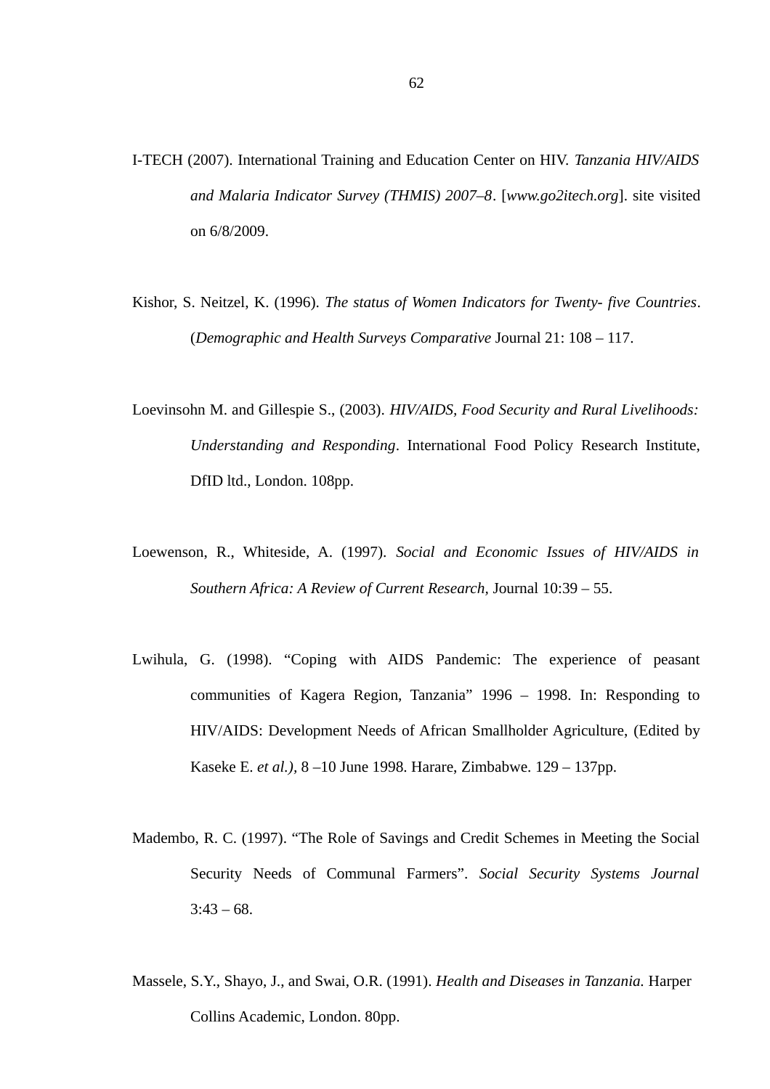- I-TECH (2007). International Training and Education Center on HIV. *Tanzania HIV/AIDS and Malaria Indicator Survey (THMIS) 2007–8*. [*www.go2itech.org*]. site visited on 6/8/2009.
- Kishor, S. Neitzel, K. (1996). *The status of Women Indicators for Twenty- five Countries*. (*Demographic and Health Surveys Comparative* Journal 21: 108 – 117.
- Loevinsohn M. and Gillespie S., (2003). *HIV/AIDS, Food Security and Rural Livelihoods: Understanding and Responding*. International Food Policy Research Institute, DfID ltd., London. 108pp.
- Loewenson, R., Whiteside, A. (1997). *Social and Economic Issues of HIV/AIDS in Southern Africa: A Review of Current Research,* Journal 10:39 – 55.
- Lwihula, G. (1998). "Coping with AIDS Pandemic: The experience of peasant communities of Kagera Region, Tanzania" 1996 – 1998. In: Responding to HIV/AIDS: Development Needs of African Smallholder Agriculture, (Edited by Kaseke E. *et al.),* 8 –10 June 1998. Harare, Zimbabwe. 129 – 137pp.
- Madembo, R. C. (1997). "The Role of Savings and Credit Schemes in Meeting the Social Security Needs of Communal Farmers". *Social Security Systems Journal*  $3:43 - 68$ .
- Massele, S.Y., Shayo, J., and Swai, O.R. (1991). *Health and Diseases in Tanzania.* Harper Collins Academic, London. 80pp.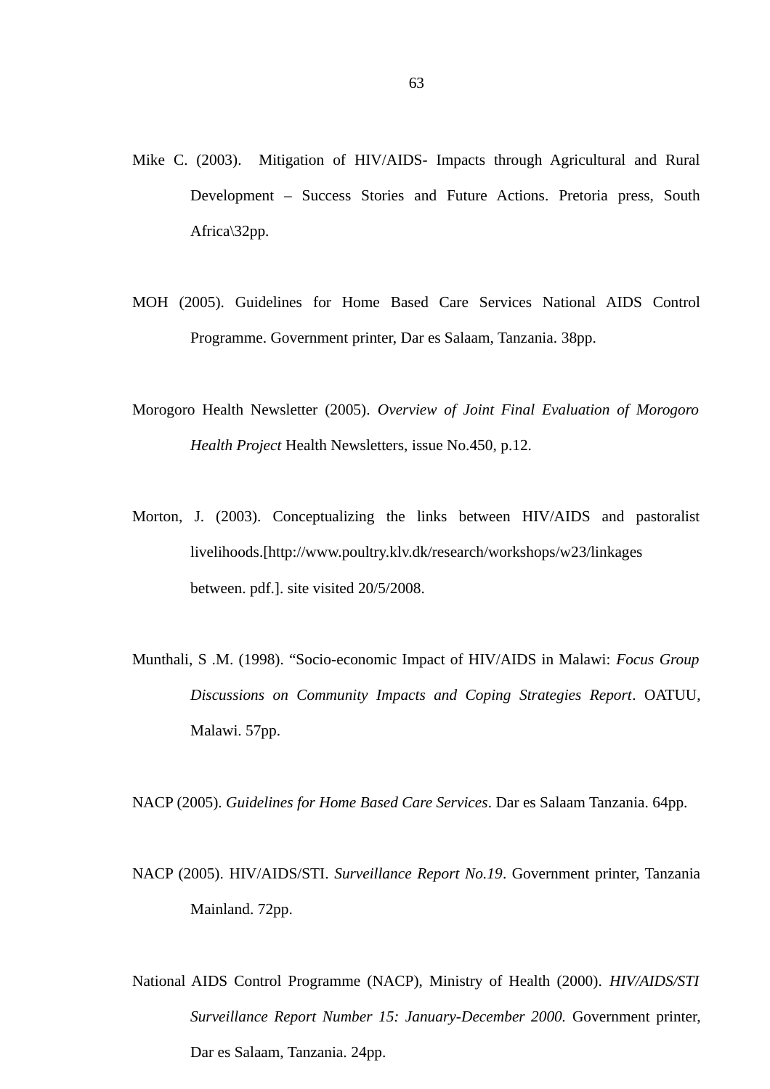- Mike C. (2003). Mitigation of HIV/AIDS- Impacts through Agricultural and Rural Development – Success Stories and Future Actions. Pretoria press, South Africa\32pp.
- MOH (2005). Guidelines for Home Based Care Services National AIDS Control Programme. Government printer, Dar es Salaam, Tanzania. 38pp.
- Morogoro Health Newsletter (2005). *Overview of Joint Final Evaluation of Morogoro Health Project* Health Newsletters, issue No.450, p.12.
- Morton, J. (2003). Conceptualizing the links between HIV/AIDS and pastoralist livelihoods.[http://www.poultry.klv.dk/research/workshops/w23/linkages between. pdf.]. site visited 20/5/2008.
- Munthali, S .M. (1998). "Socio-economic Impact of HIV/AIDS in Malawi: *Focus Group Discussions on Community Impacts and Coping Strategies Report*. OATUU, Malawi. 57pp.

NACP (2005). *Guidelines for Home Based Care Services*. Dar es Salaam Tanzania. 64pp.

- NACP (2005). HIV/AIDS/STI. *Surveillance Report No.19*. Government printer, Tanzania Mainland. 72pp.
- National AIDS Control Programme (NACP), Ministry of Health (2000). *HIV/AIDS/STI Surveillance Report Number 15: January-December 2000.* Government printer, Dar es Salaam, Tanzania. 24pp.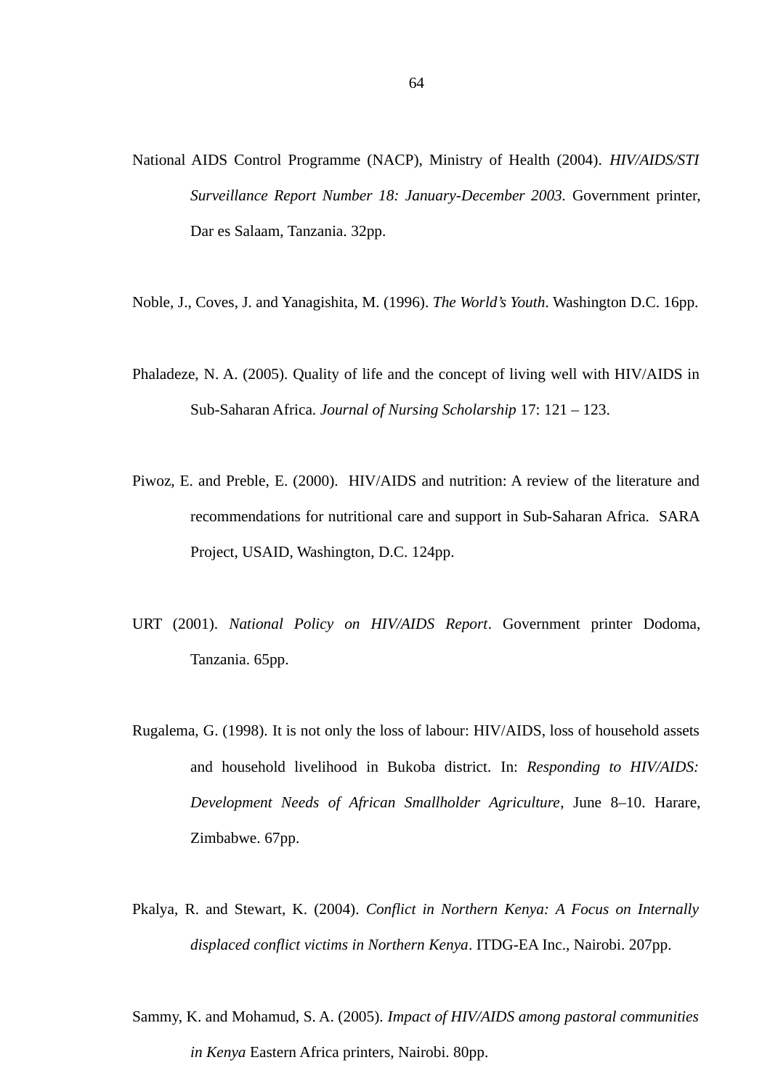- National AIDS Control Programme (NACP), Ministry of Health (2004). *HIV/AIDS/STI Surveillance Report Number 18: January-December 2003.* Government printer, Dar es Salaam, Tanzania. 32pp.
- Noble, J., Coves, J. and Yanagishita, M. (1996). *The World's Youth*. Washington D.C. 16pp.
- Phaladeze, N. A. (2005). Quality of life and the concept of living well with HIV/AIDS in Sub-Saharan Africa. *Journal of Nursing Scholarship* 17: 121 – 123.
- Piwoz, E. and Preble, E. (2000). HIV/AIDS and nutrition: A review of the literature and recommendations for nutritional care and support in Sub-Saharan Africa. SARA Project, USAID, Washington, D.C. 124pp.
- URT (2001). *National Policy on HIV/AIDS Report*. Government printer Dodoma, Tanzania. 65pp.
- Rugalema, G. (1998). It is not only the loss of labour: HIV/AIDS, loss of household assets and household livelihood in Bukoba district. In: *Responding to HIV/AIDS: Development Needs of African Smallholder Agriculture*, June 8–10. Harare, Zimbabwe. 67pp.
- Pkalya, R. and Stewart, K. (2004). *Conflict in Northern Kenya: A Focus on Internally displaced conflict victims in Northern Kenya*. ITDG-EA Inc., Nairobi. 207pp.
- Sammy, K. and Mohamud, S. A. (2005). *Impact of HIV/AIDS among pastoral communities in Kenya* Eastern Africa printers, Nairobi. 80pp.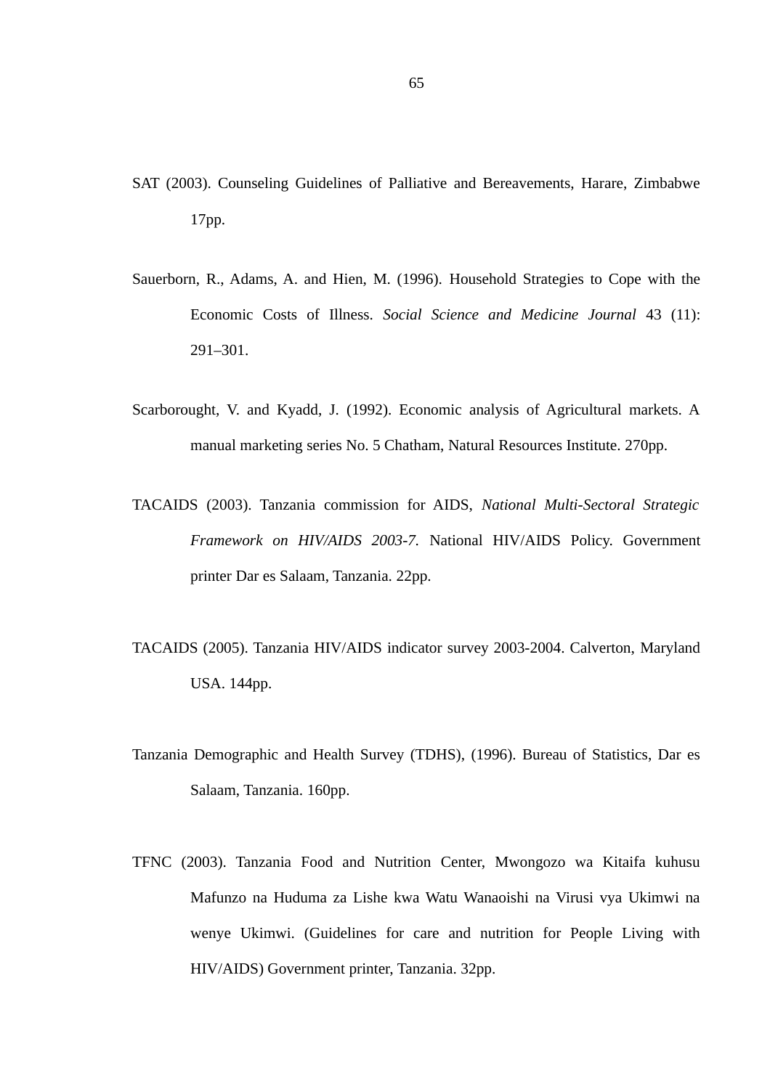- SAT (2003). Counseling Guidelines of Palliative and Bereavements, Harare, Zimbabwe 17pp.
- Sauerborn, R., Adams, A. and Hien, M. (1996). Household Strategies to Cope with the Economic Costs of Illness*. Social Science and Medicine Journal* 43 (11): 291–301.
- Scarborought, V. and Kyadd, J. (1992). Economic analysis of Agricultural markets. A manual marketing series No. 5 Chatham, Natural Resources Institute. 270pp.
- TACAIDS (2003). Tanzania commission for AIDS, *National Multi-Sectoral Strategic Framework on HIV/AIDS 2003-7.* National HIV/AIDS Policy. Government printer Dar es Salaam, Tanzania. 22pp.
- TACAIDS (2005). Tanzania HIV/AIDS indicator survey 2003-2004. Calverton, Maryland USA. 144pp.
- Tanzania Demographic and Health Survey (TDHS), (1996). Bureau of Statistics, Dar es Salaam, Tanzania. 160pp.
- TFNC (2003). Tanzania Food and Nutrition Center, Mwongozo wa Kitaifa kuhusu Mafunzo na Huduma za Lishe kwa Watu Wanaoishi na Virusi vya Ukimwi na wenye Ukimwi. (Guidelines for care and nutrition for People Living with HIV/AIDS) Government printer, Tanzania. 32pp.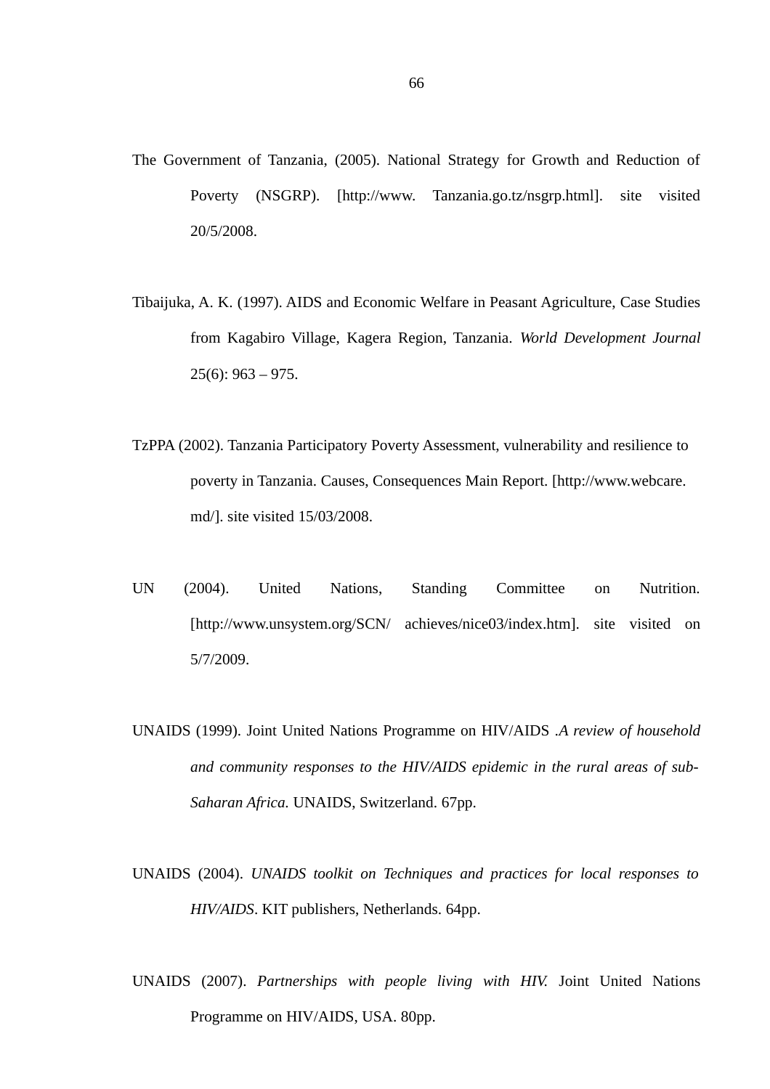- The Government of Tanzania, (2005). National Strategy for Growth and Reduction of Poverty (NSGRP). [http://www. Tanzania.go.tz/nsgrp.html]. site visited 20/5/2008.
- Tibaijuka, A. K. (1997). AIDS and Economic Welfare in Peasant Agriculture, Case Studies from Kagabiro Village, Kagera Region, Tanzania. *World Development Journal* 25(6): 963 – 975.
- TzPPA (2002). Tanzania Participatory Poverty Assessment, vulnerability and resilience to poverty in Tanzania. Causes, Consequences Main Report. [http://www.webcare. md/]. site visited 15/03/2008.
- UN (2004). United Nations, Standing Committee on Nutrition. [http://www.unsystem.org/SCN/ achieves/nice03/index.htm]. site visited on 5/7/2009.
- UNAIDS (1999). Joint United Nations Programme on HIV/AIDS .*A review of household and community responses to the HIV/AIDS epidemic in the rural areas of sub-Saharan Africa.* UNAIDS, Switzerland. 67pp.
- UNAIDS (2004). *UNAIDS toolkit on Techniques and practices for local responses to HIV/AIDS*. KIT publishers, Netherlands. 64pp.
- UNAIDS (2007). *Partnerships with people living with HIV.* Joint United Nations Programme on HIV/AIDS, USA. 80pp.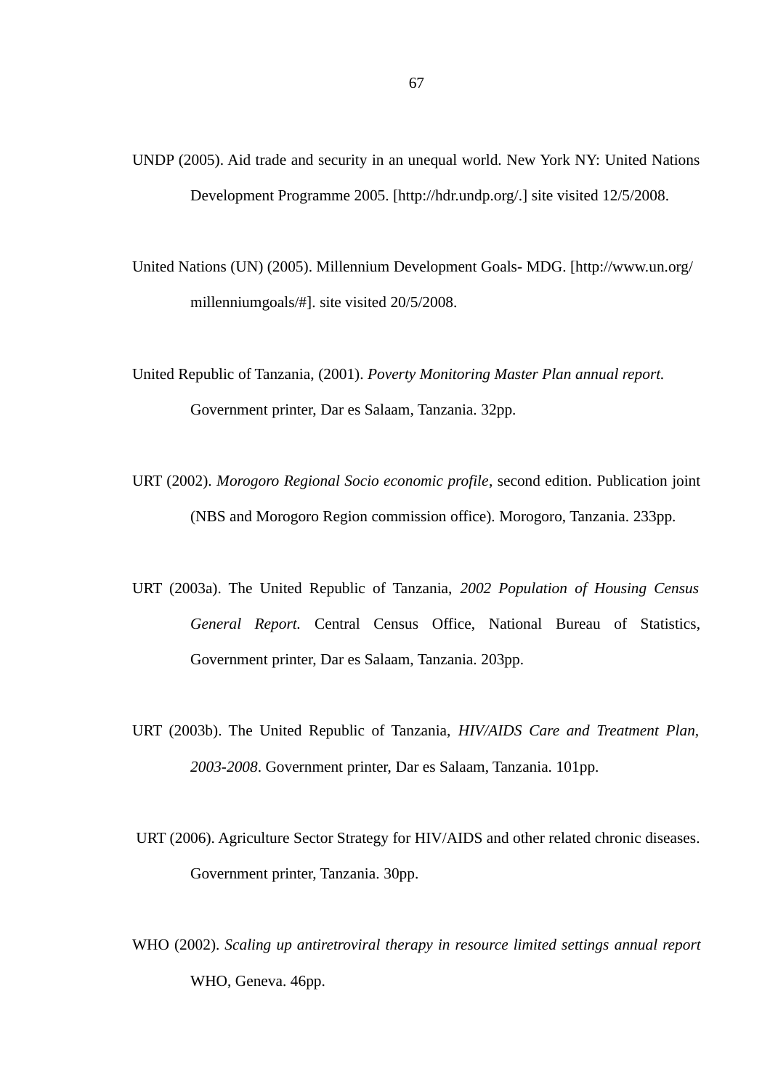- UNDP (2005). Aid trade and security in an unequal world. New York NY: United Nations Development Programme 2005. [http://hdr.undp.org/.] site visited 12/5/2008.
- United Nations (UN) (2005). Millennium Development Goals- MDG. [http://www.un.org/ millenniumgoals/#]. site visited 20/5/2008.
- United Republic of Tanzania, (2001). *Poverty Monitoring Master Plan annual report.*  Government printer, Dar es Salaam, Tanzania. 32pp.
- URT (2002). *Morogoro Regional Socio economic profile*, second edition. Publication joint (NBS and Morogoro Region commission office). Morogoro, Tanzania. 233pp.
- URT (2003a). The United Republic of Tanzania, *2002 Population of Housing Census General Report.* Central Census Office, National Bureau of Statistics, Government printer, Dar es Salaam, Tanzania. 203pp.
- URT (2003b). The United Republic of Tanzania, *HIV/AIDS Care and Treatment Plan, 2003-2008*. Government printer, Dar es Salaam, Tanzania. 101pp.
- URT (2006). Agriculture Sector Strategy for HIV/AIDS and other related chronic diseases. Government printer, Tanzania. 30pp.
- WHO (2002). *Scaling up antiretroviral therapy in resource limited settings annual report* WHO, Geneva. 46pp.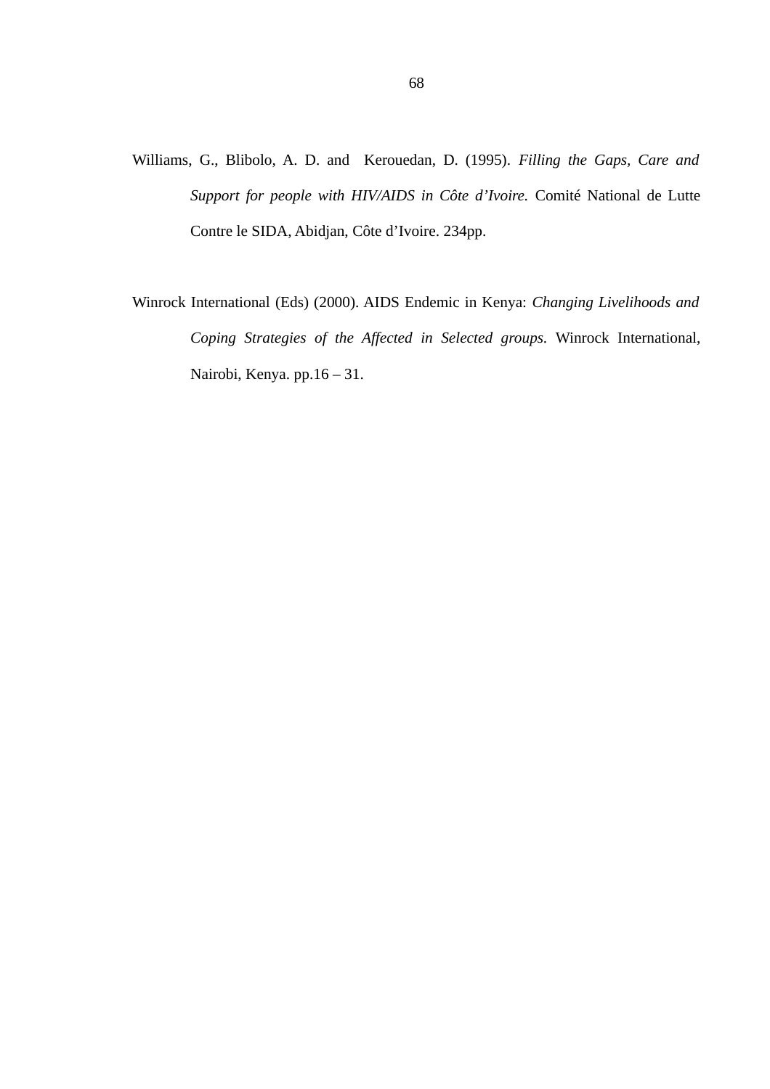- Williams, G., Blibolo, A. D. and Kerouedan, D. (1995). *Filling the Gaps, Care and Support for people with HIV/AIDS in Côte d'Ivoire.* Comité National de Lutte Contre le SIDA, Abidjan, Côte d'Ivoire. 234pp.
- Winrock International (Eds) (2000). AIDS Endemic in Kenya: *Changing Livelihoods and Coping Strategies of the Affected in Selected groups.* Winrock International, Nairobi, Kenya. pp.16 – 31.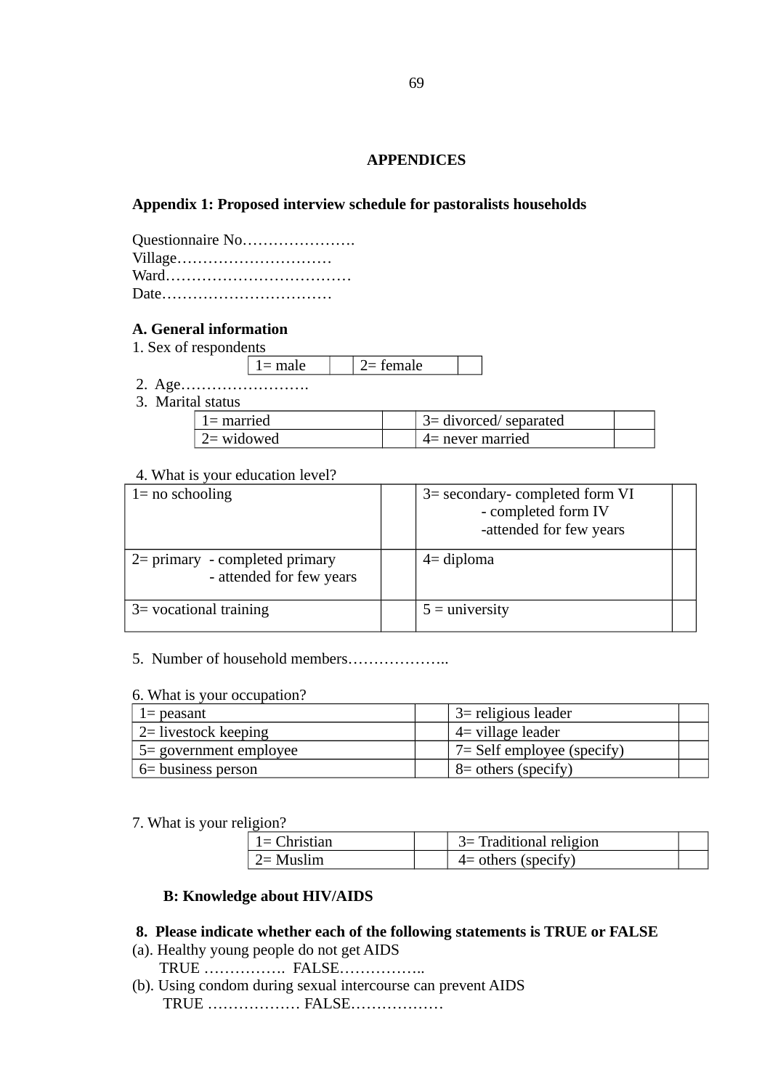## **APPENDICES**

## **Appendix 1: Proposed interview schedule for pastoralists households**

| Questionnaire No |
|------------------|
| Village          |
|                  |
| Date             |

### **A. General information**

1. Sex of respondents

| ----- |  |  |
|-------|--|--|

- 2. Age…………………….
- 3. Marital status

| $\perp$ 1 = married | $\frac{1}{2}$ 3= divorced/ separated |  |
|---------------------|--------------------------------------|--|
| 2= widowed          | 4= never married                     |  |

### 4. What is your education level?

| $1 = no$ schooling                                            |  | 3= secondary-completed form VI<br>- completed form IV<br>-attended for few years |  |
|---------------------------------------------------------------|--|----------------------------------------------------------------------------------|--|
| $2$ = primary - completed primary<br>- attended for few years |  | $4=$ diploma                                                                     |  |
| $3$ vocational training                                       |  | $5 =$ university                                                                 |  |

## 5. Number of household members………………..

#### 6. What is your occupation?

| $1=$ peasant            | 3 = religious leader                  |
|-------------------------|---------------------------------------|
| $2$ = livestock keeping | 4 village leader                      |
| 5 = government employee | $\frac{7}{5}$ Self employee (specify) |
| 6 = business person     | $\vert$ 8 = others (specify)          |

7. What is your religion?

| $\perp$ 1= Christian | 3 = Traditional religion |  |  |  |  |
|----------------------|--------------------------|--|--|--|--|
| $\perp$ 2= Muslim    | $4$ = others (specify)   |  |  |  |  |

# **B: Knowledge about HIV/AIDS**

### **8. Please indicate whether each of the following statements is TRUE or FALSE**

- (a). Healthy young people do not get AIDS TRUE ……………. FALSE……………..
- (b). Using condom during sexual intercourse can prevent AIDS TRUE ……………… FALSE………………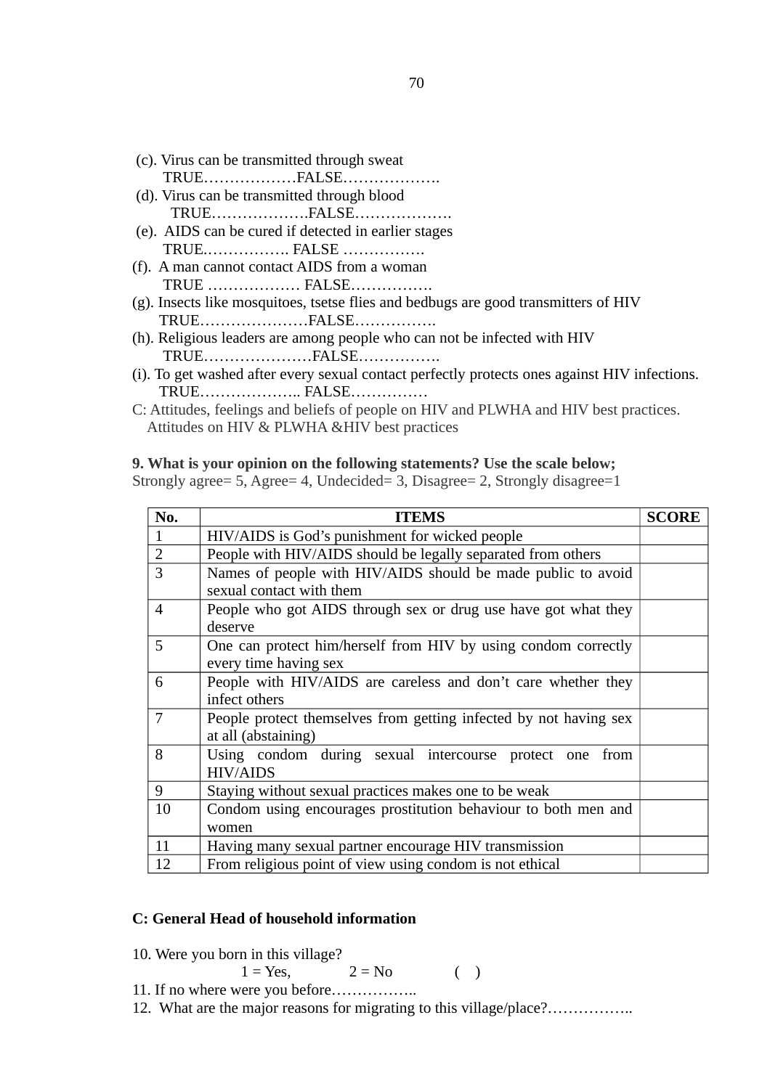- (c). Virus can be transmitted through sweat TRUE………………FALSE……………….
- (d). Virus can be transmitted through blood TRUE……………….FALSE……………….
- (e). AIDS can be cured if detected in earlier stages TRUE.……………. FALSE …………….
- (f). A man cannot contact AIDS from a woman TRUE ……………… FALSE…………….
- (g). Insects like mosquitoes, tsetse flies and bedbugs are good transmitters of HIV TRUE…………………FALSE…………….
- (h). Religious leaders are among people who can not be infected with HIV TRUE…………………FALSE…………….
- (i). To get washed after every sexual contact perfectly protects ones against HIV infections. TRUE……………….. FALSE……………
- C: Attitudes, feelings and beliefs of people on HIV and PLWHA and HIV best practices. Attitudes on HIV & PLWHA &HIV best practices

### **9. What is your opinion on the following statements? Use the scale below;**

Strongly agree= 5, Agree= 4, Undecided= 3, Disagree= 2, Strongly disagree=1

| No.            | <b>ITEMS</b>                                                                             | <b>SCORE</b> |  |  |  |
|----------------|------------------------------------------------------------------------------------------|--------------|--|--|--|
| 1              | HIV/AIDS is God's punishment for wicked people                                           |              |  |  |  |
| $\overline{2}$ | People with HIV/AIDS should be legally separated from others                             |              |  |  |  |
| 3              | Names of people with HIV/AIDS should be made public to avoid<br>sexual contact with them |              |  |  |  |
| $\overline{4}$ | People who got AIDS through sex or drug use have got what they<br>deserve                |              |  |  |  |
| 5              | One can protect him/herself from HIV by using condom correctly<br>every time having sex  |              |  |  |  |
| 6              | People with HIV/AIDS are careless and don't care whether they<br>infect others           |              |  |  |  |
| 7              | People protect themselves from getting infected by not having sex<br>at all (abstaining) |              |  |  |  |
| 8              | Using condom during sexual intercourse protect one<br>from<br><b>HIV/AIDS</b>            |              |  |  |  |
| 9              | Staying without sexual practices makes one to be weak                                    |              |  |  |  |
| 10             | Condom using encourages prostitution behaviour to both men and<br>women                  |              |  |  |  |
| 11             | Having many sexual partner encourage HIV transmission                                    |              |  |  |  |
| 12             | From religious point of view using condom is not ethical                                 |              |  |  |  |

#### **C: General Head of household information**

10. Were you born in this village?

$$
1 = Yes, \t 2 = No \t ( )
$$

$$
\mathsf{Z} = \mathsf{IVU}
$$

11. If no where were you before…………….. 12. What are the major reasons for migrating to this village/place?...............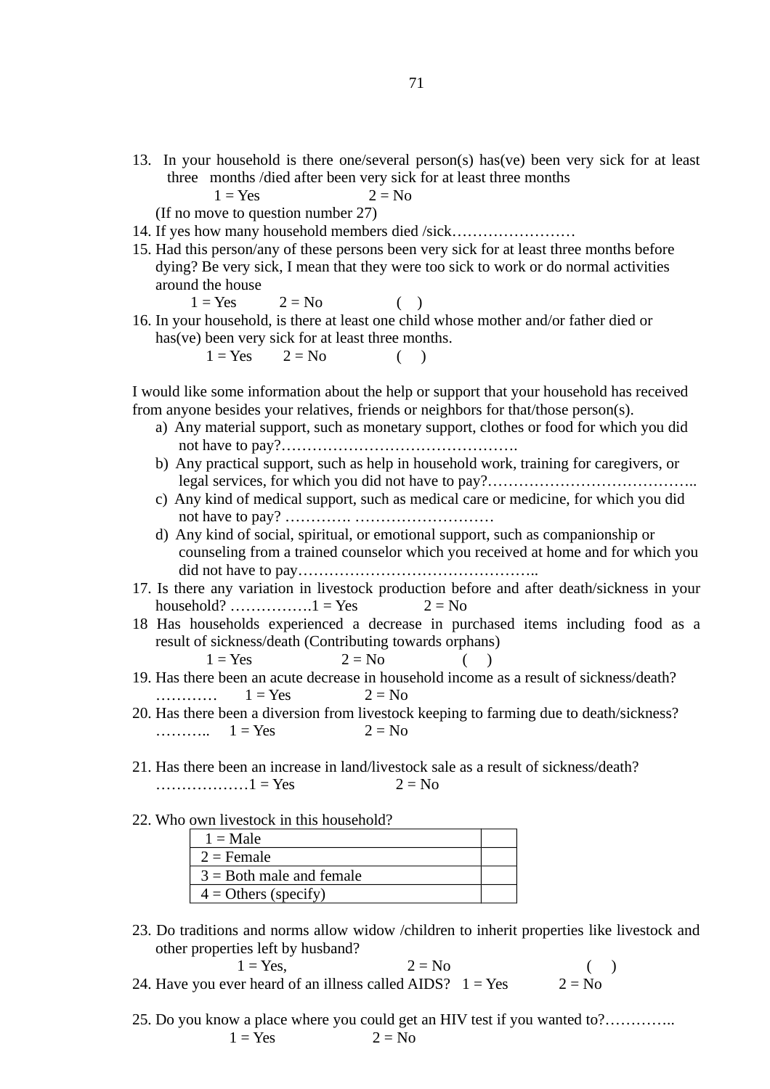13. In your household is there one/several person(s) has(ve) been very sick for at least three months /died after been very sick for at least three months

 $1 = Yes$  2 = No

(If no move to question number 27)

- 14. If yes how many household members died /sick……………………
- 15. Had this person/any of these persons been very sick for at least three months before dying? Be very sick, I mean that they were too sick to work or do normal activities around the house

 $1 = Yes$   $2 = No$  ()

16. In your household, is there at least one child whose mother and/or father died or has(ve) been very sick for at least three months.

 $1 = Yes$  2 = No ()

I would like some information about the help or support that your household has received from anyone besides your relatives, friends or neighbors for that/those person(s).

- a) Any material support, such as monetary support, clothes or food for which you did not have to pay?……………………………………….
- b) Any practical support, such as help in household work, training for caregivers, or legal services, for which you did not have to pay?…………………………………..
- c) Any kind of medical support, such as medical care or medicine, for which you did not have to pay? …………. ………………………
- d) Any kind of social, spiritual, or emotional support, such as companionship or counseling from a trained counselor which you received at home and for which you did not have to pay………………………………………..
- 17. Is there any variation in livestock production before and after death/sickness in your household?  $\dots$   $\dots$   $1 = Yes$  2 = No
- 18 Has households experienced a decrease in purchased items including food as a result of sickness/death (Contributing towards orphans)

 $1 = Yes$  2 = No (

- 19. Has there been an acute decrease in household income as a result of sickness/death? …………  $1 = Yes$   $2 = No$
- 20. Has there been a diversion from livestock keeping to farming due to death/sickness? ………..  $1 = Yes$  2 = No
- 21. Has there been an increase in land/livestock sale as a result of sickness/death? ………………1 = Yes  $2 = No$
- 22. Who own livestock in this household?

| $1 =$ Male                 |  |
|----------------------------|--|
| $2$ = Female               |  |
| $3 =$ Both male and female |  |
| $4 =$ Others (specify)     |  |

23. Do traditions and norms allow widow /children to inherit properties like livestock and other properties left by husband?

$$
1 = Yes,
$$
  $2 = No$  ( )  
24. Have you ever heard of an illness called AIDS?  $1 = Yes$   $2 = No$ 

25. Do you know a place where you could get an HIV test if you wanted to?…………..  $1 = Yes$   $2 = No$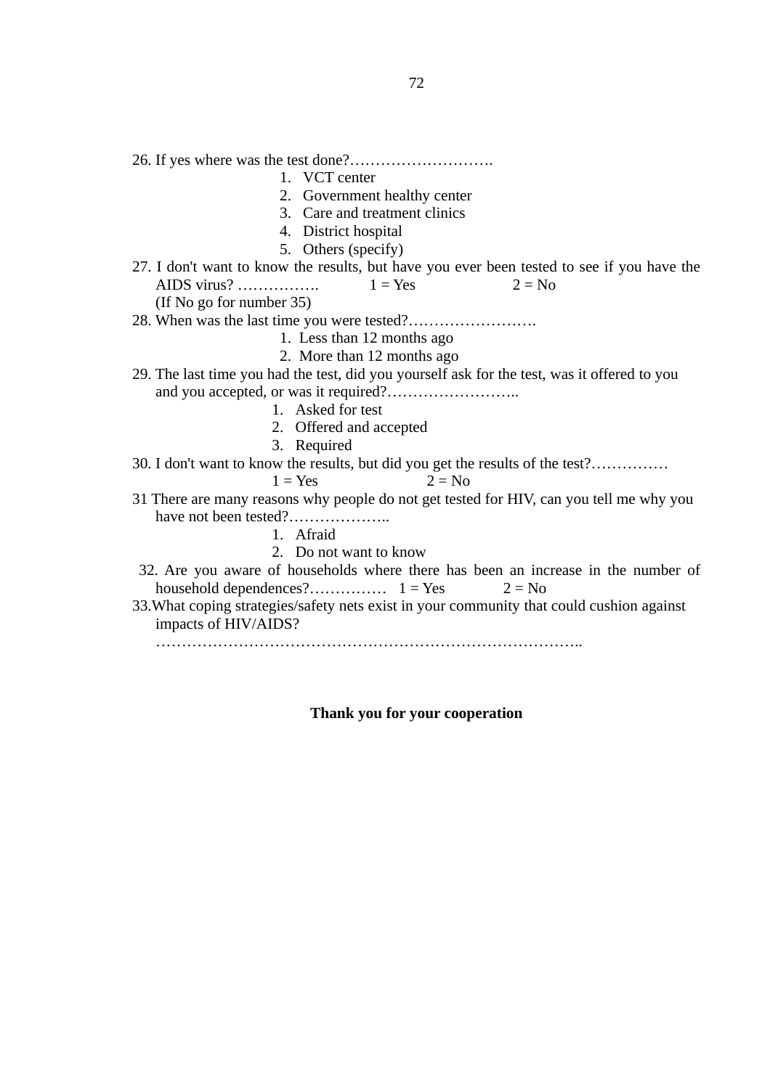26. If yes where was the test done?……………………….

- 1. VCT center
- 2. Government healthy center
- 3. Care and treatment clinics
- 4. District hospital
- 5. Others (specify)
- 27. I don't want to know the results, but have you ever been tested to see if you have the AIDS virus? ……………..  $1 = Yes$   $2 = No$ (If No go for number 35)

28. When was the last time you were tested?…………………….

- 1. Less than 12 months ago
- 2. More than 12 months ago
- 29. The last time you had the test, did you yourself ask for the test, was it offered to you and you accepted, or was it required?……………………..
	- 1. Asked for test
	- 2. Offered and accepted
	- 3. Required
- 30. I don't want to know the results, but did you get the results of the test?……………

$$
1 = Yes \t 2 = No
$$

- 31 There are many reasons why people do not get tested for HIV, can you tell me why you have not been tested?…………………
	- 1. Afraid
	- 2. Do not want to know
- 32. Are you aware of households where there has been an increase in the number of household dependences?…………… 1 = Yes 2 = No
- 33.What coping strategies/safety nets exist in your community that could cushion against impacts of HIV/AIDS?

………………………………………………………………………..

**Thank you for your cooperation**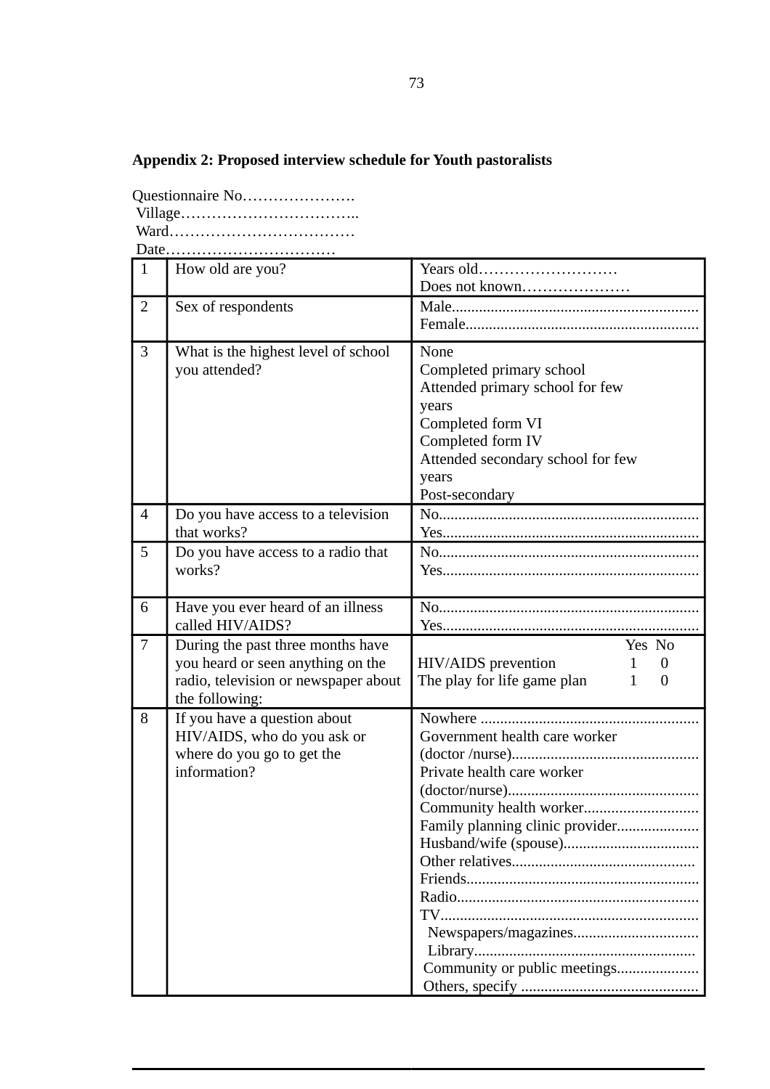## **Appendix 2: Proposed interview schedule for Youth pastoralists**

| Questionnaire No |
|------------------|
|                  |
|                  |
|                  |

1 How old are you? Years old……………………… Does not known………………… 2 Sex of respondents Male............................................................... Female............................................................ 3 What is the highest level of school you attended? None Completed primary school Attended primary school for few years Completed form VI Completed form IV Attended secondary school for few years Post-secondary 4 Do you have access to a television that works? No................................................................... Yes.................................................................. 5 Do you have access to a radio that works? No................................................................... Yes.................................................................. 6 Have you ever heard of an illness called HIV/AIDS? No................................................................... Yes.................................................................. 7 During the past three months have you heard or seen anything on the radio, television or newspaper about the following: Yes No  $HIV/AIDS$  prevention  $1 \t 0$ The play for life game plan  $1 \quad 0$ 8 If you have a question about HIV/AIDS, who do you ask or where do you go to get the information? Nowhere ........................................................ Government health care worker (doctor /nurse)................................................ Private health care worker (doctor/nurse)................................................. Community health worker............................. Family planning clinic provider..................... Husband/wife (spouse)................................... Other relatives............................................... Friends............................................................ Radio.............................................................. TV.................................................................. Newspapers/magazines................................ Library......................................................... Community or public meetings..................... Others, specify .............................................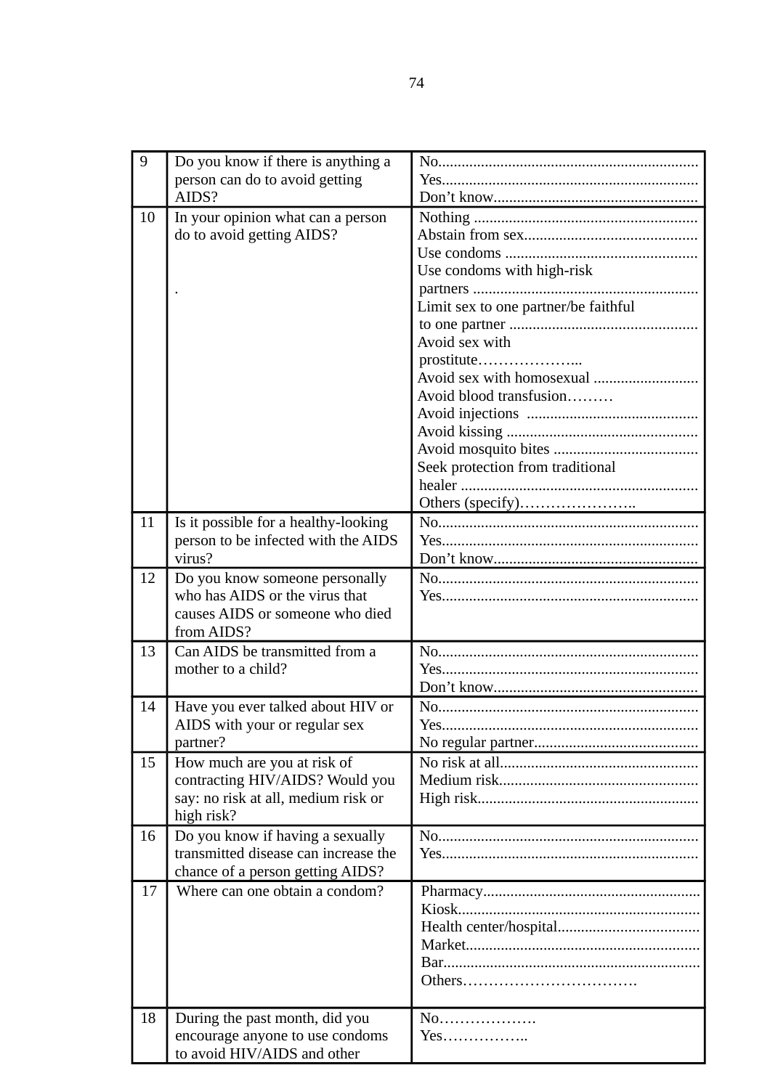| 9  | Do you know if there is anything a                                 |                                      |
|----|--------------------------------------------------------------------|--------------------------------------|
|    | person can do to avoid getting                                     |                                      |
|    | AIDS?                                                              |                                      |
| 10 | In your opinion what can a person                                  |                                      |
|    | do to avoid getting AIDS?                                          |                                      |
|    |                                                                    |                                      |
|    |                                                                    | Use condoms with high-risk           |
|    |                                                                    |                                      |
|    |                                                                    | Limit sex to one partner/be faithful |
|    |                                                                    |                                      |
|    |                                                                    | Avoid sex with                       |
|    |                                                                    | prostitute                           |
|    |                                                                    | Avoid blood transfusion              |
|    |                                                                    |                                      |
|    |                                                                    |                                      |
|    |                                                                    |                                      |
|    |                                                                    | Seek protection from traditional     |
|    |                                                                    |                                      |
|    |                                                                    |                                      |
| 11 | Is it possible for a healthy-looking                               |                                      |
|    | person to be infected with the AIDS                                |                                      |
|    | virus?                                                             |                                      |
| 12 | Do you know someone personally                                     |                                      |
|    | who has AIDS or the virus that                                     |                                      |
|    | causes AIDS or someone who died                                    |                                      |
|    | from AIDS?                                                         |                                      |
| 13 | Can AIDS be transmitted from a                                     |                                      |
|    | mother to a child?                                                 |                                      |
|    |                                                                    |                                      |
| 14 | Have you ever talked about HIV or<br>AIDS with your or regular sex | Yes                                  |
|    | partner?                                                           |                                      |
| 15 | How much are you at risk of                                        |                                      |
|    | contracting HIV/AIDS? Would you                                    |                                      |
|    | say: no risk at all, medium risk or                                |                                      |
|    | high risk?                                                         |                                      |
| 16 | Do you know if having a sexually                                   |                                      |
|    | transmitted disease can increase the                               |                                      |
|    | chance of a person getting AIDS?                                   |                                      |
| 17 | Where can one obtain a condom?                                     |                                      |
|    |                                                                    |                                      |
|    |                                                                    |                                      |
|    |                                                                    |                                      |
|    |                                                                    |                                      |
|    |                                                                    |                                      |
| 18 | During the past month, did you                                     | No                                   |
|    | encourage anyone to use condoms                                    | Yes                                  |
|    | to avoid HIV/AIDS and other                                        |                                      |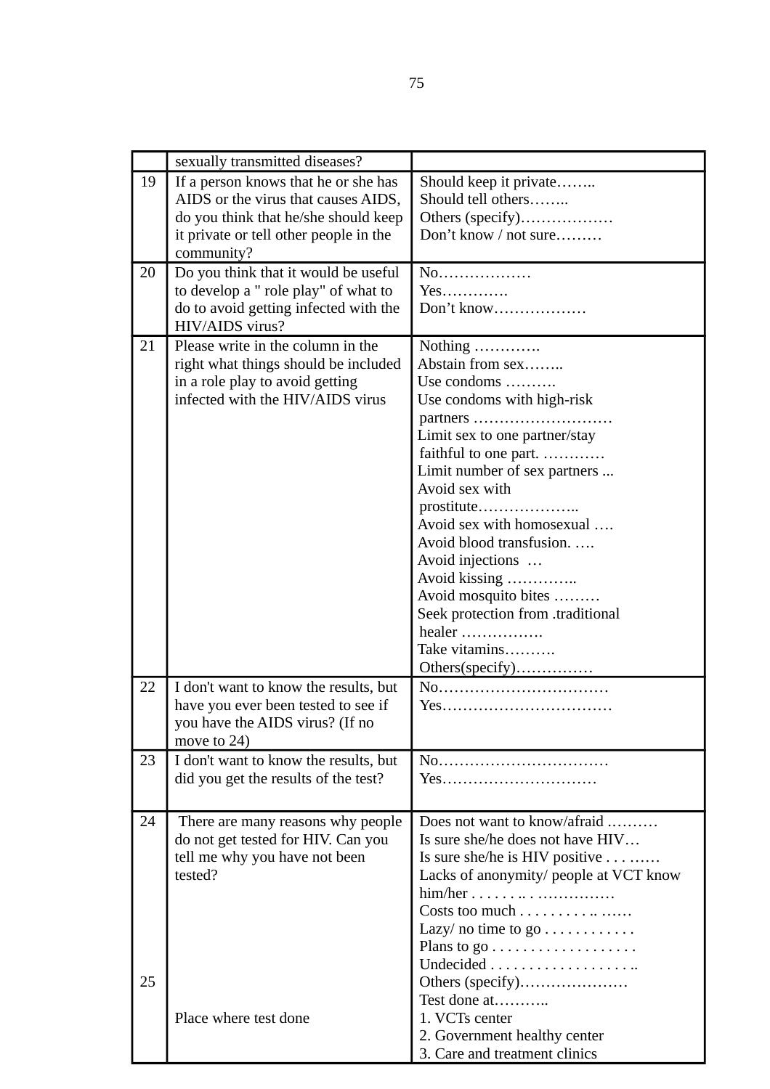|    | sexually transmitted diseases?         |                                                |
|----|----------------------------------------|------------------------------------------------|
| 19 | If a person knows that he or she has   | Should keep it private                         |
|    | AIDS or the virus that causes AIDS,    | Should tell others                             |
|    |                                        |                                                |
|    | do you think that he/she should keep   | Others (specify)                               |
|    | it private or tell other people in the | Don't know / not sure                          |
|    | community?                             |                                                |
| 20 | Do you think that it would be useful   | No                                             |
|    | to develop a " role play" of what to   | Yes                                            |
|    | do to avoid getting infected with the  | Don't know                                     |
|    | HIV/AIDS virus?                        |                                                |
| 21 | Please write in the column in the      | Nothing                                        |
|    | right what things should be included   | Abstain from sex                               |
|    | in a role play to avoid getting        | Use condoms                                    |
|    | infected with the HIV/AIDS virus       | Use condoms with high-risk                     |
|    |                                        | partners                                       |
|    |                                        | Limit sex to one partner/stay                  |
|    |                                        | faithful to one part.                          |
|    |                                        |                                                |
|    |                                        | Limit number of sex partners<br>Avoid sex with |
|    |                                        |                                                |
|    |                                        | prostitute                                     |
|    |                                        | Avoid sex with homosexual                      |
|    |                                        | Avoid blood transfusion.                       |
|    |                                        | Avoid injections                               |
|    |                                        | Avoid kissing                                  |
|    |                                        | Avoid mosquito bites                           |
|    |                                        | Seek protection from .traditional              |
|    |                                        | healer                                         |
|    |                                        | Take vitamins                                  |
|    |                                        | Others(specify)                                |
| 22 | I don't want to know the results, but  | No                                             |
|    | have you ever been tested to see if    |                                                |
|    | you have the AIDS virus? (If no        |                                                |
|    | move to 24)                            |                                                |
| 23 |                                        |                                                |
|    | I don't want to know the results, but  | No                                             |
|    | did you get the results of the test?   | Yes                                            |
|    |                                        |                                                |
| 24 | There are many reasons why people      | Does not want to know/afraid                   |
|    | do not get tested for HIV. Can you     | Is sure she/he does not have HIV               |
|    | tell me why you have not been          | Is sure she/he is HIV positive                 |
|    | tested?                                | Lacks of anonymity/ people at VCT know         |
|    |                                        |                                                |
|    |                                        | Costs too much                                 |
|    |                                        | Lazy/ no time to go $\dots\dots\dots\dots$     |
|    |                                        |                                                |
|    |                                        |                                                |
|    |                                        |                                                |
| 25 |                                        | Others (specify)                               |
|    |                                        | Test done at                                   |
|    | Place where test done                  | 1. VCTs center                                 |
|    |                                        | 2. Government healthy center                   |
|    |                                        | 3. Care and treatment clinics                  |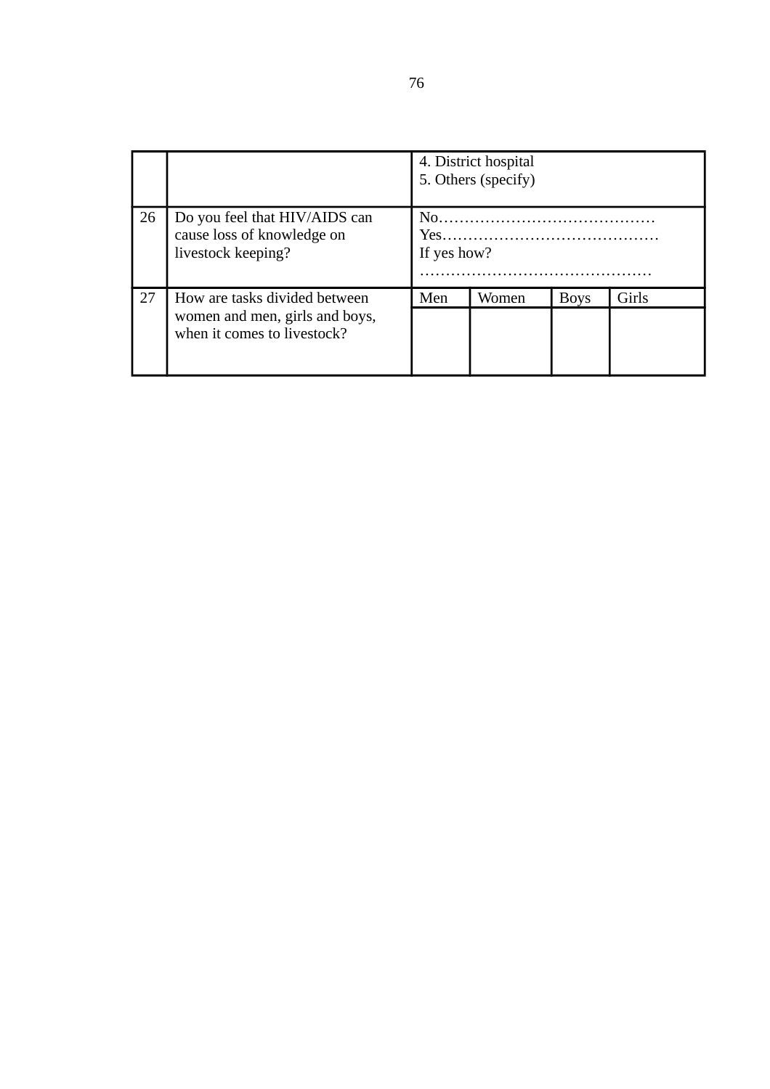|    |                                                                                   | 4. District hospital<br>5. Others (specify)           |       |             |       |
|----|-----------------------------------------------------------------------------------|-------------------------------------------------------|-------|-------------|-------|
| 26 | Do you feel that HIV/AIDS can<br>cause loss of knowledge on<br>livestock keeping? | $N_{\Omega}$ and $N_{\Omega}$<br>$Yes$<br>If yes how? |       |             |       |
| 27 | How are tasks divided between<br>women and men, girls and boys,                   | Men                                                   | Women | <b>Boys</b> | Girls |
|    | when it comes to livestock?                                                       |                                                       |       |             |       |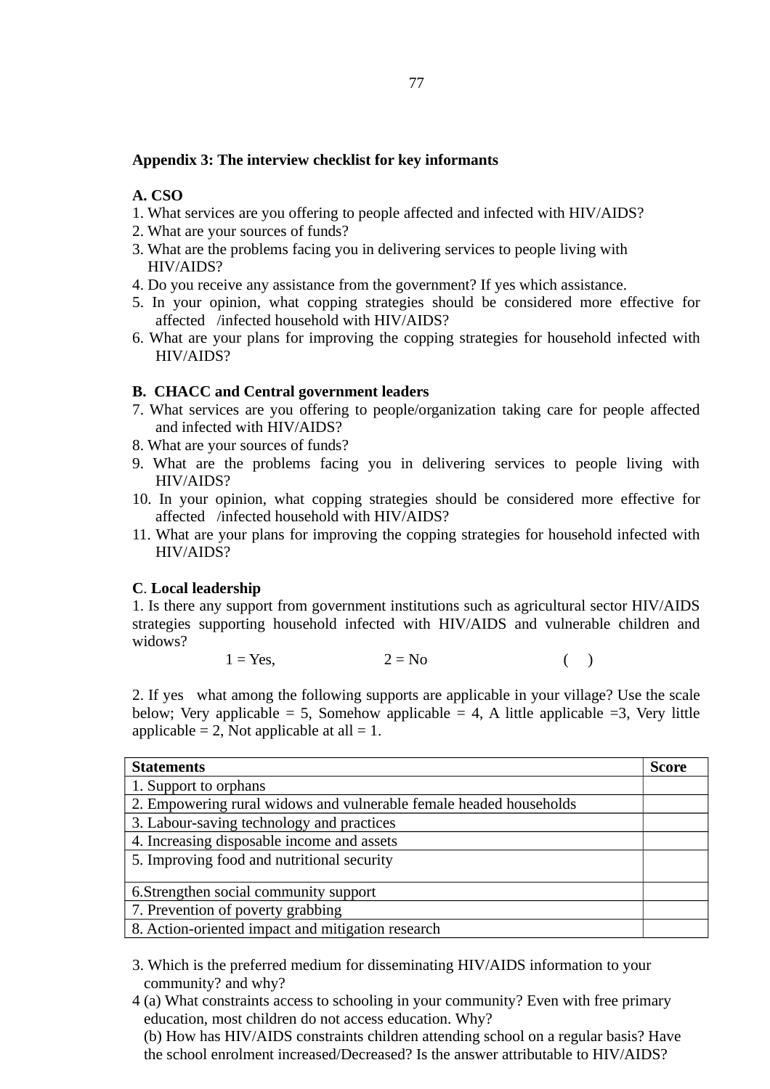## **Appendix 3: The interview checklist for key informants**

# **A. CSO**

- 1. What services are you offering to people affected and infected with HIV/AIDS?
- 2. What are your sources of funds?
- 3. What are the problems facing you in delivering services to people living with HIV/AIDS?
- 4. Do you receive any assistance from the government? If yes which assistance.
- 5. In your opinion, what copping strategies should be considered more effective for affected /infected household with HIV/AIDS?
- 6. What are your plans for improving the copping strategies for household infected with HIV/AIDS?

## **B. CHACC and Central government leaders**

- 7. What services are you offering to people/organization taking care for people affected and infected with HIV/AIDS?
- 8. What are your sources of funds?
- 9. What are the problems facing you in delivering services to people living with HIV/AIDS?
- 10. In your opinion, what copping strategies should be considered more effective for affected /infected household with HIV/AIDS?
- 11. What are your plans for improving the copping strategies for household infected with HIV/AIDS?

## **C**. **Local leadership**

1. Is there any support from government institutions such as agricultural sector HIV/AIDS strategies supporting household infected with HIV/AIDS and vulnerable children and widows?

$$
1 = Yes, \t 2 = No \t ( )
$$

2. If yes what among the following supports are applicable in your village? Use the scale below; Very applicable = 5, Somehow applicable = 4, A little applicable = 3, Very little applicable = 2, Not applicable at all =  $1$ .

| <b>Statements</b>                                                  | <b>Score</b> |
|--------------------------------------------------------------------|--------------|
| 1. Support to orphans                                              |              |
| 2. Empowering rural widows and vulnerable female headed households |              |
| 3. Labour-saving technology and practices                          |              |
| 4. Increasing disposable income and assets                         |              |
| 5. Improving food and nutritional security                         |              |
| 6. Strengthen social community support                             |              |
| 7. Prevention of poverty grabbing                                  |              |
| 8. Action-oriented impact and mitigation research                  |              |

- 3. Which is the preferred medium for disseminating HIV/AIDS information to your community? and why?
- 4 (a) What constraints access to schooling in your community? Even with free primary education, most children do not access education. Why?

 (b) How has HIV/AIDS constraints children attending school on a regular basis? Have the school enrolment increased/Decreased? Is the answer attributable to HIV/AIDS?